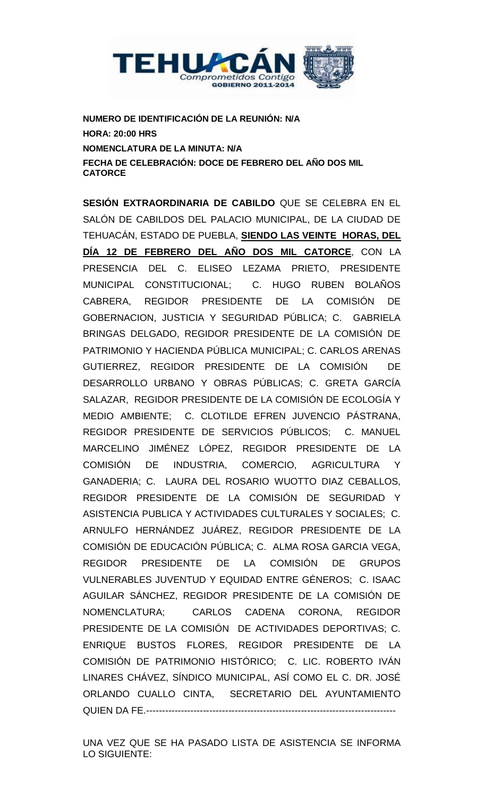

**NUMERO DE IDENTIFICACIÓN DE LA REUNIÓN: N/A HORA: 20:00 HRS NOMENCLATURA DE LA MINUTA: N/A FECHA DE CELEBRACIÓN: DOCE DE FEBRERO DEL AÑO DOS MIL CATORCE**

**SESIÓN EXTRAORDINARIA DE CABILDO** QUE SE CELEBRA EN EL SALÓN DE CABILDOS DEL PALACIO MUNICIPAL, DE LA CIUDAD DE TEHUACÁN, ESTADO DE PUEBLA, **SIENDO LAS VEINTE HORAS, DEL DÍA 12 DE FEBRERO DEL AÑO DOS MIL CATORCE**, CON LA PRESENCIA DEL C. ELISEO LEZAMA PRIETO, PRESIDENTE MUNICIPAL CONSTITUCIONAL; C. HUGO RUBEN BOLAÑOS CABRERA, REGIDOR PRESIDENTE DE LA COMISIÓN DE GOBERNACION, JUSTICIA Y SEGURIDAD PÚBLICA; C. GABRIELA BRINGAS DELGADO, REGIDOR PRESIDENTE DE LA COMISIÓN DE PATRIMONIO Y HACIENDA PÚBLICA MUNICIPAL; C. CARLOS ARENAS GUTIERREZ, REGIDOR PRESIDENTE DE LA COMISIÓN DE DESARROLLO URBANO Y OBRAS PÚBLICAS; C. GRETA GARCÍA SALAZAR, REGIDOR PRESIDENTE DE LA COMISIÓN DE ECOLOGÍA Y MEDIO AMBIENTE; C. CLOTILDE EFREN JUVENCIO PÁSTRANA, REGIDOR PRESIDENTE DE SERVICIOS PÚBLICOS; C. MANUEL MARCELINO JIMÉNEZ LÓPEZ, REGIDOR PRESIDENTE DE LA COMISIÓN DE INDUSTRIA, COMERCIO, AGRICULTURA Y GANADERIA; C. LAURA DEL ROSARIO WUOTTO DIAZ CEBALLOS, REGIDOR PRESIDENTE DE LA COMISIÓN DE SEGURIDAD Y ASISTENCIA PUBLICA Y ACTIVIDADES CULTURALES Y SOCIALES; C. ARNULFO HERNÁNDEZ JUÁREZ, REGIDOR PRESIDENTE DE LA COMISIÓN DE EDUCACIÓN PÚBLICA; C. ALMA ROSA GARCIA VEGA, REGIDOR PRESIDENTE DE LA COMISIÓN DE GRUPOS VULNERABLES JUVENTUD Y EQUIDAD ENTRE GÉNEROS; C. ISAAC AGUILAR SÁNCHEZ, REGIDOR PRESIDENTE DE LA COMISIÓN DE NOMENCLATURA; CARLOS CADENA CORONA, REGIDOR PRESIDENTE DE LA COMISIÓN DE ACTIVIDADES DEPORTIVAS; C. ENRIQUE BUSTOS FLORES, REGIDOR PRESIDENTE DE LA COMISIÓN DE PATRIMONIO HISTÓRICO; C. LIC. ROBERTO IVÁN LINARES CHÁVEZ, SÍNDICO MUNICIPAL, ASÍ COMO EL C. DR. JOSÉ ORLANDO CUALLO CINTA, SECRETARIO DEL AYUNTAMIENTO QUIEN DA FE.-------------------------------------------------------------------------------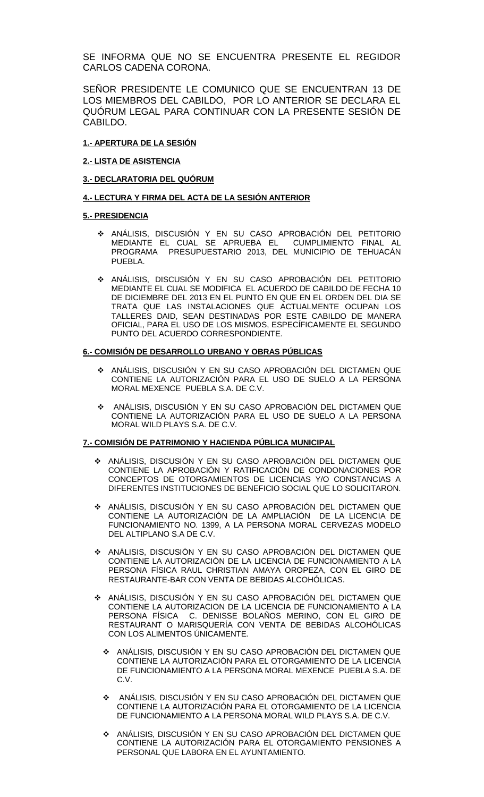SE INFORMA QUE NO SE ENCUENTRA PRESENTE EL REGIDOR CARLOS CADENA CORONA.

SEÑOR PRESIDENTE LE COMUNICO QUE SE ENCUENTRAN 13 DE LOS MIEMBROS DEL CABILDO, POR LO ANTERIOR SE DECLARA EL QUÓRUM LEGAL PARA CONTINUAR CON LA PRESENTE SESIÓN DE CABILDO.

#### **1.- APERTURA DE LA SESIÓN**

#### **2.- LISTA DE ASISTENCIA**

#### **3.- DECLARATORIA DEL QUÓRUM**

# **4.- LECTURA Y FIRMA DEL ACTA DE LA SESIÓN ANTERIOR**

#### **5.- PRESIDENCIA**

- ANÁLISIS, DISCUSIÓN Y EN SU CASO APROBACIÓN DEL PETITORIO MEDIANTE EL CUAL SE APRUEBA EL CUMPLIMIENTO FINAL AL PROGRAMA PRESUPUESTARIO 2013, DEL MUNICIPIO DE TEHUACÁN PUEBLA.
- ANÁLISIS, DISCUSIÓN Y EN SU CASO APROBACIÓN DEL PETITORIO MEDIANTE EL CUAL SE MODIFICA EL ACUERDO DE CABILDO DE FECHA 10 DE DICIEMBRE DEL 2013 EN EL PUNTO EN QUE EN EL ORDEN DEL DIA SE TRATA QUE LAS INSTALACIONES QUE ACTUALMENTE OCUPAN LOS TALLERES DAID, SEAN DESTINADAS POR ESTE CABILDO DE MANERA OFICIAL, PARA EL USO DE LOS MISMOS, ESPECÍFICAMENTE EL SEGUNDO PUNTO DEL ACUERDO CORRESPONDIENTE.

#### **6.- COMISIÓN DE DESARROLLO URBANO Y OBRAS PÚBLICAS**

- ANÁLISIS, DISCUSIÓN Y EN SU CASO APROBACIÓN DEL DICTAMEN QUE CONTIENE LA AUTORIZACIÓN PARA EL USO DE SUELO A LA PERSONA MORAL MEXENCE PUEBLA S.A. DE C.V.
- ANÁLISIS, DISCUSIÓN Y EN SU CASO APROBACIÓN DEL DICTAMEN QUE CONTIENE LA AUTORIZACIÓN PARA EL USO DE SUELO A LA PERSONA MORAL WILD PLAYS S.A. DE C.V.

#### **7.- COMISIÓN DE PATRIMONIO Y HACIENDA PÚBLICA MUNICIPAL**

- ANÁLISIS, DISCUSIÓN Y EN SU CASO APROBACIÓN DEL DICTAMEN QUE CONTIENE LA APROBACIÓN Y RATIFICACIÓN DE CONDONACIONES POR CONCEPTOS DE OTORGAMIENTOS DE LICENCIAS Y/O CONSTANCIAS A DIFERENTES INSTITUCIONES DE BENEFICIO SOCIAL QUE LO SOLICITARON.
- ANÁLISIS, DISCUSIÓN Y EN SU CASO APROBACIÓN DEL DICTAMEN QUE CONTIENE LA AUTORIZACIÓN DE LA AMPLIACIÓN DE LA LICENCIA DE FUNCIONAMIENTO NO. 1399, A LA PERSONA MORAL CERVEZAS MODELO DEL ALTIPLANO S.A DE C.V.
- ANÁLISIS, DISCUSIÓN Y EN SU CASO APROBACIÓN DEL DICTAMEN QUE CONTIENE LA AUTORIZACIÓN DE LA LICENCIA DE FUNCIONAMIENTO A LA PERSONA FÍSICA RAUL CHRISTIAN AMAYA OROPEZA, CON EL GIRO DE RESTAURANTE-BAR CON VENTA DE BEBIDAS ALCOHÓLICAS.
- ANÁLISIS, DISCUSIÓN Y EN SU CASO APROBACIÓN DEL DICTAMEN QUE CONTIENE LA AUTORIZACION DE LA LICENCIA DE FUNCIONAMIENTO A LA PERSONA FÍSICA C. DENISSE BOLAÑOS MERINO, CON EL GIRO DE RESTAURANT O MARISQUERÍA CON VENTA DE BEBIDAS ALCOHÓLICAS CON LOS ALIMENTOS ÚNICAMENTE.
	- ANÁLISIS, DISCUSIÓN Y EN SU CASO APROBACIÓN DEL DICTAMEN QUE CONTIENE LA AUTORIZACIÓN PARA EL OTORGAMIENTO DE LA LICENCIA DE FUNCIONAMIENTO A LA PERSONA MORAL MEXENCE PUEBLA S.A. DE C.V.
	- ANÁLISIS, DISCUSIÓN Y EN SU CASO APROBACIÓN DEL DICTAMEN QUE CONTIENE LA AUTORIZACIÓN PARA EL OTORGAMIENTO DE LA LICENCIA DE FUNCIONAMIENTO A LA PERSONA MORAL WILD PLAYS S.A. DE C.V.
	- ANÁLISIS, DISCUSIÓN Y EN SU CASO APROBACIÓN DEL DICTAMEN QUE CONTIENE LA AUTORIZACIÓN PARA EL OTORGAMIENTO PENSIONES A PERSONAL QUE LABORA EN EL AYUNTAMIENTO.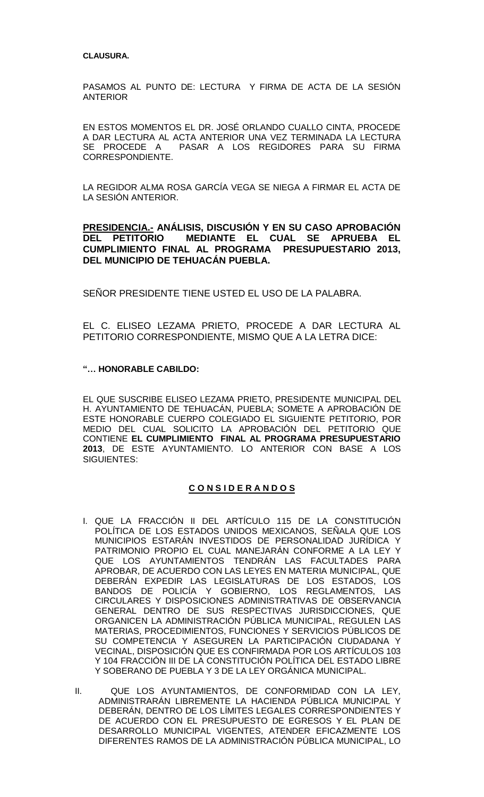#### **CLAUSURA.**

PASAMOS AL PUNTO DE: LECTURA Y FIRMA DE ACTA DE LA SESIÓN ANTERIOR

EN ESTOS MOMENTOS EL DR. JOSÉ ORLANDO CUALLO CINTA, PROCEDE A DAR LECTURA AL ACTA ANTERIOR UNA VEZ TERMINADA LA LECTURA SE PROCEDE A PASAR A LOS REGIDORES PARA SU FIRMA CORRESPONDIENTE.

LA REGIDOR ALMA ROSA GARCÍA VEGA SE NIEGA A FIRMAR EL ACTA DE LA SESIÓN ANTERIOR.

**PRESIDENCIA.- ANÁLISIS, DISCUSIÓN Y EN SU CASO APROBACIÓN DEL PETITORIO MEDIANTE EL CUAL SE APRUEBA EL CUMPLIMIENTO FINAL AL PROGRAMA PRESUPUESTARIO 2013, DEL MUNICIPIO DE TEHUACÁN PUEBLA.**

SEÑOR PRESIDENTE TIENE USTED EL USO DE LA PALABRA.

EL C. ELISEO LEZAMA PRIETO, PROCEDE A DAR LECTURA AL PETITORIO CORRESPONDIENTE, MISMO QUE A LA LETRA DICE:

## **"… HONORABLE CABILDO:**

EL QUE SUSCRIBE ELISEO LEZAMA PRIETO, PRESIDENTE MUNICIPAL DEL H. AYUNTAMIENTO DE TEHUACÁN, PUEBLA; SOMETE A APROBACIÓN DE ESTE HONORABLE CUERPO COLEGIADO EL SIGUIENTE PETITORIO, POR MEDIO DEL CUAL SOLICITO LA APROBACIÓN DEL PETITORIO QUE CONTIENE **EL CUMPLIMIENTO FINAL AL PROGRAMA PRESUPUESTARIO 2013**, DE ESTE AYUNTAMIENTO. LO ANTERIOR CON BASE A LOS SIGUIENTES:

## **C O N S I D E R A N D O S**

- I. QUE LA FRACCIÓN II DEL ARTÍCULO 115 DE LA CONSTITUCIÓN POLÍTICA DE LOS ESTADOS UNIDOS MEXICANOS, SEÑALA QUE LOS MUNICIPIOS ESTARÁN INVESTIDOS DE PERSONALIDAD JURÍDICA Y PATRIMONIO PROPIO EL CUAL MANEJARÁN CONFORME A LA LEY Y QUE LOS AYUNTAMIENTOS TENDRÁN LAS FACULTADES PARA APROBAR, DE ACUERDO CON LAS LEYES EN MATERIA MUNICIPAL, QUE DEBERÁN EXPEDIR LAS LEGISLATURAS DE LOS ESTADOS, LOS BANDOS DE POLICÍA Y GOBIERNO, LOS REGLAMENTOS, LAS CIRCULARES Y DISPOSICIONES ADMINISTRATIVAS DE OBSERVANCIA GENERAL DENTRO DE SUS RESPECTIVAS JURISDICCIONES, QUE ORGANICEN LA ADMINISTRACIÓN PÚBLICA MUNICIPAL, REGULEN LAS MATERIAS, PROCEDIMIENTOS, FUNCIONES Y SERVICIOS PÚBLICOS DE SU COMPETENCIA Y ASEGUREN LA PARTICIPACIÓN CIUDADANA Y VECINAL, DISPOSICIÓN QUE ES CONFIRMADA POR LOS ARTÍCULOS 103 Y 104 FRACCIÓN III DE LA CONSTITUCIÓN POLÍTICA DEL ESTADO LIBRE Y SOBERANO DE PUEBLA Y 3 DE LA LEY ORGÁNICA MUNICIPAL.
- II. QUE LOS AYUNTAMIENTOS, DE CONFORMIDAD CON LA LEY, ADMINISTRARÁN LIBREMENTE LA HACIENDA PÚBLICA MUNICIPAL Y DEBERÁN, DENTRO DE LOS LÍMITES LEGALES CORRESPONDIENTES Y DE ACUERDO CON EL PRESUPUESTO DE EGRESOS Y EL PLAN DE DESARROLLO MUNICIPAL VIGENTES, ATENDER EFICAZMENTE LOS DIFERENTES RAMOS DE LA ADMINISTRACIÓN PÚBLICA MUNICIPAL, LO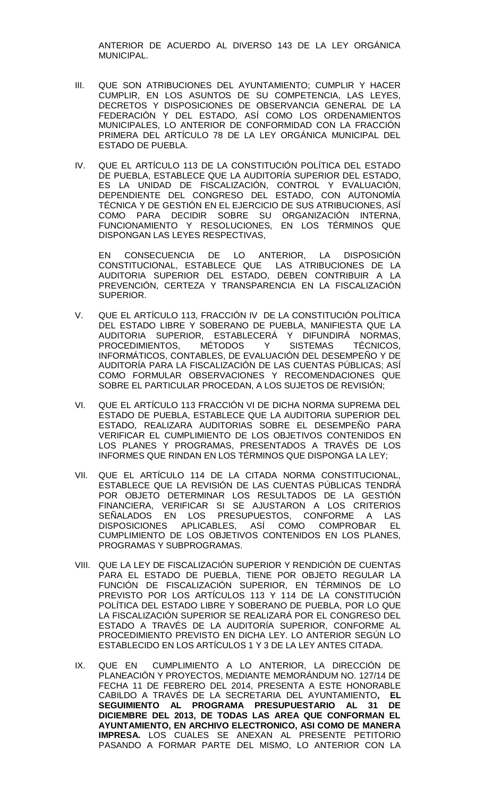ANTERIOR DE ACUERDO AL DIVERSO 143 DE LA LEY ORGÁNICA MUNICIPAL.

- III. QUE SON ATRIBUCIONES DEL AYUNTAMIENTO; CUMPLIR Y HACER CUMPLIR, EN LOS ASUNTOS DE SU COMPETENCIA, LAS LEYES, DECRETOS Y DISPOSICIONES DE OBSERVANCIA GENERAL DE LA FEDERACIÓN Y DEL ESTADO, ASÍ COMO LOS ORDENAMIENTOS MUNICIPALES, LO ANTERIOR DE CONFORMIDAD CON LA FRACCIÓN PRIMERA DEL ARTÍCULO 78 DE LA LEY ORGÁNICA MUNICIPAL DEL ESTADO DE PUEBLA.
- IV. QUE EL ARTÍCULO 113 DE LA CONSTITUCIÓN POLÍTICA DEL ESTADO DE PUEBLA, ESTABLECE QUE LA AUDITORÍA SUPERIOR DEL ESTADO, ES LA UNIDAD DE FISCALIZACIÓN, CONTROL Y EVALUACIÓN, DEPENDIENTE DEL CONGRESO DEL ESTADO, CON AUTONOMÍA TÉCNICA Y DE GESTIÓN EN EL EJERCICIO DE SUS ATRIBUCIONES, ASÍ COMO PARA DECIDIR SOBRE SU ORGANIZACIÓN INTERNA, FUNCIONAMIENTO Y RESOLUCIONES, EN LOS TÉRMINOS QUE DISPONGAN LAS LEYES RESPECTIVAS,

EN CONSECUENCIA DE LO ANTERIOR, LA DISPOSICIÓN CONSTITUCIONAL, ESTABLECE QUE LAS ATRIBUCIONES DE LA AUDITORIA SUPERIOR DEL ESTADO, DEBEN CONTRIBUIR A LA PREVENCIÓN, CERTEZA Y TRANSPARENCIA EN LA FISCALIZACIÓN SUPERIOR.

- V. QUE EL ARTÍCULO 113, FRACCIÓN IV DE LA CONSTITUCIÓN POLÍTICA DEL ESTADO LIBRE Y SOBERANO DE PUEBLA, MANIFIESTA QUE LA AUDITORIA SUPERIOR, ESTABLECERÁ Y DIFUNDIRÁ NORMAS, PROCEDIMIENTOS, MÉTODOS Y SISTEMAS TÉCNICOS, INFORMÁTICOS, CONTABLES, DE EVALUACIÓN DEL DESEMPEÑO Y DE AUDITORÍA PARA LA FISCALIZACIÓN DE LAS CUENTAS PÚBLICAS; ASÍ COMO FORMULAR OBSERVACIONES Y RECOMENDACIONES QUE SOBRE EL PARTICULAR PROCEDAN, A LOS SUJETOS DE REVISIÓN;
- VI. QUE EL ARTÍCULO 113 FRACCIÓN VI DE DICHA NORMA SUPREMA DEL ESTADO DE PUEBLA, ESTABLECE QUE LA AUDITORIA SUPERIOR DEL ESTADO, REALIZARA AUDITORIAS SOBRE EL DESEMPEÑO PARA VERIFICAR EL CUMPLIMIENTO DE LOS OBJETIVOS CONTENIDOS EN LOS PLANES Y PROGRAMAS, PRESENTADOS A TRAVÉS DE LOS INFORMES QUE RINDAN EN LOS TÉRMINOS QUE DISPONGA LA LEY;
- VII. QUE EL ARTÍCULO 114 DE LA CITADA NORMA CONSTITUCIONAL, ESTABLECE QUE LA REVISIÓN DE LAS CUENTAS PÚBLICAS TENDRÁ POR OBJETO DETERMINAR LOS RESULTADOS DE LA GESTIÓN FINANCIERA, VERIFICAR SI SE AJUSTARON A LOS CRITERIOS SEÑALADOS EN LOS PRESUPUESTOS, CONFORME A LAS DISPOSICIONES APLICABLES, ASÍ COMO COMPROBAR EL CUMPLIMIENTO DE LOS OBJETIVOS CONTENIDOS EN LOS PLANES, PROGRAMAS Y SUBPROGRAMAS.
- VIII. QUE LA LEY DE FISCALIZACIÓN SUPERIOR Y RENDICIÓN DE CUENTAS PARA EL ESTADO DE PUEBLA, TIENE POR OBJETO REGULAR LA FUNCIÓN DE FISCALIZACIÓN SUPERIOR, EN TÉRMINOS DE LO PREVISTO POR LOS ARTÍCULOS 113 Y 114 DE LA CONSTITUCIÓN POLÍTICA DEL ESTADO LIBRE Y SOBERANO DE PUEBLA, POR LO QUE LA FISCALIZACIÓN SUPERIOR SE REALIZARÁ POR EL CONGRESO DEL ESTADO A TRAVÉS DE LA AUDITORÍA SUPERIOR, CONFORME AL PROCEDIMIENTO PREVISTO EN DICHA LEY. LO ANTERIOR SEGÚN LO ESTABLECIDO EN LOS ARTÍCULOS 1 Y 3 DE LA LEY ANTES CITADA.
- IX. QUE EN CUMPLIMIENTO A LO ANTERIOR, LA DIRECCIÓN DE PLANEACIÓN Y PROYECTOS, MEDIANTE MEMORÁNDUM NO. 127/14 DE FECHA 11 DE FEBRERO DEL 2014, PRESENTA A ESTE HONORABLE CABILDO A TRAVÉS DE LA SECRETARIA DEL AYUNTAMIENTO**, EL SEGUIMIENTO AL PROGRAMA PRESUPUESTARIO AL 31 DE DICIEMBRE DEL 2013, DE TODAS LAS AREA QUE CONFORMAN EL AYUNTAMIENTO, EN ARCHIVO ELECTRONICO, ASI COMO DE MANERA IMPRESA.** LOS CUALES SE ANEXAN AL PRESENTE PETITORIO PASANDO A FORMAR PARTE DEL MISMO, LO ANTERIOR CON LA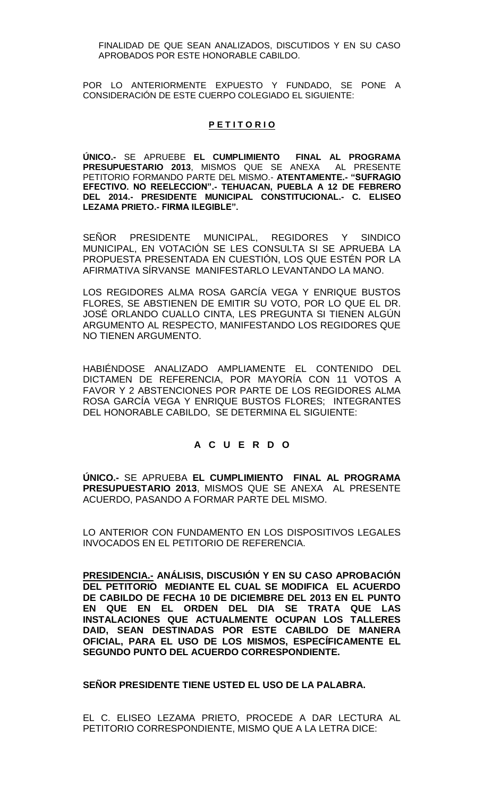POR LO ANTERIORMENTE EXPUESTO Y FUNDADO, SE PONE A CONSIDERACIÓN DE ESTE CUERPO COLEGIADO EL SIGUIENTE:

## **P E T I T O R I O**

**ÚNICO.-** SE APRUEBE **EL CUMPLIMIENTO FINAL AL PROGRAMA PRESUPUESTARIO 2013**, MISMOS QUE SE ANEXA AL PRESENTE PETITORIO FORMANDO PARTE DEL MISMO.- **ATENTAMENTE.- "SUFRAGIO EFECTIVO. NO REELECCION".- TEHUACAN, PUEBLA A 12 DE FEBRERO DEL 2014.- PRESIDENTE MUNICIPAL CONSTITUCIONAL.- C. ELISEO LEZAMA PRIETO.- FIRMA ILEGIBLE".**

SEÑOR PRESIDENTE MUNICIPAL, REGIDORES Y SINDICO MUNICIPAL, EN VOTACIÓN SE LES CONSULTA SI SE APRUEBA LA PROPUESTA PRESENTADA EN CUESTIÓN, LOS QUE ESTÉN POR LA AFIRMATIVA SÍRVANSE MANIFESTARLO LEVANTANDO LA MANO.

LOS REGIDORES ALMA ROSA GARCÍA VEGA Y ENRIQUE BUSTOS FLORES, SE ABSTIENEN DE EMITIR SU VOTO, POR LO QUE EL DR. JOSÉ ORLANDO CUALLO CINTA, LES PREGUNTA SI TIENEN ALGÚN ARGUMENTO AL RESPECTO, MANIFESTANDO LOS REGIDORES QUE NO TIENEN ARGUMENTO.

HABIÉNDOSE ANALIZADO AMPLIAMENTE EL CONTENIDO DEL DICTAMEN DE REFERENCIA, POR MAYORÍA CON 11 VOTOS A FAVOR Y 2 ABSTENCIONES POR PARTE DE LOS REGIDORES ALMA ROSA GARCÍA VEGA Y ENRIQUE BUSTOS FLORES; INTEGRANTES DEL HONORABLE CABILDO, SE DETERMINA EL SIGUIENTE:

# **A C U E R D O**

**ÚNICO.-** SE APRUEBA **EL CUMPLIMIENTO FINAL AL PROGRAMA PRESUPUESTARIO 2013**, MISMOS QUE SE ANEXA AL PRESENTE ACUERDO, PASANDO A FORMAR PARTE DEL MISMO.

LO ANTERIOR CON FUNDAMENTO EN LOS DISPOSITIVOS LEGALES INVOCADOS EN EL PETITORIO DE REFERENCIA.

**PRESIDENCIA.- ANÁLISIS, DISCUSIÓN Y EN SU CASO APROBACIÓN DEL PETITORIO MEDIANTE EL CUAL SE MODIFICA EL ACUERDO DE CABILDO DE FECHA 10 DE DICIEMBRE DEL 2013 EN EL PUNTO EN QUE EN EL ORDEN DEL DIA SE TRATA QUE LAS INSTALACIONES QUE ACTUALMENTE OCUPAN LOS TALLERES DAID, SEAN DESTINADAS POR ESTE CABILDO DE MANERA OFICIAL, PARA EL USO DE LOS MISMOS, ESPECÍFICAMENTE EL SEGUNDO PUNTO DEL ACUERDO CORRESPONDIENTE.**

**SEÑOR PRESIDENTE TIENE USTED EL USO DE LA PALABRA.**

EL C. ELISEO LEZAMA PRIETO, PROCEDE A DAR LECTURA AL PETITORIO CORRESPONDIENTE, MISMO QUE A LA LETRA DICE: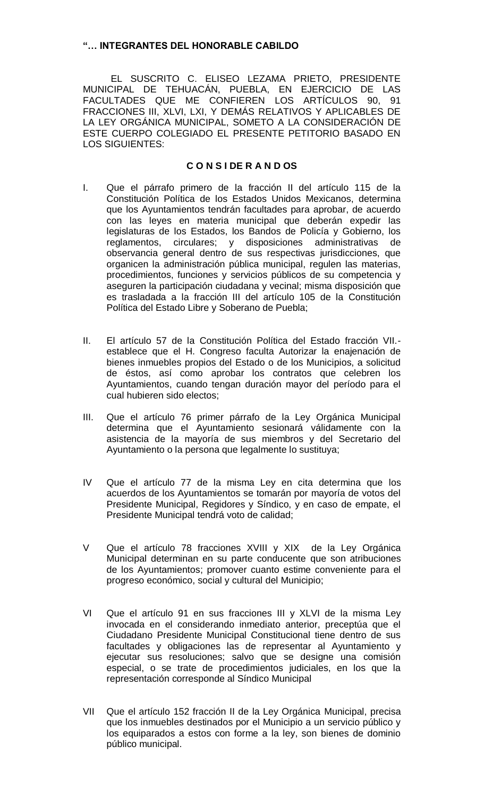EL SUSCRITO C. ELISEO LEZAMA PRIETO, PRESIDENTE MUNICIPAL DE TEHUACÁN, PUEBLA, EN EJERCICIO DE LAS FACULTADES QUE ME CONFIEREN LOS ARTÍCULOS 90, 91 FRACCIONES III, XLVI, LXI, Y DEMÁS RELATIVOS Y APLICABLES DE LA LEY ORGÁNICA MUNICIPAL, SOMETO A LA CONSIDERACIÓN DE ESTE CUERPO COLEGIADO EL PRESENTE PETITORIO BASADO EN LOS SIGUIENTES:

# **C O N S I DE R A N D OS**

- I. Que el párrafo primero de la fracción II del artículo 115 de la Constitución Política de los Estados Unidos Mexicanos, determina que los Ayuntamientos tendrán facultades para aprobar, de acuerdo con las leyes en materia municipal que deberán expedir las legislaturas de los Estados, los Bandos de Policía y Gobierno, los reglamentos, circulares; y disposiciones administrativas de observancia general dentro de sus respectivas jurisdicciones, que organicen la administración pública municipal, regulen las materias, procedimientos, funciones y servicios públicos de su competencia y aseguren la participación ciudadana y vecinal; misma disposición que es trasladada a la fracción III del artículo 105 de la Constitución Política del Estado Libre y Soberano de Puebla;
- II. El artículo 57 de la Constitución Política del Estado fracción VII. establece que el H. Congreso faculta Autorizar la enajenación de bienes inmuebles propios del Estado o de los Municipios, a solicitud de éstos, así como aprobar los contratos que celebren los Ayuntamientos, cuando tengan duración mayor del período para el cual hubieren sido electos;
- III. Que el artículo 76 primer párrafo de la Ley Orgánica Municipal determina que el Ayuntamiento sesionará válidamente con la asistencia de la mayoría de sus miembros y del Secretario del Ayuntamiento o la persona que legalmente lo sustituya;
- IV Que el artículo 77 de la misma Ley en cita determina que los acuerdos de los Ayuntamientos se tomarán por mayoría de votos del Presidente Municipal, Regidores y Síndico, y en caso de empate, el Presidente Municipal tendrá voto de calidad;
- V Que el artículo 78 fracciones XVIII y XIX de la Ley Orgánica Municipal determinan en su parte conducente que son atribuciones de los Ayuntamientos; promover cuanto estime conveniente para el progreso económico, social y cultural del Municipio;
- VI Que el artículo 91 en sus fracciones III y XLVI de la misma Ley invocada en el considerando inmediato anterior, preceptúa que el Ciudadano Presidente Municipal Constitucional tiene dentro de sus facultades y obligaciones las de representar al Ayuntamiento y ejecutar sus resoluciones; salvo que se designe una comisión especial, o se trate de procedimientos judiciales, en los que la representación corresponde al Síndico Municipal
- VII Que el artículo 152 fracción II de la Ley Orgánica Municipal, precisa que los inmuebles destinados por el Municipio a un servicio público y los equiparados a estos con forme a la ley, son bienes de dominio público municipal.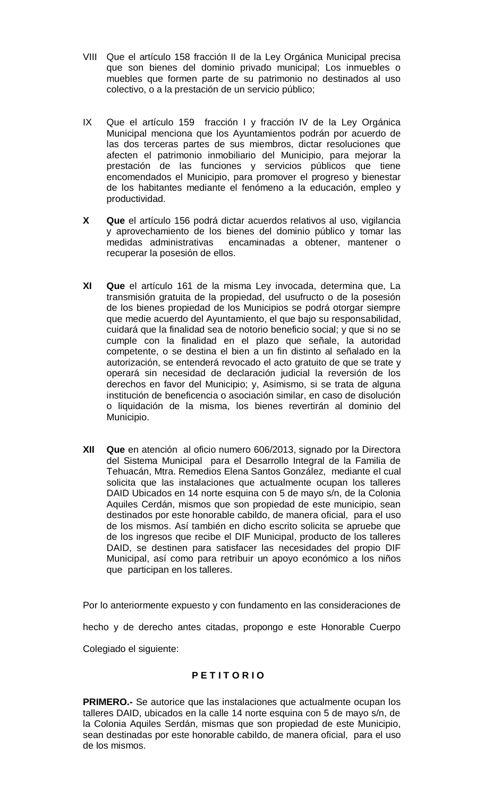- VIII Que el artículo 158 fracción II de la Ley Orgánica Municipal precisa que son bienes del dominio privado municipal; Los inmuebles o muebles que formen parte de su patrimonio no destinados al uso colectivo, o a la prestación de un servicio público;
- IX Que el artículo 159 fracción I y fracción IV de la Ley Orgánica Municipal menciona que los Ayuntamientos podrán por acuerdo de las dos terceras partes de sus miembros, dictar resoluciones que afecten el patrimonio inmobiliario del Municipio, para mejorar la prestación de las funciones y servicios públicos que tiene encomendados el Municipio, para promover el progreso y bienestar de los habitantes mediante el fenómeno a la educación, empleo y productividad.
- **X Que** el artículo 156 podrá dictar acuerdos relativos al uso, vigilancia y aprovechamiento de los bienes del dominio público y tomar las medidas administrativas encaminadas a obtener, mantener o recuperar la posesión de ellos.
- **XI Que** el artículo 161 de la misma Ley invocada, determina que, La transmisión gratuita de la propiedad, del usufructo o de la posesión de los bienes propiedad de los Municipios se podrá otorgar siempre que medie acuerdo del Ayuntamiento, el que bajo su responsabilidad, cuidará que la finalidad sea de notorio beneficio social; y que si no se cumple con la finalidad en el plazo que señale, la autoridad competente, o se destina el bien a un fin distinto al señalado en la autorización, se entenderá revocado el acto gratuito de que se trate y operará sin necesidad de declaración judicial la reversión de los derechos en favor del Municipio; y, Asimismo, si se trata de alguna institución de beneficencia o asociación similar, en caso de disolución o liquidación de la misma, los bienes revertirán al dominio del Municipio.
- **XII Que** en atención al oficio numero 606/2013, signado por la Directora del Sistema Municipal para el Desarrollo Integral de la Familia de Tehuacán, Mtra. Remedios Elena Santos González, mediante el cual solicita que las instalaciones que actualmente ocupan los talleres DAID Ubicados en 14 norte esquina con 5 de mayo s/n, de la Colonia Aquiles Cerdán, mismos que son propiedad de este municipio, sean destinados por este honorable cabildo, de manera oficial, para el uso de los mismos. Así también en dicho escrito solicita se apruebe que de los ingresos que recibe el DIF Municipal, producto de los talleres DAID, se destinen para satisfacer las necesidades del propio DIF Municipal, así como para retribuir un apoyo económico a los niños que participan en los talleres.

Por lo anteriormente expuesto y con fundamento en las consideraciones de hecho y de derecho antes citadas, propongo e este Honorable Cuerpo Colegiado el siguiente:

# **P E T I T O R I O**

**PRIMERO.-** Se autorice que las instalaciones que actualmente ocupan los talleres DAID, ubicados en la calle 14 norte esquina con 5 de mayo s/n, de la Colonia Aquiles Serdán, mismas que son propiedad de este Municipio, sean destinadas por este honorable cabildo, de manera oficial, para el uso de los mismos.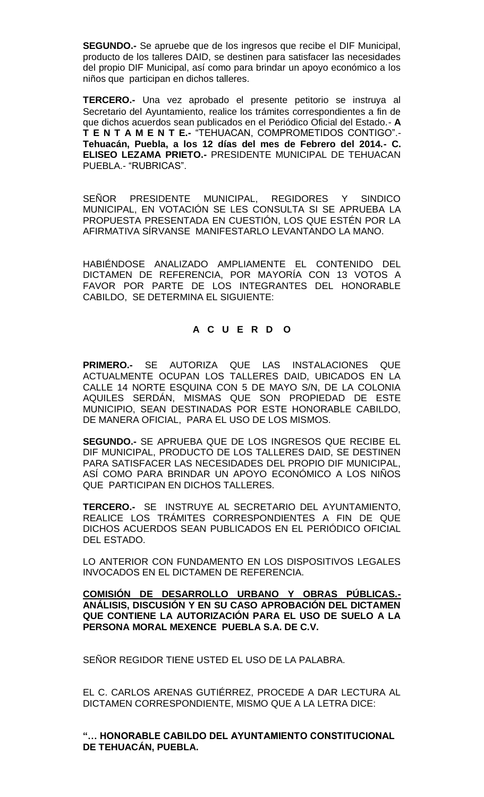**SEGUNDO.-** Se apruebe que de los ingresos que recibe el DIF Municipal, producto de los talleres DAID, se destinen para satisfacer las necesidades del propio DIF Municipal, así como para brindar un apoyo económico a los niños que participan en dichos talleres.

**TERCERO.-** Una vez aprobado el presente petitorio se instruya al Secretario del Ayuntamiento, realice los trámites correspondientes a fin de que dichos acuerdos sean publicados en el Periódico Oficial del Estado.- **A T E N T A M E N T E.-** "TEHUACAN, COMPROMETIDOS CONTIGO".- **Tehuacán, Puebla, a los 12 días del mes de Febrero del 2014.- C. ELISEO LEZAMA PRIETO.-** PRESIDENTE MUNICIPAL DE TEHUACAN PUEBLA.- "RUBRICAS".

SEÑOR PRESIDENTE MUNICIPAL, REGIDORES Y SINDICO MUNICIPAL, EN VOTACIÓN SE LES CONSULTA SI SE APRUEBA LA PROPUESTA PRESENTADA EN CUESTIÓN, LOS QUE ESTÉN POR LA AFIRMATIVA SÍRVANSE MANIFESTARLO LEVANTANDO LA MANO.

HABIÉNDOSE ANALIZADO AMPLIAMENTE EL CONTENIDO DEL DICTAMEN DE REFERENCIA, POR MAYORÍA CON 13 VOTOS A FAVOR POR PARTE DE LOS INTEGRANTES DEL HONORABLE CABILDO, SE DETERMINA EL SIGUIENTE:

# **A C U E R D O**

**PRIMERO.-** SE AUTORIZA QUE LAS INSTALACIONES QUE ACTUALMENTE OCUPAN LOS TALLERES DAID, UBICADOS EN LA CALLE 14 NORTE ESQUINA CON 5 DE MAYO S/N, DE LA COLONIA AQUILES SERDÁN, MISMAS QUE SON PROPIEDAD DE ESTE MUNICIPIO, SEAN DESTINADAS POR ESTE HONORABLE CABILDO, DE MANERA OFICIAL, PARA EL USO DE LOS MISMOS.

**SEGUNDO.-** SE APRUEBA QUE DE LOS INGRESOS QUE RECIBE EL DIF MUNICIPAL, PRODUCTO DE LOS TALLERES DAID, SE DESTINEN PARA SATISFACER LAS NECESIDADES DEL PROPIO DIF MUNICIPAL, ASÍ COMO PARA BRINDAR UN APOYO ECONÓMICO A LOS NIÑOS QUE PARTICIPAN EN DICHOS TALLERES.

**TERCERO.-** SE INSTRUYE AL SECRETARIO DEL AYUNTAMIENTO, REALICE LOS TRÁMITES CORRESPONDIENTES A FIN DE QUE DICHOS ACUERDOS SEAN PUBLICADOS EN EL PERIÓDICO OFICIAL DEL ESTADO.

LO ANTERIOR CON FUNDAMENTO EN LOS DISPOSITIVOS LEGALES INVOCADOS EN EL DICTAMEN DE REFERENCIA.

**COMISIÓN DE DESARROLLO URBANO Y OBRAS PÚBLICAS.- ANÁLISIS, DISCUSIÓN Y EN SU CASO APROBACIÓN DEL DICTAMEN QUE CONTIENE LA AUTORIZACIÓN PARA EL USO DE SUELO A LA PERSONA MORAL MEXENCE PUEBLA S.A. DE C.V.**

SEÑOR REGIDOR TIENE USTED EL USO DE LA PALABRA.

EL C. CARLOS ARENAS GUTIÉRREZ, PROCEDE A DAR LECTURA AL DICTAMEN CORRESPONDIENTE, MISMO QUE A LA LETRA DICE:

**"… HONORABLE CABILDO DEL AYUNTAMIENTO CONSTITUCIONAL DE TEHUACÁN, PUEBLA.**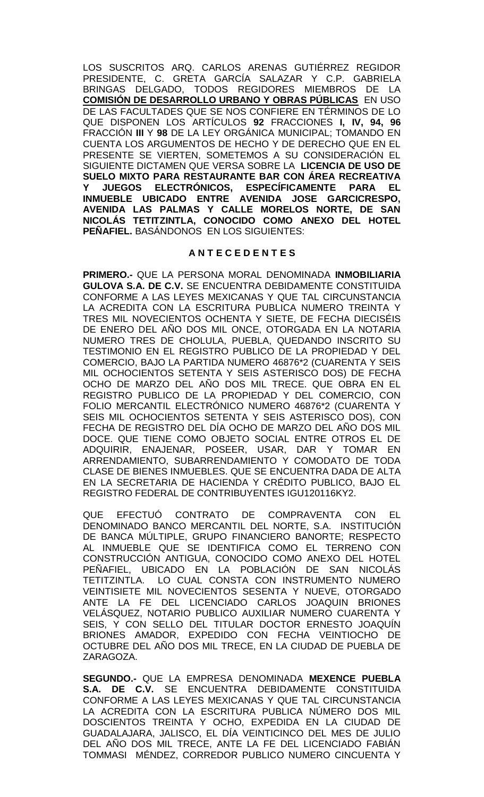LOS SUSCRITOS ARQ. CARLOS ARENAS GUTIÉRREZ REGIDOR PRESIDENTE, C. GRETA GARCÍA SALAZAR Y C.P. GABRIELA BRINGAS DELGADO, TODOS REGIDORES MIEMBROS DE LA **COMISIÓN DE DESARROLLO URBANO Y OBRAS PÚBLICAS** EN USO DE LAS FACULTADES QUE SE NOS CONFIERE EN TÉRMINOS DE LO QUE DISPONEN LOS ARTÍCULOS **92** FRACCIONES **I, IV, 94, 96** FRACCIÓN **III** Y **98** DE LA LEY ORGÁNICA MUNICIPAL; TOMANDO EN CUENTA LOS ARGUMENTOS DE HECHO Y DE DERECHO QUE EN EL PRESENTE SE VIERTEN, SOMETEMOS A SU CONSIDERACIÓN EL SIGUIENTE DICTAMEN QUE VERSA SOBRE LA **LICENCIA DE USO DE SUELO MIXTO PARA RESTAURANTE BAR CON ÁREA RECREATIVA Y JUEGOS ELECTRÓNICOS, ESPECÍFICAMENTE PARA EL INMUEBLE UBICADO ENTRE AVENIDA JOSE GARCICRESPO, AVENIDA LAS PALMAS Y CALLE MORELOS NORTE, DE SAN NICOLÁS TETITZINTLA, CONOCIDO COMO ANEXO DEL HOTEL PEÑAFIEL.** BASÁNDONOS EN LOS SIGUIENTES:

### **A N T E C E D E N T E S**

**PRIMERO.-** QUE LA PERSONA MORAL DENOMINADA **INMOBILIARIA GULOVA S.A. DE C.V.** SE ENCUENTRA DEBIDAMENTE CONSTITUIDA CONFORME A LAS LEYES MEXICANAS Y QUE TAL CIRCUNSTANCIA LA ACREDITA CON LA ESCRITURA PUBLICA NUMERO TREINTA Y TRES MIL NOVECIENTOS OCHENTA Y SIETE, DE FECHA DIECISÉIS DE ENERO DEL AÑO DOS MIL ONCE, OTORGADA EN LA NOTARIA NUMERO TRES DE CHOLULA, PUEBLA, QUEDANDO INSCRITO SU TESTIMONIO EN EL REGISTRO PUBLICO DE LA PROPIEDAD Y DEL COMERCIO, BAJO LA PARTIDA NUMERO 46876\*2 (CUARENTA Y SEIS MIL OCHOCIENTOS SETENTA Y SEIS ASTERISCO DOS) DE FECHA OCHO DE MARZO DEL ANO DOS MIL TRECE. QUE OBRA EN EL REGISTRO PUBLICO DE LA PROPIEDAD Y DEL COMERCIO, CON FOLIO MERCANTIL ELECTRÓNICO NUMERO 46876\*2 (CUARENTA Y SEIS MIL OCHOCIENTOS SETENTA Y SEIS ASTERISCO DOS), CON FECHA DE REGISTRO DEL DÍA OCHO DE MARZO DEL AÑO DOS MIL DOCE. QUE TIENE COMO OBJETO SOCIAL ENTRE OTROS EL DE ADQUIRIR, ENAJENAR, POSEER, USAR, DAR Y TOMAR EN ARRENDAMIENTO, SUBARRENDAMIENTO Y COMODATO DE TODA CLASE DE BIENES INMUEBLES. QUE SE ENCUENTRA DADA DE ALTA EN LA SECRETARIA DE HACIENDA Y CRÉDITO PUBLICO, BAJO EL REGISTRO FEDERAL DE CONTRIBUYENTES IGU120116KY2.

QUE EFECTUÓ CONTRATO DE COMPRAVENTA CON EL DENOMINADO BANCO MERCANTIL DEL NORTE, S.A. INSTITUCIÓN DE BANCA MÚLTIPLE, GRUPO FINANCIERO BANORTE; RESPECTO AL INMUEBLE QUE SE IDENTIFICA COMO EL TERRENO CON CONSTRUCCIÓN ANTIGUA, CONOCIDO COMO ANEXO DEL HOTEL PEÑAFIEL, UBICADO EN LA POBLACIÓN DE SAN NICOLÁS TETITZINTLA. LO CUAL CONSTA CON INSTRUMENTO NUMERO VEINTISIETE MIL NOVECIENTOS SESENTA Y NUEVE, OTORGADO ANTE LA FE DEL LICENCIADO CARLOS JOAQUIN BRIONES VELÁSQUEZ, NOTARIO PUBLICO AUXILIAR NUMERO CUARENTA Y SEIS, Y CON SELLO DEL TITULAR DOCTOR ERNESTO JOAQUÍN BRIONES AMADOR, EXPEDIDO CON FECHA VEINTIOCHO DE OCTUBRE DEL AÑO DOS MIL TRECE, EN LA CIUDAD DE PUEBLA DE ZARAGOZA.

**SEGUNDO.-** QUE LA EMPRESA DENOMINADA **MEXENCE PUEBLA S.A. DE C.V.** SE ENCUENTRA DEBIDAMENTE CONSTITUIDA CONFORME A LAS LEYES MEXICANAS Y QUE TAL CIRCUNSTANCIA LA ACREDITA CON LA ESCRITURA PUBLICA NÚMERO DOS MIL DOSCIENTOS TREINTA Y OCHO, EXPEDIDA EN LA CIUDAD DE GUADALAJARA, JALISCO, EL DÍA VEINTICINCO DEL MES DE JULIO DEL AÑO DOS MIL TRECE, ANTE LA FE DEL LICENCIADO FABIÁN TOMMASI MÉNDEZ, CORREDOR PUBLICO NUMERO CINCUENTA Y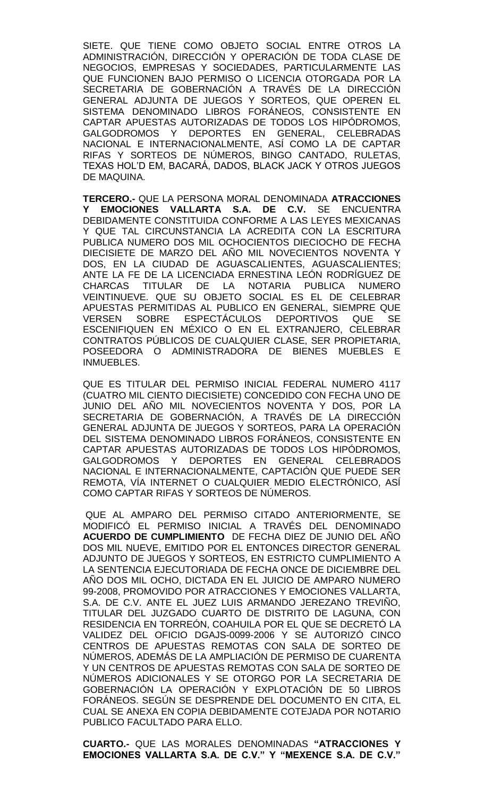SIETE. QUE TIENE COMO OBJETO SOCIAL ENTRE OTROS LA ADMINISTRACIÓN, DIRECCIÓN Y OPERACIÓN DE TODA CLASE DE NEGOCIOS, EMPRESAS Y SOCIEDADES, PARTICULARMENTE LAS QUE FUNCIONEN BAJO PERMISO O LICENCIA OTORGADA POR LA SECRETARIA DE GOBERNACIÓN A TRAVÉS DE LA DIRECCIÓN GENERAL ADJUNTA DE JUEGOS Y SORTEOS, QUE OPEREN EL SISTEMA DENOMINADO LIBROS FORÁNEOS, CONSISTENTE EN CAPTAR APUESTAS AUTORIZADAS DE TODOS LOS HIPÓDROMOS, GALGODROMOS Y DEPORTES EN GENERAL, CELEBRADAS NACIONAL E INTERNACIONALMENTE, ASÍ COMO LA DE CAPTAR RIFAS Y SORTEOS DE NÚMEROS, BINGO CANTADO, RULETAS, TEXAS HOL'D EM, BACARÁ, DADOS, BLACK JACK Y OTROS JUEGOS DE MAQUINA.

**TERCERO.-** QUE LA PERSONA MORAL DENOMINADA **ATRACCIONES Y EMOCIONES VALLARTA S.A. DE C.V.** SE ENCUENTRA DEBIDAMENTE CONSTITUIDA CONFORME A LAS LEYES MEXICANAS Y QUE TAL CIRCUNSTANCIA LA ACREDITA CON LA ESCRITURA PUBLICA NUMERO DOS MIL OCHOCIENTOS DIECIOCHO DE FECHA DIECISIETE DE MARZO DEL AÑO MIL NOVECIENTOS NOVENTA Y DOS, EN LA CIUDAD DE AGUASCALIENTES, AGUASCALIENTES; ANTE LA FE DE LA LICENCIADA ERNESTINA LEÓN RODRÍGUEZ DE CHARCAS TITULAR DE LA NOTARIA PUBLICA NUMERO VEINTINUEVE. QUE SU OBJETO SOCIAL ES EL DE CELEBRAR APUESTAS PERMITIDAS AL PUBLICO EN GENERAL, SIEMPRE QUE VERSEN SOBRE ESPECTÁCULOS DEPORTIVOS QUE SE ESCENIFIQUEN EN MÉXICO O EN EL EXTRANJERO, CELEBRAR CONTRATOS PÚBLICOS DE CUALQUIER CLASE, SER PROPIETARIA, POSEEDORA O ADMINISTRADORA DE BIENES MUEBLES E INMUEBLES.

QUE ES TITULAR DEL PERMISO INICIAL FEDERAL NUMERO 4117 (CUATRO MIL CIENTO DIECISIETE) CONCEDIDO CON FECHA UNO DE JUNIO DEL AÑO MIL NOVECIENTOS NOVENTA Y DOS, POR LA SECRETARIA DE GOBERNACIÓN, A TRAVÉS DE LA DIRECCIÓN GENERAL ADJUNTA DE JUEGOS Y SORTEOS, PARA LA OPERACIÓN DEL SISTEMA DENOMINADO LIBROS FORÁNEOS, CONSISTENTE EN CAPTAR APUESTAS AUTORIZADAS DE TODOS LOS HIPÓDROMOS, GALGODROMOS Y DEPORTES EN GENERAL CELEBRADOS NACIONAL E INTERNACIONALMENTE, CAPTACIÓN QUE PUEDE SER REMOTA, VÍA INTERNET O CUALQUIER MEDIO ELECTRÓNICO, ASÍ COMO CAPTAR RIFAS Y SORTEOS DE NÚMEROS.

QUE AL AMPARO DEL PERMISO CITADO ANTERIORMENTE, SE MODIFICÓ EL PERMISO INICIAL A TRAVÉS DEL DENOMINADO **ACUERDO DE CUMPLIMIENTO** DE FECHA DIEZ DE JUNIO DEL AÑO DOS MIL NUEVE, EMITIDO POR EL ENTONCES DIRECTOR GENERAL ADJUNTO DE JUEGOS Y SORTEOS, EN ESTRICTO CUMPLIMIENTO A LA SENTENCIA EJECUTORIADA DE FECHA ONCE DE DICIEMBRE DEL AÑO DOS MIL OCHO, DICTADA EN EL JUICIO DE AMPARO NUMERO 99-2008, PROMOVIDO POR ATRACCIONES Y EMOCIONES VALLARTA, S.A. DE C.V. ANTE EL JUEZ LUIS ARMANDO JEREZANO TREVIÑO, TITULAR DEL JUZGADO CUARTO DE DISTRITO DE LAGUNA, CON RESIDENCIA EN TORREÓN, COAHUILA POR EL QUE SE DECRETÓ LA VALIDEZ DEL OFICIO DGAJS-0099-2006 Y SE AUTORIZÓ CINCO CENTROS DE APUESTAS REMOTAS CON SALA DE SORTEO DE NÚMEROS, ADEMÁS DE LA AMPLIACIÓN DE PERMISO DE CUARENTA Y UN CENTROS DE APUESTAS REMOTAS CON SALA DE SORTEO DE NÚMEROS ADICIONALES Y SE OTORGO POR LA SECRETARIA DE GOBERNACIÓN LA OPERACIÓN Y EXPLOTACIÓN DE 50 LIBROS FORÁNEOS. SEGÚN SE DESPRENDE DEL DOCUMENTO EN CITA, EL CUAL SE ANEXA EN COPIA DEBIDAMENTE COTEJADA POR NOTARIO PUBLICO FACULTADO PARA ELLO.

**CUARTO.-** QUE LAS MORALES DENOMINADAS **"ATRACCIONES Y EMOCIONES VALLARTA S.A. DE C.V." Y "MEXENCE S.A. DE C.V."**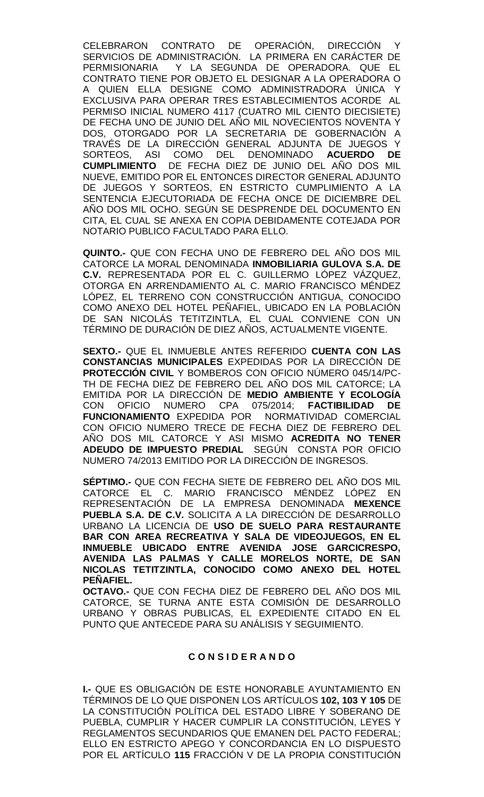CELEBRARON CONTRATO DE OPERACIÓN, DIRECCIÓN Y SERVICIOS DE ADMINISTRACIÓN. LA PRIMERA EN CARÁCTER DE PERMISIONARIA Y LA SEGUNDA DE OPERADORA. QUE EL CONTRATO TIENE POR OBJETO EL DESIGNAR A LA OPERADORA O A QUIEN ELLA DESIGNE COMO ADMINISTRADORA ÚNICA Y EXCLUSIVA PARA OPERAR TRES ESTABLECIMIENTOS ACORDE AL PERMISO INICIAL NUMERO 4117 (CUATRO MIL CIENTO DIECISIETE) DE FECHA UNO DE JUNIO DEL AÑO MIL NOVECIENTOS NOVENTA Y DOS, OTORGADO POR LA SECRETARIA DE GOBERNACIÓN A TRAVÉS DE LA DIRECCIÓN GENERAL ADJUNTA DE JUEGOS Y SORTEOS, ASI COMO DEL DENOMINADO **ACUERDO DE CUMPLIMIENTO** DE FECHA DIEZ DE JUNIO DEL AÑO DOS MIL NUEVE, EMITIDO POR EL ENTONCES DIRECTOR GENERAL ADJUNTO DE JUEGOS Y SORTEOS, EN ESTRICTO CUMPLIMIENTO A LA SENTENCIA EJECUTORIADA DE FECHA ONCE DE DICIEMBRE DEL AÑO DOS MIL OCHO. SEGÚN SE DESPRENDE DEL DOCUMENTO EN CITA, EL CUAL SE ANEXA EN COPIA DEBIDAMENTE COTEJADA POR NOTARIO PUBLICO FACULTADO PARA ELLO.

**QUINTO.-** QUE CON FECHA UNO DE FEBRERO DEL AÑO DOS MIL CATORCE LA MORAL DENOMINADA **INMOBILIARIA GULOVA S.A. DE C.V.** REPRESENTADA POR EL C. GUILLERMO LÓPEZ VÁZQUEZ, OTORGA EN ARRENDAMIENTO AL C. MARIO FRANCISCO MÉNDEZ LÓPEZ, EL TERRENO CON CONSTRUCCIÓN ANTIGUA, CONOCIDO COMO ANEXO DEL HOTEL PEÑAFIEL, UBICADO EN LA POBLACIÓN DE SAN NICOLÁS TETITZINTLA, EL CUAL CONVIENE CON UN TÉRMINO DE DURACIÓN DE DIEZ AÑOS, ACTUALMENTE VIGENTE.

**SEXTO.-** QUE EL INMUEBLE ANTES REFERIDO **CUENTA CON LAS CONSTANCIAS MUNICIPALES** EXPEDIDAS POR LA DIRECCIÓN DE **PROTECCIÓN CIVIL** Y BOMBEROS CON OFICIO NÚMERO 045/14/PC-TH DE FECHA DIEZ DE FEBRERO DEL AÑO DOS MIL CATORCE; LA EMITIDA POR LA DIRECCIÓN DE **MEDIO AMBIENTE Y ECOLOGÍA** CON OFICIO NUMERO CPA 075/2014; **FACTIBILIDAD DE FUNCIONAMIENTO** EXPEDIDA POR NORMATIVIDAD COMERCIAL CON OFICIO NUMERO TRECE DE FECHA DIEZ DE FEBRERO DEL AÑO DOS MIL CATORCE Y ASI MISMO **ACREDITA NO TENER ADEUDO DE IMPUESTO PREDIAL** SEGÚN CONSTA POR OFICIO NUMERO 74/2013 EMITIDO POR LA DIRECCIÓN DE INGRESOS.

**SÉPTIMO.-** QUE CON FECHA SIETE DE FEBRERO DEL AÑO DOS MIL CATORCE EL C. MARIO FRANCISCO MÉNDEZ LÓPEZ EN REPRESENTACIÓN DE LA EMPRESA DENOMINADA **MEXENCE PUEBLA S.A. DE C.V.** SOLICITA A LA DIRECCIÓN DE DESARROLLO URBANO LA LICENCIA DE **USO DE SUELO PARA RESTAURANTE BAR CON AREA RECREATIVA Y SALA DE VIDEOJUEGOS, EN EL INMUEBLE UBICADO ENTRE AVENIDA JOSE GARCICRESPO, AVENIDA LAS PALMAS Y CALLE MORELOS NORTE, DE SAN NICOLAS TETITZINTLA, CONOCIDO COMO ANEXO DEL HOTEL PEÑAFIEL.**

**OCTAVO.-** QUE CON FECHA DIEZ DE FEBRERO DEL AÑO DOS MIL CATORCE, SE TURNA ANTE ESTA COMISIÓN DE DESARROLLO URBANO Y OBRAS PUBLICAS, EL EXPEDIENTE CITADO EN EL PUNTO QUE ANTECEDE PARA SU ANÁLISIS Y SEGUIMIENTO.

# **C O N S I D E R A N D O**

**I.-** QUE ES OBLIGACIÓN DE ESTE HONORABLE AYUNTAMIENTO EN TÉRMINOS DE LO QUE DISPONEN LOS ARTÍCULOS **102, 103 Y 105** DE LA CONSTITUCIÓN POLÍTICA DEL ESTADO LIBRE Y SOBERANO DE PUEBLA, CUMPLIR Y HACER CUMPLIR LA CONSTITUCIÓN, LEYES Y REGLAMENTOS SECUNDARIOS QUE EMANEN DEL PACTO FEDERAL; ELLO EN ESTRICTO APEGO Y CONCORDANCIA EN LO DISPUESTO POR EL ARTÍCULO **115** FRACCIÓN V DE LA PROPIA CONSTITUCIÓN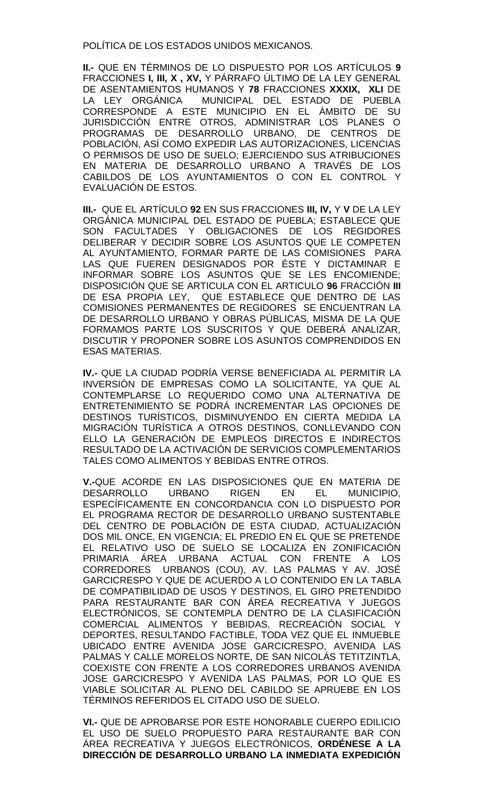POLÍTICA DE LOS ESTADOS UNIDOS MEXICANOS.

**II.-** QUE EN TÉRMINOS DE LO DISPUESTO POR LOS ARTÍCULOS **9** FRACCIONES **I, III, X , XV,** Y PÁRRAFO ÚLTIMO DE LA LEY GENERAL DE ASENTAMIENTOS HUMANOS Y **78** FRACCIONES **XXXIX, XLI** DE LA LEY ORGÁNICA MUNICIPAL DEL ESTADO DE PUEBLA CORRESPONDE A ESTE MUNICIPIO EN EL ÁMBITO DE SU JURISDICCIÓN ENTRE OTROS, ADMINISTRAR LOS PLANES O PROGRAMAS DE DESARROLLO URBANO, DE CENTROS DE POBLACIÓN, ASÍ COMO EXPEDIR LAS AUTORIZACIONES, LICENCIAS O PERMISOS DE USO DE SUELO; EJERCIENDO SUS ATRIBUCIONES EN MATERIA DE DESARROLLO URBANO A TRAVÉS DE LOS CABILDOS DE LOS AYUNTAMIENTOS O CON EL CONTROL Y EVALUACIÓN DE ESTOS.

**III.-** QUE EL ARTÍCULO **92** EN SUS FRACCIONES **III, IV,** Y **V** DE LA LEY ORGÁNICA MUNICIPAL DEL ESTADO DE PUEBLA; ESTABLECE QUE SON FACULTADES Y OBLIGACIONES DE LOS REGIDORES DELIBERAR Y DECIDIR SOBRE LOS ASUNTOS QUE LE COMPETEN AL AYUNTAMIENTO, FORMAR PARTE DE LAS COMISIONES PARA LAS QUE FUEREN DESIGNADOS POR ÉSTE Y DICTAMINAR E INFORMAR SOBRE LOS ASUNTOS QUE SE LES ENCOMIENDE; DISPOSICIÓN QUE SE ARTICULA CON EL ARTICULO **96** FRACCIÓN **III** DE ESA PROPIA LEY, QUE ESTABLECE QUE DENTRO DE LAS COMISIONES PERMANENTES DE REGIDORES SE ENCUENTRAN LA DE DESARROLLO URBANO Y OBRAS PÚBLICAS, MISMA DE LA QUE FORMAMOS PARTE LOS SUSCRITOS Y QUE DEBERÁ ANALIZAR, DISCUTIR Y PROPONER SOBRE LOS ASUNTOS COMPRENDIDOS EN ESAS MATERIAS.

**IV.-** QUE LA CIUDAD PODRÍA VERSE BENEFICIADA AL PERMITIR LA INVERSIÓN DE EMPRESAS COMO LA SOLICITANTE, YA QUE AL CONTEMPLARSE LO REQUERIDO COMO UNA ALTERNATIVA DE ENTRETENIMIENTO SE PODRÁ INCREMENTAR LAS OPCIONES DE DESTINOS TURÍSTICOS, DISMINUYENDO EN CIERTA MEDIDA LA MIGRACIÓN TURÍSTICA A OTROS DESTINOS, CONLLEVANDO CON ELLO LA GENERACIÓN DE EMPLEOS DIRECTOS E INDIRECTOS RESULTADO DE LA ACTIVACIÓN DE SERVICIOS COMPLEMENTARIOS TALES COMO ALIMENTOS Y BEBIDAS ENTRE OTROS.

**V.-**QUE ACORDE EN LAS DISPOSICIONES QUE EN MATERIA DE DESARROLLO URBANO RIGEN EN EL MUNICIPIO, ESPECÍFICAMENTE EN CONCORDANCIA CON LO DISPUESTO POR EL PROGRAMA RECTOR DE DESARROLLO URBANO SUSTENTABLE DEL CENTRO DE POBLACIÓN DE ESTA CIUDAD, ACTUALIZACIÓN DOS MIL ONCE, EN VIGENCIA; EL PREDIO EN EL QUE SE PRETENDE EL RELATIVO USO DE SUELO SE LOCALIZA EN ZONIFICACIÓN PRIMARIA ÁREA URBANA ACTUAL CON FRENTE A LOS CORREDORES URBANOS (COU), AV. LAS PALMAS Y AV. JOSÉ GARCICRESPO Y QUE DE ACUERDO A LO CONTENIDO EN LA TABLA DE COMPATIBILIDAD DE USOS Y DESTINOS, EL GIRO PRETENDIDO PARA RESTAURANTE BAR CON ÁREA RECREATIVA Y JUEGOS ELECTRÓNICOS, SE CONTEMPLA DENTRO DE LA CLASIFICACIÓN COMERCIAL ALIMENTOS Y BEBIDAS, RECREACIÓN SOCIAL Y DEPORTES, RESULTANDO FACTIBLE, TODA VEZ QUE EL INMUEBLE UBICADO ENTRE AVENIDA JOSE GARCICRESPO, AVENIDA LAS PALMAS Y CALLE MORELOS NORTE, DE SAN NICOLÁS TETITZINTLA, COEXISTE CON FRENTE A LOS CORREDORES URBANOS AVENIDA JOSE GARCICRESPO Y AVENIDA LAS PALMAS, POR LO QUE ES VIABLE SOLICITAR AL PLENO DEL CABILDO SE APRUEBE EN LOS TÉRMINOS REFERIDOS EL CITADO USO DE SUELO.

**VI.-** QUE DE APROBARSE POR ESTE HONORABLE CUERPO EDILICIO EL USO DE SUELO PROPUESTO PARA RESTAURANTE BAR CON ÁREA RECREATIVA Y JUEGOS ELECTRÓNICOS, **ORDÉNESE A LA DIRECCIÓN DE DESARROLLO URBANO LA INMEDIATA EXPEDICIÓN**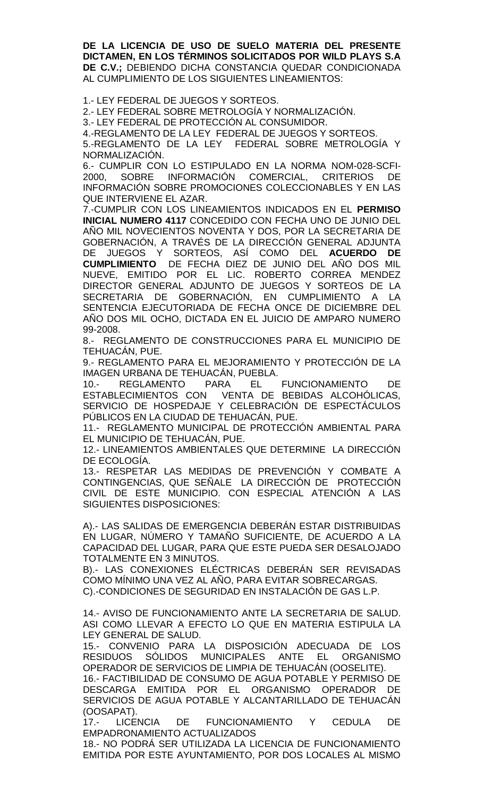**DE LA LICENCIA DE USO DE SUELO MATERIA DEL PRESENTE DICTAMEN, EN LOS TÉRMINOS SOLICITADOS POR WILD PLAYS S.A DE C.V.;** DEBIENDO DICHA CONSTANCIA QUEDAR CONDICIONADA AL CUMPLIMIENTO DE LOS SIGUIENTES LINEAMIENTOS:

1.- LEY FEDERAL DE JUEGOS Y SORTEOS.

2.- LEY FEDERAL SOBRE METROLOGÍA Y NORMALIZACIÓN.

3.- LEY FEDERAL DE PROTECCIÓN AL CONSUMIDOR.

4.-REGLAMENTO DE LA LEY FEDERAL DE JUEGOS Y SORTEOS.

5.-REGLAMENTO DE LA LEY FEDERAL SOBRE METROLOGÍA Y NORMALIZACIÓN.

6.- CUMPLIR CON LO ESTIPULADO EN LA NORMA NOM-028-SCFI-2000, SOBRE INFORMACIÓN COMERCIAL, CRITERIOS DE INFORMACIÓN SOBRE PROMOCIONES COLECCIONABLES Y EN LAS QUE INTERVIENE EL AZAR.

7.-CUMPLIR CON LOS LINEAMIENTOS INDICADOS EN EL **PERMISO INICIAL NUMERO 4117** CONCEDIDO CON FECHA UNO DE JUNIO DEL AÑO MIL NOVECIENTOS NOVENTA Y DOS, POR LA SECRETARIA DE GOBERNACIÓN, A TRAVÉS DE LA DIRECCIÓN GENERAL ADJUNTA DE JUEGOS Y SORTEOS, ASÍ COMO DEL **ACUERDO DE CUMPLIMIENTO** DE FECHA DIEZ DE JUNIO DEL AÑO DOS MIL NUEVE, EMITIDO POR EL LIC. ROBERTO CORREA MENDEZ DIRECTOR GENERAL ADJUNTO DE JUEGOS Y SORTEOS DE LA SECRETARIA DE GOBERNACIÓN, EN CUMPLIMIENTO A LA SENTENCIA EJECUTORIADA DE FECHA ONCE DE DICIEMBRE DEL AÑO DOS MIL OCHO, DICTADA EN EL JUICIO DE AMPARO NUMERO 99-2008.

8.- REGLAMENTO DE CONSTRUCCIONES PARA EL MUNICIPIO DE TEHUACÁN, PUE.

9.- REGLAMENTO PARA EL MEJORAMIENTO Y PROTECCIÓN DE LA IMAGEN URBANA DE TEHUACÁN, PUEBLA.

10.- REGLAMENTO PARA EL FUNCIONAMIENTO DE ESTABLECIMIENTOS CON VENTA DE BEBIDAS ALCOHÓLICAS, SERVICIO DE HOSPEDAJE Y CELEBRACIÓN DE ESPECTÁCULOS PÚBLICOS EN LA CIUDAD DE TEHUACÁN, PUE.

11.- REGLAMENTO MUNICIPAL DE PROTECCIÓN AMBIENTAL PARA EL MUNICIPIO DE TEHUACÁN, PUE.

12.- LINEAMIENTOS AMBIENTALES QUE DETERMINE LA DIRECCIÓN DE ECOLOGÍA.

13.- RESPETAR LAS MEDIDAS DE PREVENCIÓN Y COMBATE A CONTINGENCIAS, QUE SEÑALE LA DIRECCIÓN DE PROTECCIÓN CIVIL DE ESTE MUNICIPIO. CON ESPECIAL ATENCIÓN A LAS SIGUIENTES DISPOSICIONES:

A).- LAS SALIDAS DE EMERGENCIA DEBERÁN ESTAR DISTRIBUIDAS EN LUGAR, NÚMERO Y TAMAÑO SUFICIENTE, DE ACUERDO A LA CAPACIDAD DEL LUGAR, PARA QUE ESTE PUEDA SER DESALOJADO TOTALMENTE EN 3 MINUTOS.

B).- LAS CONEXIONES ELÉCTRICAS DEBERÁN SER REVISADAS COMO MÍNIMO UNA VEZ AL AÑO, PARA EVITAR SOBRECARGAS. C).-CONDICIONES DE SEGURIDAD EN INSTALACIÓN DE GAS L.P.

14.- AVISO DE FUNCIONAMIENTO ANTE LA SECRETARIA DE SALUD. ASI COMO LLEVAR A EFECTO LO QUE EN MATERIA ESTIPULA LA LEY GENERAL DE SALUD.

15.- CONVENIO PARA LA DISPOSICIÓN ADECUADA DE LOS RESIDUOS SÓLIDOS MUNICIPALES ANTE EL ORGANISMO OPERADOR DE SERVICIOS DE LIMPIA DE TEHUACÁN (OOSELITE).

16.- FACTIBILIDAD DE CONSUMO DE AGUA POTABLE Y PERMISO DE DESCARGA EMITIDA POR EL ORGANISMO OPERADOR DE SERVICIOS DE AGUA POTABLE Y ALCANTARILLADO DE TEHUACÁN (OOSAPAT).

17.- LICENCIA DE FUNCIONAMIENTO Y CEDULA DE EMPADRONAMIENTO ACTUALIZADOS

18.- NO PODRÁ SER UTILIZADA LA LICENCIA DE FUNCIONAMIENTO EMITIDA POR ESTE AYUNTAMIENTO, POR DOS LOCALES AL MISMO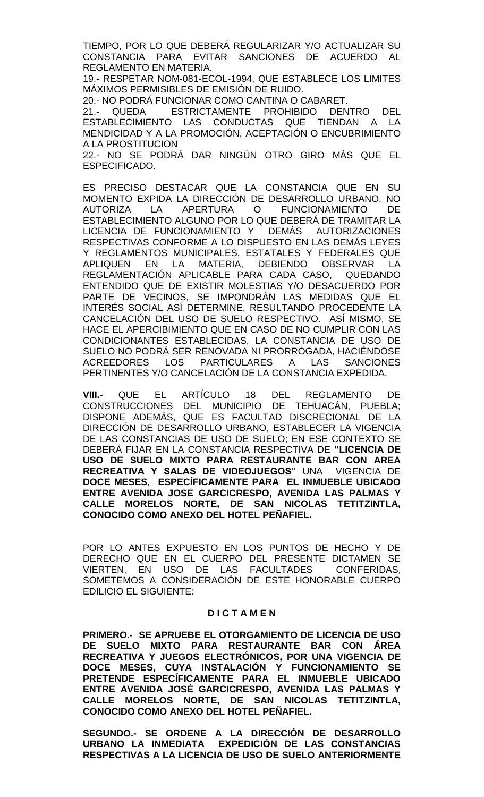TIEMPO, POR LO QUE DEBERÁ REGULARIZAR Y/O ACTUALIZAR SU CONSTANCIA PARA EVITAR SANCIONES DE ACUERDO AL REGLAMENTO EN MATERIA.

19.- RESPETAR NOM-081-ECOL-1994, QUE ESTABLECE LOS LIMITES MÁXIMOS PERMISIBLES DE EMISIÓN DE RUIDO.

20.- NO PODRÁ FUNCIONAR COMO CANTINA O CABARET.

21.- QUEDA ESTRICTAMENTE PROHIBIDO DENTRO DEL ESTABLECIMIENTO LAS CONDUCTAS QUE TIENDAN A LA MENDICIDAD Y A LA PROMOCIÓN, ACEPTACIÓN O ENCUBRIMIENTO A LA PROSTITUCION

22.- NO SE PODRÁ DAR NINGÚN OTRO GIRO MÁS QUE EL ESPECIFICADO.

ES PRECISO DESTACAR QUE LA CONSTANCIA QUE EN SU MOMENTO EXPIDA LA DIRECCIÓN DE DESARROLLO URBANO, NO AUTORIZA LA APERTURA O FUNCIONAMIENTO DE ESTABLECIMIENTO ALGUNO POR LO QUE DEBERÁ DE TRAMITAR LA LICENCIA DE FUNCIONAMIENTO Y DEMÁS AUTORIZACIONES RESPECTIVAS CONFORME A LO DISPUESTO EN LAS DEMÁS LEYES Y REGLAMENTOS MUNICIPALES, ESTATALES Y FEDERALES QUE APLIQUEN EN LA MATERIA, DEBIENDO OBSERVAR LA REGLAMENTACIÓN APLICABLE PARA CADA CASO, QUEDANDO ENTENDIDO QUE DE EXISTIR MOLESTIAS Y/O DESACUERDO POR PARTE DE VECINOS, SE IMPONDRÁN LAS MEDIDAS QUE EL INTERÉS SOCIAL ASÍ DETERMINE, RESULTANDO PROCEDENTE LA CANCELACIÓN DEL USO DE SUELO RESPECTIVO. ASÍ MISMO, SE HACE EL APERCIBIMIENTO QUE EN CASO DE NO CUMPLIR CON LAS CONDICIONANTES ESTABLECIDAS, LA CONSTANCIA DE USO DE SUELO NO PODRÁ SER RENOVADA NI PRORROGADA, HACIÉNDOSE ACREEDORES LOS PARTICULARES A LAS SANCIONES PERTINENTES Y/O CANCELACIÓN DE LA CONSTANCIA EXPEDIDA.

**VIII.-** QUE EL ARTÍCULO 18 DEL REGLAMENTO DE CONSTRUCCIONES DEL MUNICIPIO DE TEHUACÁN, PUEBLA; DISPONE ADEMÁS, QUE ES FACULTAD DISCRECIONAL DE LA DIRECCIÓN DE DESARROLLO URBANO, ESTABLECER LA VIGENCIA DE LAS CONSTANCIAS DE USO DE SUELO; EN ESE CONTEXTO SE DEBERÁ FIJAR EN LA CONSTANCIA RESPECTIVA DE **"LICENCIA DE USO DE SUELO MIXTO PARA RESTAURANTE BAR CON AREA RECREATIVA Y SALAS DE VIDEOJUEGOS"** UNA VIGENCIA DE **DOCE MESES**, **ESPECÍFICAMENTE PARA EL INMUEBLE UBICADO ENTRE AVENIDA JOSE GARCICRESPO, AVENIDA LAS PALMAS Y CALLE MORELOS NORTE, DE SAN NICOLAS TETITZINTLA, CONOCIDO COMO ANEXO DEL HOTEL PEÑAFIEL.**

POR LO ANTES EXPUESTO EN LOS PUNTOS DE HECHO Y DE DERECHO QUE EN EL CUERPO DEL PRESENTE DICTAMEN SE VIERTEN, EN USO DE LAS FACULTADES CONFERIDAS, SOMETEMOS A CONSIDERACIÓN DE ESTE HONORABLE CUERPO EDILICIO EL SIGUIENTE:

#### **D I C T A M E N**

**PRIMERO.- SE APRUEBE EL OTORGAMIENTO DE LICENCIA DE USO DE SUELO MIXTO PARA RESTAURANTE BAR CON ÁREA RECREATIVA Y JUEGOS ELECTRÓNICOS, POR UNA VIGENCIA DE DOCE MESES, CUYA INSTALACIÓN Y FUNCIONAMIENTO SE PRETENDE ESPECÍFICAMENTE PARA EL INMUEBLE UBICADO ENTRE AVENIDA JOSÉ GARCICRESPO, AVENIDA LAS PALMAS Y CALLE MORELOS NORTE, DE SAN NICOLAS TETITZINTLA, CONOCIDO COMO ANEXO DEL HOTEL PEÑAFIEL.**

**SEGUNDO.- SE ORDENE A LA DIRECCIÓN DE DESARROLLO URBANO LA INMEDIATA EXPEDICIÓN DE LAS CONSTANCIAS RESPECTIVAS A LA LICENCIA DE USO DE SUELO ANTERIORMENTE**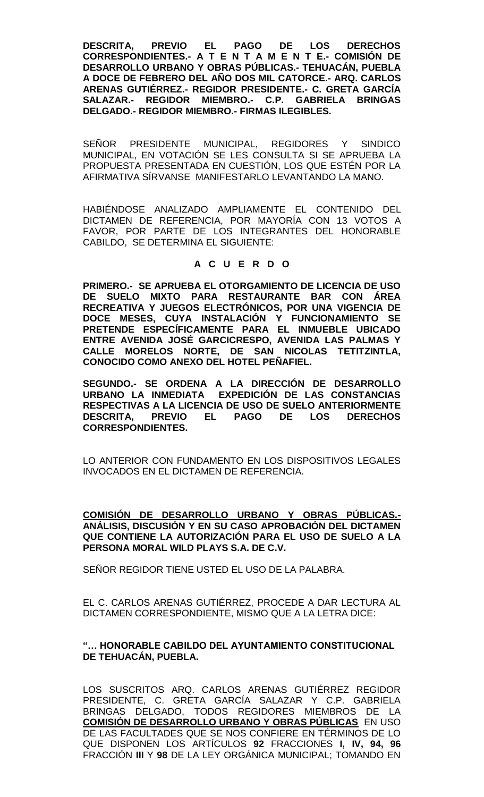**DESCRITA, PREVIO EL PAGO DE LOS DERECHOS CORRESPONDIENTES.- A T E N T A M E N T E.- COMISIÓN DE DESARROLLO URBANO Y OBRAS PÚBLICAS.- TEHUACÁN, PUEBLA A DOCE DE FEBRERO DEL AÑO DOS MIL CATORCE.- ARQ. CARLOS ARENAS GUTIÉRREZ.- REGIDOR PRESIDENTE.- C. GRETA GARCÍA SALAZAR.- REGIDOR MIEMBRO.- C.P. GABRIELA BRINGAS DELGADO.- REGIDOR MIEMBRO.- FIRMAS ILEGIBLES.** 

SEÑOR PRESIDENTE MUNICIPAL, REGIDORES Y SINDICO MUNICIPAL, EN VOTACIÓN SE LES CONSULTA SI SE APRUEBA LA PROPUESTA PRESENTADA EN CUESTIÓN, LOS QUE ESTÉN POR LA AFIRMATIVA SÍRVANSE MANIFESTARLO LEVANTANDO LA MANO.

HABIÉNDOSE ANALIZADO AMPLIAMENTE EL CONTENIDO DEL DICTAMEN DE REFERENCIA, POR MAYORÍA CON 13 VOTOS A FAVOR, POR PARTE DE LOS INTEGRANTES DEL HONORABLE CABILDO, SE DETERMINA EL SIGUIENTE:

# **A C U E R D O**

**PRIMERO.- SE APRUEBA EL OTORGAMIENTO DE LICENCIA DE USO DE SUELO MIXTO PARA RESTAURANTE BAR CON ÁREA RECREATIVA Y JUEGOS ELECTRÓNICOS, POR UNA VIGENCIA DE DOCE MESES, CUYA INSTALACIÓN Y FUNCIONAMIENTO SE PRETENDE ESPECÍFICAMENTE PARA EL INMUEBLE UBICADO ENTRE AVENIDA JOSÉ GARCICRESPO, AVENIDA LAS PALMAS Y CALLE MORELOS NORTE, DE SAN NICOLAS TETITZINTLA, CONOCIDO COMO ANEXO DEL HOTEL PEÑAFIEL.**

**SEGUNDO.- SE ORDENA A LA DIRECCIÓN DE DESARROLLO URBANO LA INMEDIATA EXPEDICIÓN DE LAS CONSTANCIAS RESPECTIVAS A LA LICENCIA DE USO DE SUELO ANTERIORMENTE DESCRITA, PREVIO EL PAGO DE LOS DERECHOS CORRESPONDIENTES.**

LO ANTERIOR CON FUNDAMENTO EN LOS DISPOSITIVOS LEGALES INVOCADOS EN EL DICTAMEN DE REFERENCIA.

**COMISIÓN DE DESARROLLO URBANO Y OBRAS PÚBLICAS.- ANÁLISIS, DISCUSIÓN Y EN SU CASO APROBACIÓN DEL DICTAMEN QUE CONTIENE LA AUTORIZACIÓN PARA EL USO DE SUELO A LA PERSONA MORAL WILD PLAYS S.A. DE C.V.**

SEÑOR REGIDOR TIENE USTED EL USO DE LA PALABRA.

EL C. CARLOS ARENAS GUTIÉRREZ, PROCEDE A DAR LECTURA AL DICTAMEN CORRESPONDIENTE, MISMO QUE A LA LETRA DICE:

# **"… HONORABLE CABILDO DEL AYUNTAMIENTO CONSTITUCIONAL DE TEHUACÁN, PUEBLA.**

LOS SUSCRITOS ARQ. CARLOS ARENAS GUTIÉRREZ REGIDOR PRESIDENTE, C. GRETA GARCÍA SALAZAR Y C.P. GABRIELA BRINGAS DELGADO, TODOS REGIDORES MIEMBROS DE LA **COMISIÓN DE DESARROLLO URBANO Y OBRAS PÚBLICAS** EN USO DE LAS FACULTADES QUE SE NOS CONFIERE EN TÉRMINOS DE LO QUE DISPONEN LOS ARTÍCULOS **92** FRACCIONES **I, IV, 94, 96** FRACCIÓN **III** Y **98** DE LA LEY ORGÁNICA MUNICIPAL; TOMANDO EN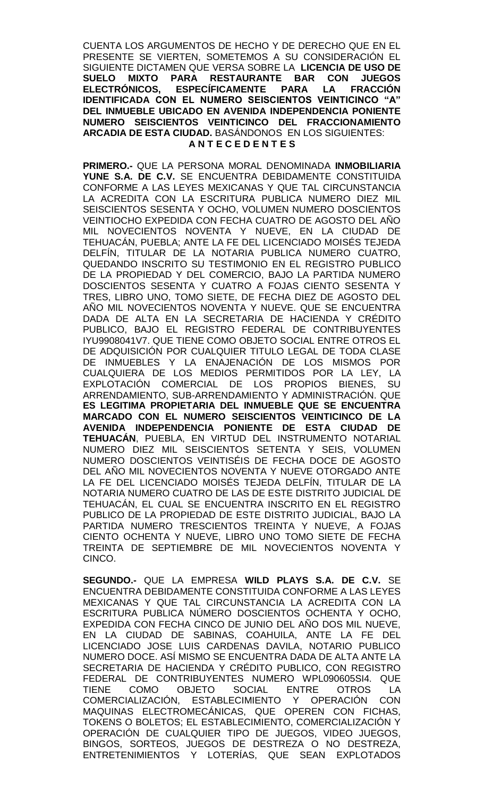CUENTA LOS ARGUMENTOS DE HECHO Y DE DERECHO QUE EN EL PRESENTE SE VIERTEN, SOMETEMOS A SU CONSIDERACIÓN EL SIGUIENTE DICTAMEN QUE VERSA SOBRE LA **LICENCIA DE USO DE SUELO MIXTO PARA RESTAURANTE BAR CON JUEGOS ELECTRÓNICOS, ESPECÍFICAMENTE PARA LA FRACCIÓN IDENTIFICADA CON EL NUMERO SEISCIENTOS VEINTICINCO "A" DEL INMUEBLE UBICADO EN AVENIDA INDEPENDENCIA PONIENTE NUMERO SEISCIENTOS VEINTICINCO DEL FRACCIONAMIENTO ARCADIA DE ESTA CIUDAD.** BASÁNDONOS EN LOS SIGUIENTES: **A N T E C E D E N T E S**

**PRIMERO.-** QUE LA PERSONA MORAL DENOMINADA **INMOBILIARIA YUNE S.A. DE C.V.** SE ENCUENTRA DEBIDAMENTE CONSTITUIDA CONFORME A LAS LEYES MEXICANAS Y QUE TAL CIRCUNSTANCIA LA ACREDITA CON LA ESCRITURA PUBLICA NUMERO DIEZ MIL SEISCIENTOS SESENTA Y OCHO, VOLUMEN NUMERO DOSCIENTOS VEINTIOCHO EXPEDIDA CON FECHA CUATRO DE AGOSTO DEL AÑO MIL NOVECIENTOS NOVENTA Y NUEVE, EN LA CIUDAD DE TEHUACÁN, PUEBLA; ANTE LA FE DEL LICENCIADO MOISÉS TEJEDA DELFÍN, TITULAR DE LA NOTARIA PUBLICA NUMERO CUATRO, QUEDANDO INSCRITO SU TESTIMONIO EN EL REGISTRO PUBLICO DE LA PROPIEDAD Y DEL COMERCIO, BAJO LA PARTIDA NUMERO DOSCIENTOS SESENTA Y CUATRO A FOJAS CIENTO SESENTA Y TRES, LIBRO UNO, TOMO SIETE, DE FECHA DIEZ DE AGOSTO DEL AÑO MIL NOVECIENTOS NOVENTA Y NUEVE. QUE SE ENCUENTRA DADA DE ALTA EN LA SECRETARIA DE HACIENDA Y CRÉDITO PUBLICO, BAJO EL REGISTRO FEDERAL DE CONTRIBUYENTES IYU9908041V7. QUE TIENE COMO OBJETO SOCIAL ENTRE OTROS EL DE ADQUISICIÓN POR CUALQUIER TITULO LEGAL DE TODA CLASE DE INMUEBLES Y LA ENAJENACIÓN DE LOS MISMOS POR CUALQUIERA DE LOS MEDIOS PERMITIDOS POR LA LEY, LA EXPLOTACIÓN COMERCIAL DE LOS PROPIOS BIENES, SU ARRENDAMIENTO, SUB-ARRENDAMIENTO Y ADMINISTRACIÓN. QUE **ES LEGITIMA PROPIETARIA DEL INMUEBLE QUE SE ENCUENTRA MARCADO CON EL NUMERO SEISCIENTOS VEINTICINCO DE LA AVENIDA INDEPENDENCIA PONIENTE DE ESTA CIUDAD DE TEHUACÁN**, PUEBLA, EN VIRTUD DEL INSTRUMENTO NOTARIAL NUMERO DIEZ MIL SEISCIENTOS SETENTA Y SEIS, VOLUMEN NUMERO DOSCIENTOS VEINTISÉIS DE FECHA DOCE DE AGOSTO DEL AÑO MIL NOVECIENTOS NOVENTA Y NUEVE OTORGADO ANTE LA FE DEL LICENCIADO MOISÉS TEJEDA DELFÍN, TITULAR DE LA NOTARIA NUMERO CUATRO DE LAS DE ESTE DISTRITO JUDICIAL DE TEHUACÁN, EL CUAL SE ENCUENTRA INSCRITO EN EL REGISTRO PUBLICO DE LA PROPIEDAD DE ESTE DISTRITO JUDICIAL, BAJO LA PARTIDA NUMERO TRESCIENTOS TREINTA Y NUEVE, A FOJAS CIENTO OCHENTA Y NUEVE, LIBRO UNO TOMO SIETE DE FECHA TREINTA DE SEPTIEMBRE DE MIL NOVECIENTOS NOVENTA Y CINCO.

**SEGUNDO.-** QUE LA EMPRESA **WILD PLAYS S.A. DE C.V.** SE ENCUENTRA DEBIDAMENTE CONSTITUIDA CONFORME A LAS LEYES MEXICANAS Y QUE TAL CIRCUNSTANCIA LA ACREDITA CON LA ESCRITURA PUBLICA NÚMERO DOSCIENTOS OCHENTA Y OCHO, EXPEDIDA CON FECHA CINCO DE JUNIO DEL AÑO DOS MIL NUEVE, EN LA CIUDAD DE SABINAS, COAHUILA, ANTE LA FE DEL LICENCIADO JOSE LUIS CARDENAS DAVILA, NOTARIO PUBLICO NUMERO DOCE. ASÍ MISMO SE ENCUENTRA DADA DE ALTA ANTE LA SECRETARIA DE HACIENDA Y CRÉDITO PUBLICO, CON REGISTRO FEDERAL DE CONTRIBUYENTES NUMERO WPL090605SI4. QUE TIENE COMO OBJETO SOCIAL ENTRE OTROS LA COMERCIALIZACIÓN, ESTABLECIMIENTO Y OPERACIÓN CON MAQUINAS ELECTROMECÁNICAS, QUE OPEREN CON FICHAS, TOKENS O BOLETOS; EL ESTABLECIMIENTO, COMERCIALIZACIÓN Y OPERACIÓN DE CUALQUIER TIPO DE JUEGOS, VIDEO JUEGOS, BINGOS, SORTEOS, JUEGOS DE DESTREZA O NO DESTREZA, ENTRETENIMIENTOS Y LOTERÍAS, QUE SEAN EXPLOTADOS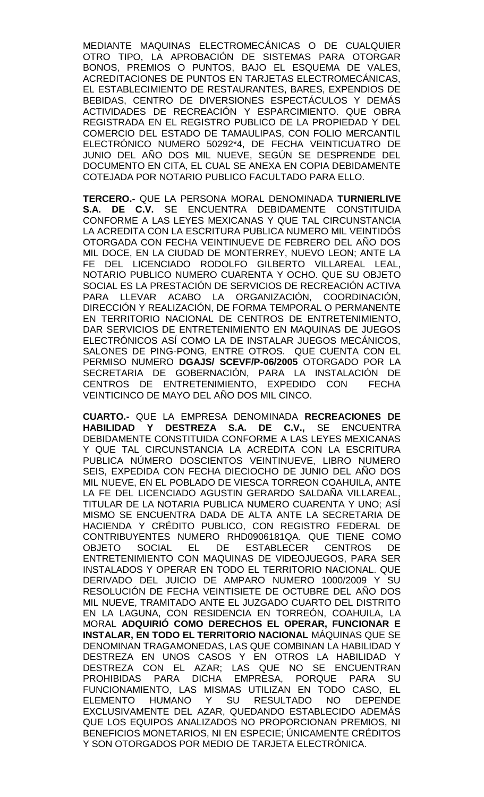MEDIANTE MAQUINAS ELECTROMECÁNICAS O DE CUALQUIER OTRO TIPO, LA APROBACIÓN DE SISTEMAS PARA OTORGAR BONOS, PREMIOS O PUNTOS, BAJO EL ESQUEMA DE VALES, ACREDITACIONES DE PUNTOS EN TARJETAS ELECTROMECÁNICAS, EL ESTABLECIMIENTO DE RESTAURANTES, BARES, EXPENDIOS DE BEBIDAS, CENTRO DE DIVERSIONES ESPECTÁCULOS Y DEMÁS ACTIVIDADES DE RECREACIÓN Y ESPARCIMIENTO. QUE OBRA REGISTRADA EN EL REGISTRO PUBLICO DE LA PROPIEDAD Y DEL COMERCIO DEL ESTADO DE TAMAULIPAS, CON FOLIO MERCANTIL ELECTRÓNICO NUMERO 50292\*4, DE FECHA VEINTICUATRO DE JUNIO DEL AÑO DOS MIL NUEVE, SEGÚN SE DESPRENDE DEL DOCUMENTO EN CITA, EL CUAL SE ANEXA EN COPIA DEBIDAMENTE COTEJADA POR NOTARIO PUBLICO FACULTADO PARA ELLO.

**TERCERO.-** QUE LA PERSONA MORAL DENOMINADA **TURNIERLIVE S.A. DE C.V.** SE ENCUENTRA DEBIDAMENTE CONSTITUIDA CONFORME A LAS LEYES MEXICANAS Y QUE TAL CIRCUNSTANCIA LA ACREDITA CON LA ESCRITURA PUBLICA NUMERO MIL VEINTIDÓS OTORGADA CON FECHA VEINTINUEVE DE FEBRERO DEL AÑO DOS MIL DOCE, EN LA CIUDAD DE MONTERREY, NUEVO LEON; ANTE LA FE DEL LICENCIADO RODOLFO GILBERTO VILLAREAL LEAL, NOTARIO PUBLICO NUMERO CUARENTA Y OCHO. QUE SU OBJETO SOCIAL ES LA PRESTACIÓN DE SERVICIOS DE RECREACIÓN ACTIVA PARA LLEVAR ACABO LA ORGANIZACIÓN, COORDINACIÓN, DIRECCIÓN Y REALIZACIÓN, DE FORMA TEMPORAL O PERMANENTE EN TERRITORIO NACIONAL DE CENTROS DE ENTRETENIMIENTO, DAR SERVICIOS DE ENTRETENIMIENTO EN MAQUINAS DE JUEGOS ELECTRÓNICOS ASÍ COMO LA DE INSTALAR JUEGOS MECÁNICOS, SALONES DE PING-PONG, ENTRE OTROS. QUE CUENTA CON EL PERMISO NUMERO **DGAJS/ SCEVF/P-06/2005** OTORGADO POR LA SECRETARIA DE GOBERNACIÓN, PARA LA INSTALACIÓN DE CENTROS DE ENTRETENIMIENTO, EXPEDIDO CON FECHA VEINTICINCO DE MAYO DEL AÑO DOS MIL CINCO.

**CUARTO.-** QUE LA EMPRESA DENOMINADA **RECREACIONES DE HABILIDAD Y DESTREZA S.A. DE C.V.,** SE ENCUENTRA DEBIDAMENTE CONSTITUIDA CONFORME A LAS LEYES MEXICANAS Y QUE TAL CIRCUNSTANCIA LA ACREDITA CON LA ESCRITURA PUBLICA NÚMERO DOSCIENTOS VEINTINUEVE, LIBRO NUMERO SEIS, EXPEDIDA CON FECHA DIECIOCHO DE JUNIO DEL AÑO DOS MIL NUEVE, EN EL POBLADO DE VIESCA TORREON COAHUILA, ANTE LA FE DEL LICENCIADO AGUSTIN GERARDO SALDAÑA VILLAREAL, TITULAR DE LA NOTARIA PUBLICA NUMERO CUARENTA Y UNO; ASÍ MISMO SE ENCUENTRA DADA DE ALTA ANTE LA SECRETARIA DE HACIENDA Y CRÉDITO PUBLICO, CON REGISTRO FEDERAL DE CONTRIBUYENTES NUMERO RHD0906181QA. QUE TIENE COMO OBJETO SOCIAL EL DE ESTABLECER CENTROS DE ENTRETENIMIENTO CON MAQUINAS DE VIDEOJUEGOS, PARA SER INSTALADOS Y OPERAR EN TODO EL TERRITORIO NACIONAL. QUE DERIVADO DEL JUICIO DE AMPARO NUMERO 1000/2009 Y SU RESOLUCIÓN DE FECHA VEINTISIETE DE OCTUBRE DEL AÑO DOS MIL NUEVE, TRAMITADO ANTE EL JUZGADO CUARTO DEL DISTRITO EN LA LAGUNA, CON RESIDENCIA EN TORREÓN, COAHUILA, LA MORAL **ADQUIRIÓ COMO DERECHOS EL OPERAR, FUNCIONAR E INSTALAR, EN TODO EL TERRITORIO NACIONAL** MÁQUINAS QUE SE DENOMINAN TRAGAMONEDAS, LAS QUE COMBINAN LA HABILIDAD Y DESTREZA EN UNOS CASOS Y EN OTROS LA HABILIDAD Y DESTREZA CON EL AZAR; LAS QUE NO SE ENCUENTRAN PROHIBIDAS PARA DICHA EMPRESA, PORQUE PARA SU FUNCIONAMIENTO, LAS MISMAS UTILIZAN EN TODO CASO, EL ELEMENTO HUMANO Y SU RESULTADO NO DEPENDE EXCLUSIVAMENTE DEL AZAR, QUEDANDO ESTABLECIDO ADEMÁS QUE LOS EQUIPOS ANALIZADOS NO PROPORCIONAN PREMIOS, NI BENEFICIOS MONETARIOS, NI EN ESPECIE; ÚNICAMENTE CRÉDITOS Y SON OTORGADOS POR MEDIO DE TARJETA ELECTRÓNICA.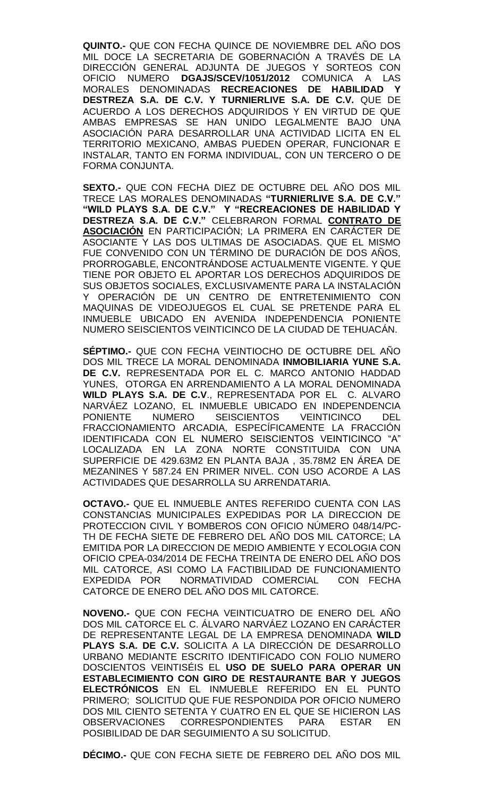**QUINTO.-** QUE CON FECHA QUINCE DE NOVIEMBRE DEL AÑO DOS MIL DOCE LA SECRETARIA DE GOBERNACIÓN A TRAVÉS DE LA DIRECCIÓN GENERAL ADJUNTA DE JUEGOS Y SORTEOS CON OFICIO NUMERO **DGAJS/SCEV/1051/2012** COMUNICA A LAS MORALES DENOMINADAS **RECREACIONES DE HABILIDAD Y DESTREZA S.A. DE C.V. Y TURNIERLIVE S.A. DE C.V.** QUE DE ACUERDO A LOS DERECHOS ADQUIRIDOS Y EN VIRTUD DE QUE AMBAS EMPRESAS SE HAN UNIDO LEGALMENTE BAJO UNA ASOCIACIÓN PARA DESARROLLAR UNA ACTIVIDAD LICITA EN EL TERRITORIO MEXICANO, AMBAS PUEDEN OPERAR, FUNCIONAR E INSTALAR, TANTO EN FORMA INDIVIDUAL, CON UN TERCERO O DE FORMA CONJUNTA.

**SEXTO.-** QUE CON FECHA DIEZ DE OCTUBRE DEL AÑO DOS MIL TRECE LAS MORALES DENOMINADAS **"TURNIERLIVE S.A. DE C.V." "WILD PLAYS S.A. DE C.V." Y "RECREACIONES DE HABILIDAD Y DESTREZA S.A. DE C.V."** CELEBRARON FORMAL **CONTRATO DE ASOCIACIÓN** EN PARTICIPACIÓN; LA PRIMERA EN CARÁCTER DE ASOCIANTE Y LAS DOS ULTIMAS DE ASOCIADAS. QUE EL MISMO FUE CONVENIDO CON UN TÉRMINO DE DURACIÓN DE DOS AÑOS, PRORROGABLE, ENCONTRÁNDOSE ACTUALMENTE VIGENTE. Y QUE TIENE POR OBJETO EL APORTAR LOS DERECHOS ADQUIRIDOS DE SUS OBJETOS SOCIALES, EXCLUSIVAMENTE PARA LA INSTALACIÓN Y OPERACIÓN DE UN CENTRO DE ENTRETENIMIENTO CON MAQUINAS DE VIDEOJUEGOS EL CUAL SE PRETENDE PARA EL INMUEBLE UBICADO EN AVENIDA INDEPENDENCIA PONIENTE NUMERO SEISCIENTOS VEINTICINCO DE LA CIUDAD DE TEHUACÁN.

**SÉPTIMO.-** QUE CON FECHA VEINTIOCHO DE OCTUBRE DEL AÑO DOS MIL TRECE LA MORAL DENOMINADA **INMOBILIARIA YUNE S.A. DE C.V.** REPRESENTADA POR EL C. MARCO ANTONIO HADDAD YUNES, OTORGA EN ARRENDAMIENTO A LA MORAL DENOMINADA **WILD PLAYS S.A. DE C.V**., REPRESENTADA POR EL C. ALVARO NARVÁEZ LOZANO, EL INMUEBLE UBICADO EN INDEPENDENCIA PONIENTE NUMERO SEISCIENTOS VEINTICINCO DEL FRACCIONAMIENTO ARCADIA, ESPECÍFICAMENTE LA FRACCIÓN IDENTIFICADA CON EL NUMERO SEISCIENTOS VEINTICINCO "A" LOCALIZADA EN LA ZONA NORTE CONSTITUIDA CON UNA SUPERFICIE DE 429.63M2 EN PLANTA BAJA , 35.78M2 EN ÁREA DE MEZANINES Y 587.24 EN PRIMER NIVEL. CON USO ACORDE A LAS ACTIVIDADES QUE DESARROLLA SU ARRENDATARIA.

**OCTAVO.-** QUE EL INMUEBLE ANTES REFERIDO CUENTA CON LAS CONSTANCIAS MUNICIPALES EXPEDIDAS POR LA DIRECCION DE PROTECCION CIVIL Y BOMBEROS CON OFICIO NÚMERO 048/14/PC-TH DE FECHA SIETE DE FEBRERO DEL AÑO DOS MIL CATORCE; LA EMITIDA POR LA DIRECCION DE MEDIO AMBIENTE Y ECOLOGIA CON OFICIO CPEA-034/2014 DE FECHA TREINTA DE ENERO DEL AÑO DOS MIL CATORCE, ASI COMO LA FACTIBILIDAD DE FUNCIONAMIENTO EXPEDIDA POR NORMATIVIDAD COMERCIAL CON FECHA CATORCE DE ENERO DEL AÑO DOS MIL CATORCE.

**NOVENO.-** QUE CON FECHA VEINTICUATRO DE ENERO DEL AÑO DOS MIL CATORCE EL C. ÁLVARO NARVÁEZ LOZANO EN CARÁCTER DE REPRESENTANTE LEGAL DE LA EMPRESA DENOMINADA **WILD PLAYS S.A. DE C.V.** SOLICITA A LA DIRECCIÓN DE DESARROLLO URBANO MEDIANTE ESCRITO IDENTIFICADO CON FOLIO NUMERO DOSCIENTOS VEINTISÉIS EL **USO DE SUELO PARA OPERAR UN ESTABLECIMIENTO CON GIRO DE RESTAURANTE BAR Y JUEGOS ELECTRÓNICOS** EN EL INMUEBLE REFERIDO EN EL PUNTO PRIMERO; SOLICITUD QUE FUE RESPONDIDA POR OFICIO NUMERO DOS MIL CIENTO SETENTA Y CUATRO EN EL QUE SE HICIERON LAS OBSERVACIONES CORRESPONDIENTES PARA ESTAR EN POSIBILIDAD DE DAR SEGUIMIENTO A SU SOLICITUD.

**DÉCIMO.-** QUE CON FECHA SIETE DE FEBRERO DEL AÑO DOS MIL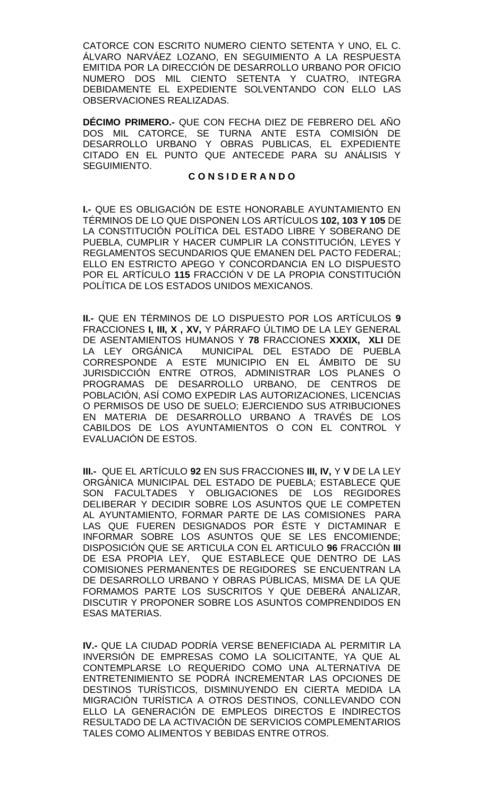CATORCE CON ESCRITO NUMERO CIENTO SETENTA Y UNO, EL C. ÁLVARO NARVÁEZ LOZANO, EN SEGUIMIENTO A LA RESPUESTA EMITIDA POR LA DIRECCIÓN DE DESARROLLO URBANO POR OFICIO NUMERO DOS MIL CIENTO SETENTA Y CUATRO, INTEGRA DEBIDAMENTE EL EXPEDIENTE SOLVENTANDO CON ELLO LAS OBSERVACIONES REALIZADAS.

**DÉCIMO PRIMERO.-** QUE CON FECHA DIEZ DE FEBRERO DEL AÑO DOS MIL CATORCE, SE TURNA ANTE ESTA COMISIÓN DE DESARROLLO URBANO Y OBRAS PUBLICAS, EL EXPEDIENTE CITADO EN EL PUNTO QUE ANTECEDE PARA SU ANÁLISIS Y SEGUIMIENTO.

# **C O N S I D E R A N D O**

**I.-** QUE ES OBLIGACIÓN DE ESTE HONORABLE AYUNTAMIENTO EN TÉRMINOS DE LO QUE DISPONEN LOS ARTÍCULOS **102, 103 Y 105** DE LA CONSTITUCIÓN POLÍTICA DEL ESTADO LIBRE Y SOBERANO DE PUEBLA, CUMPLIR Y HACER CUMPLIR LA CONSTITUCIÓN, LEYES Y REGLAMENTOS SECUNDARIOS QUE EMANEN DEL PACTO FEDERAL; ELLO EN ESTRICTO APEGO Y CONCORDANCIA EN LO DISPUESTO POR EL ARTÍCULO **115** FRACCIÓN V DE LA PROPIA CONSTITUCIÓN POLÍTICA DE LOS ESTADOS UNIDOS MEXICANOS.

**II.-** QUE EN TÉRMINOS DE LO DISPUESTO POR LOS ARTÍCULOS **9** FRACCIONES **I, III, X , XV,** Y PÁRRAFO ÚLTIMO DE LA LEY GENERAL DE ASENTAMIENTOS HUMANOS Y **78** FRACCIONES **XXXIX, XLI** DE LA LEY ORGÁNICA MUNICIPAL DEL ESTADO DE PUEBLA CORRESPONDE A ESTE MUNICIPIO EN EL ÁMBITO DE SU JURISDICCIÓN ENTRE OTROS, ADMINISTRAR LOS PLANES O PROGRAMAS DE DESARROLLO URBANO, DE CENTROS DE POBLACIÓN, ASÍ COMO EXPEDIR LAS AUTORIZACIONES, LICENCIAS O PERMISOS DE USO DE SUELO; EJERCIENDO SUS ATRIBUCIONES EN MATERIA DE DESARROLLO URBANO A TRAVÉS DE LOS CABILDOS DE LOS AYUNTAMIENTOS O CON EL CONTROL Y EVALUACIÓN DE ESTOS.

**III.-** QUE EL ARTÍCULO **92** EN SUS FRACCIONES **III, IV,** Y **V** DE LA LEY ORGÁNICA MUNICIPAL DEL ESTADO DE PUEBLA; ESTABLECE QUE SON FACULTADES Y OBLIGACIONES DE LOS REGIDORES DELIBERAR Y DECIDIR SOBRE LOS ASUNTOS QUE LE COMPETEN AL AYUNTAMIENTO, FORMAR PARTE DE LAS COMISIONES PARA LAS QUE FUEREN DESIGNADOS POR ÉSTE Y DICTAMINAR E INFORMAR SOBRE LOS ASUNTOS QUE SE LES ENCOMIENDE; DISPOSICIÓN QUE SE ARTICULA CON EL ARTICULO **96** FRACCIÓN **III** DE ESA PROPIA LEY, QUE ESTABLECE QUE DENTRO DE LAS COMISIONES PERMANENTES DE REGIDORES SE ENCUENTRAN LA DE DESARROLLO URBANO Y OBRAS PÚBLICAS, MISMA DE LA QUE FORMAMOS PARTE LOS SUSCRITOS Y QUE DEBERÁ ANALIZAR, DISCUTIR Y PROPONER SOBRE LOS ASUNTOS COMPRENDIDOS EN ESAS MATERIAS.

**IV.-** QUE LA CIUDAD PODRÍA VERSE BENEFICIADA AL PERMITIR LA INVERSIÓN DE EMPRESAS COMO LA SOLICITANTE, YA QUE AL CONTEMPLARSE LO REQUERIDO COMO UNA ALTERNATIVA DE ENTRETENIMIENTO SE PODRÁ INCREMENTAR LAS OPCIONES DE DESTINOS TURÍSTICOS, DISMINUYENDO EN CIERTA MEDIDA LA MIGRACIÓN TURÍSTICA A OTROS DESTINOS, CONLLEVANDO CON ELLO LA GENERACIÓN DE EMPLEOS DIRECTOS E INDIRECTOS RESULTADO DE LA ACTIVACIÓN DE SERVICIOS COMPLEMENTARIOS TALES COMO ALIMENTOS Y BEBIDAS ENTRE OTROS.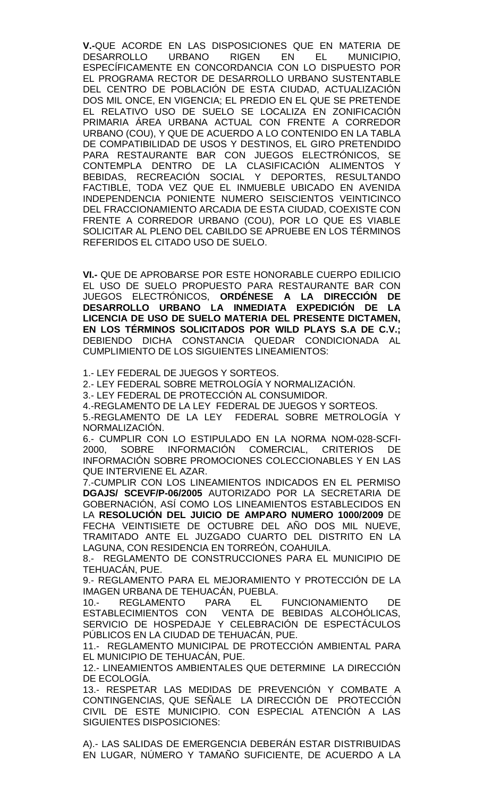**V.-**QUE ACORDE EN LAS DISPOSICIONES QUE EN MATERIA DE DESARROLLO URBANO RIGEN EN EL MUNICIPIO, ESPECÍFICAMENTE EN CONCORDANCIA CON LO DISPUESTO POR EL PROGRAMA RECTOR DE DESARROLLO URBANO SUSTENTABLE DEL CENTRO DE POBLACIÓN DE ESTA CIUDAD, ACTUALIZACIÓN DOS MIL ONCE, EN VIGENCIA; EL PREDIO EN EL QUE SE PRETENDE EL RELATIVO USO DE SUELO SE LOCALIZA EN ZONIFICACIÓN PRIMARIA ÁREA URBANA ACTUAL CON FRENTE A CORREDOR URBANO (COU), Y QUE DE ACUERDO A LO CONTENIDO EN LA TABLA DE COMPATIBILIDAD DE USOS Y DESTINOS, EL GIRO PRETENDIDO PARA RESTAURANTE BAR CON JUEGOS ELECTRÓNICOS, SE CONTEMPLA DENTRO DE LA CLASIFICACIÓN ALIMENTOS Y BEBIDAS, RECREACIÓN SOCIAL Y DEPORTES, RESULTANDO FACTIBLE, TODA VEZ QUE EL INMUEBLE UBICADO EN AVENIDA INDEPENDENCIA PONIENTE NUMERO SEISCIENTOS VEINTICINCO DEL FRACCIONAMIENTO ARCADIA DE ESTA CIUDAD, COEXISTE CON FRENTE A CORREDOR URBANO (COU), POR LO QUE ES VIABLE SOLICITAR AL PLENO DEL CABILDO SE APRUEBE EN LOS TÉRMINOS REFERIDOS EL CITADO USO DE SUELO.

**VI.-** QUE DE APROBARSE POR ESTE HONORABLE CUERPO EDILICIO EL USO DE SUELO PROPUESTO PARA RESTAURANTE BAR CON JUEGOS ELECTRÓNICOS, **ORDÉNESE A LA DIRECCIÓN DE DESARROLLO URBANO LA INMEDIATA EXPEDICIÓN DE LA LICENCIA DE USO DE SUELO MATERIA DEL PRESENTE DICTAMEN, EN LOS TÉRMINOS SOLICITADOS POR WILD PLAYS S.A DE C.V.;** DEBIENDO DICHA CONSTANCIA QUEDAR CONDICIONADA AL CUMPLIMIENTO DE LOS SIGUIENTES LINEAMIENTOS:

1.- LEY FEDERAL DE JUEGOS Y SORTEOS.

2.- LEY FEDERAL SOBRE METROLOGÍA Y NORMALIZACIÓN.

3.- LEY FEDERAL DE PROTECCIÓN AL CONSUMIDOR.

4.-REGLAMENTO DE LA LEY FEDERAL DE JUEGOS Y SORTEOS.

5.-REGLAMENTO DE LA LEY FEDERAL SOBRE METROLOGÍA Y NORMALIZACIÓN.

6.- CUMPLIR CON LO ESTIPULADO EN LA NORMA NOM-028-SCFI-2000, SOBRE INFORMACIÓN COMERCIAL, CRITERIOS DE INFORMACIÓN SOBRE PROMOCIONES COLECCIONABLES Y EN LAS QUE INTERVIENE EL AZAR.

7.-CUMPLIR CON LOS LINEAMIENTOS INDICADOS EN EL PERMISO **DGAJS/ SCEVF/P-06/2005** AUTORIZADO POR LA SECRETARIA DE GOBERNACIÓN, ASÍ COMO LOS LINEAMIENTOS ESTABLECIDOS EN LA **RESOLUCIÓN DEL JUICIO DE AMPARO NUMERO 1000/2009** DE FECHA VEINTISIETE DE OCTUBRE DEL AÑO DOS MIL NUEVE, TRAMITADO ANTE EL JUZGADO CUARTO DEL DISTRITO EN LA LAGUNA, CON RESIDENCIA EN TORREÓN, COAHUILA.

8.- REGLAMENTO DE CONSTRUCCIONES PARA EL MUNICIPIO DE TEHUACÁN, PUE.

9.- REGLAMENTO PARA EL MEJORAMIENTO Y PROTECCIÓN DE LA IMAGEN URBANA DE TEHUACÁN, PUEBLA.

10.- REGLAMENTO PARA EL FUNCIONAMIENTO DE ESTABLECIMIENTOS CON VENTA DE BEBIDAS ALCOHÓLICAS, SERVICIO DE HOSPEDAJE Y CELEBRACIÓN DE ESPECTÁCULOS PÚBLICOS EN LA CIUDAD DE TEHUACÁN, PUE.

11.- REGLAMENTO MUNICIPAL DE PROTECCIÓN AMBIENTAL PARA EL MUNICIPIO DE TEHUACÁN, PUE.

12.- LINEAMIENTOS AMBIENTALES QUE DETERMINE LA DIRECCIÓN DE ECOLOGÍA.

13.- RESPETAR LAS MEDIDAS DE PREVENCIÓN Y COMBATE A CONTINGENCIAS, QUE SEÑALE LA DIRECCIÓN DE PROTECCIÓN CIVIL DE ESTE MUNICIPIO. CON ESPECIAL ATENCIÓN A LAS SIGUIENTES DISPOSICIONES:

A).- LAS SALIDAS DE EMERGENCIA DEBERÁN ESTAR DISTRIBUIDAS EN LUGAR, NÚMERO Y TAMAÑO SUFICIENTE, DE ACUERDO A LA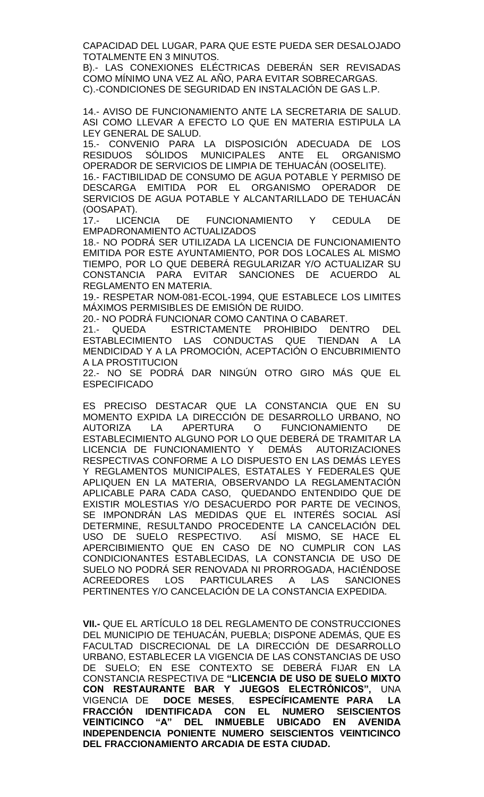CAPACIDAD DEL LUGAR, PARA QUE ESTE PUEDA SER DESALOJADO TOTALMENTE EN 3 MINUTOS.

B).- LAS CONEXIONES ELÉCTRICAS DEBERÁN SER REVISADAS COMO MÍNIMO UNA VEZ AL AÑO, PARA EVITAR SOBRECARGAS. C).-CONDICIONES DE SEGURIDAD EN INSTALACIÓN DE GAS L.P.

14.- AVISO DE FUNCIONAMIENTO ANTE LA SECRETARIA DE SALUD. ASI COMO LLEVAR A EFECTO LO QUE EN MATERIA ESTIPULA LA LEY GENERAL DE SALUD.

15.- CONVENIO PARA LA DISPOSICIÓN ADECUADA DE LOS RESIDUOS SÓLIDOS MUNICIPALES ANTE EL ORGANISMO OPERADOR DE SERVICIOS DE LIMPIA DE TEHUACÁN (OOSELITE).

16.- FACTIBILIDAD DE CONSUMO DE AGUA POTABLE Y PERMISO DE DESCARGA EMITIDA POR EL ORGANISMO OPERADOR DE SERVICIOS DE AGUA POTABLE Y ALCANTARILLADO DE TEHUACÁN (OOSAPAT).

17.- LICENCIA DE FUNCIONAMIENTO Y CEDULA DE EMPADRONAMIENTO ACTUALIZADOS

18.- NO PODRÁ SER UTILIZADA LA LICENCIA DE FUNCIONAMIENTO EMITIDA POR ESTE AYUNTAMIENTO, POR DOS LOCALES AL MISMO TIEMPO, POR LO QUE DEBERÁ REGULARIZAR Y/O ACTUALIZAR SU CONSTANCIA PARA EVITAR SANCIONES DE ACUERDO AL REGLAMENTO EN MATERIA.

19.- RESPETAR NOM-081-ECOL-1994, QUE ESTABLECE LOS LIMITES MÁXIMOS PERMISIBLES DE EMISIÓN DE RUIDO.

20.- NO PODRÁ FUNCIONAR COMO CANTINA O CABARET.

21.- QUEDA ESTRICTAMENTE PROHIBIDO DENTRO DEL ESTABLECIMIENTO LAS CONDUCTAS QUE TIENDAN A LA MENDICIDAD Y A LA PROMOCIÓN, ACEPTACIÓN O ENCUBRIMIENTO A LA PROSTITUCION

22.- NO SE PODRÁ DAR NINGÚN OTRO GIRO MÁS QUE EL **ESPECIFICADO** 

ES PRECISO DESTACAR QUE LA CONSTANCIA QUE EN SU MOMENTO EXPIDA LA DIRECCIÓN DE DESARROLLO URBANO, NO AUTORIZA LA APERTURA O FUNCIONAMIENTO DE ESTABLECIMIENTO ALGUNO POR LO QUE DEBERÁ DE TRAMITAR LA LICENCIA DE FUNCIONAMIENTO Y DEMÁS AUTORIZACIONES RESPECTIVAS CONFORME A LO DISPUESTO EN LAS DEMÁS LEYES Y REGLAMENTOS MUNICIPALES, ESTATALES Y FEDERALES QUE APLIQUEN EN LA MATERIA, OBSERVANDO LA REGLAMENTACIÓN APLICABLE PARA CADA CASO, QUEDANDO ENTENDIDO QUE DE EXISTIR MOLESTIAS Y/O DESACUERDO POR PARTE DE VECINOS, SE IMPONDRÁN LAS MEDIDAS QUE EL INTERÉS SOCIAL ASÍ DETERMINE, RESULTANDO PROCEDENTE LA CANCELACIÓN DEL USO DE SUELO RESPECTIVO. ASÍ MISMO, SE HACE EL APERCIBIMIENTO QUE EN CASO DE NO CUMPLIR CON LAS CONDICIONANTES ESTABLECIDAS, LA CONSTANCIA DE USO DE SUELO NO PODRÁ SER RENOVADA NI PRORROGADA, HACIÉNDOSE<br>ACREEDORES LOS PARTICULARES A LAS SANCIONES ACREEDORES LOS PARTICULARES A LAS SANCIONES PERTINENTES Y/O CANCELACIÓN DE LA CONSTANCIA EXPEDIDA.

**VII.-** QUE EL ARTÍCULO 18 DEL REGLAMENTO DE CONSTRUCCIONES DEL MUNICIPIO DE TEHUACÁN, PUEBLA; DISPONE ADEMÁS, QUE ES FACULTAD DISCRECIONAL DE LA DIRECCIÓN DE DESARROLLO URBANO, ESTABLECER LA VIGENCIA DE LAS CONSTANCIAS DE USO DE SUELO; EN ESE CONTEXTO SE DEBERÁ FIJAR EN LA CONSTANCIA RESPECTIVA DE **"LICENCIA DE USO DE SUELO MIXTO CON RESTAURANTE BAR Y JUEGOS ELECTRÓNICOS",** UNA VIGENCIA DE **DOCE MESES**, **ESPECÍFICAMENTE PARA LA FRACCIÓN IDENTIFICADA CON EL NUMERO SEISCIENTOS VEINTICINCO "A" DEL INMUEBLE UBICADO EN AVENIDA INDEPENDENCIA PONIENTE NUMERO SEISCIENTOS VEINTICINCO DEL FRACCIONAMIENTO ARCADIA DE ESTA CIUDAD.**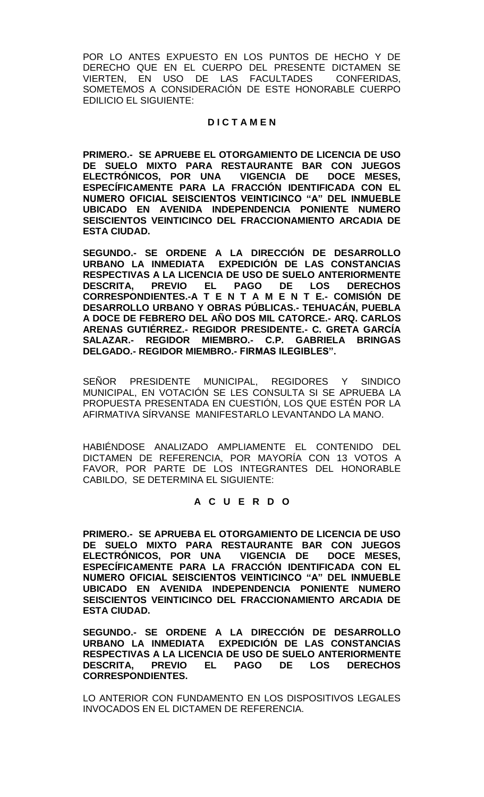POR LO ANTES EXPUESTO EN LOS PUNTOS DE HECHO Y DE DERECHO QUE EN EL CUERPO DEL PRESENTE DICTAMEN SE VIERTEN, EN USO DE LAS FACULTADES CONFERIDAS, SOMETEMOS A CONSIDERACIÓN DE ESTE HONORABLE CUERPO EDILICIO EL SIGUIENTE:

## **D I C T A M E N**

**PRIMERO.- SE APRUEBE EL OTORGAMIENTO DE LICENCIA DE USO DE SUELO MIXTO PARA RESTAURANTE BAR CON JUEGOS ELECTRÓNICOS, POR UNA VIGENCIA DE DOCE MESES, ESPECÍFICAMENTE PARA LA FRACCIÓN IDENTIFICADA CON EL NUMERO OFICIAL SEISCIENTOS VEINTICINCO "A" DEL INMUEBLE UBICADO EN AVENIDA INDEPENDENCIA PONIENTE NUMERO SEISCIENTOS VEINTICINCO DEL FRACCIONAMIENTO ARCADIA DE ESTA CIUDAD.**

**SEGUNDO.- SE ORDENE A LA DIRECCIÓN DE DESARROLLO URBANO LA INMEDIATA EXPEDICIÓN DE LAS CONSTANCIAS RESPECTIVAS A LA LICENCIA DE USO DE SUELO ANTERIORMENTE DESCRITA, PREVIO EL PAGO DE LOS DERECHOS CORRESPONDIENTES.-A T E N T A M E N T E.- COMISIÓN DE DESARROLLO URBANO Y OBRAS PÚBLICAS.- TEHUACÁN, PUEBLA A DOCE DE FEBRERO DEL AÑO DOS MIL CATORCE.- ARQ. CARLOS ARENAS GUTIÉRREZ.- REGIDOR PRESIDENTE.- C. GRETA GARCÍA SALAZAR.- REGIDOR MIEMBRO.- C.P. GABRIELA BRINGAS DELGADO.- REGIDOR MIEMBRO.- FIRMAS ILEGIBLES".**

SEÑOR PRESIDENTE MUNICIPAL, REGIDORES Y SINDICO MUNICIPAL, EN VOTACIÓN SE LES CONSULTA SI SE APRUEBA LA PROPUESTA PRESENTADA EN CUESTIÓN, LOS QUE ESTÉN POR LA AFIRMATIVA SÍRVANSE MANIFESTARLO LEVANTANDO LA MANO.

HABIÉNDOSE ANALIZADO AMPLIAMENTE EL CONTENIDO DEL DICTAMEN DE REFERENCIA, POR MAYORÍA CON 13 VOTOS A FAVOR, POR PARTE DE LOS INTEGRANTES DEL HONORABLE CABILDO, SE DETERMINA EL SIGUIENTE:

# **A C U E R D O**

**PRIMERO.- SE APRUEBA EL OTORGAMIENTO DE LICENCIA DE USO DE SUELO MIXTO PARA RESTAURANTE BAR CON JUEGOS ELECTRÓNICOS, POR UNA VIGENCIA DE DOCE MESES, ESPECÍFICAMENTE PARA LA FRACCIÓN IDENTIFICADA CON EL NUMERO OFICIAL SEISCIENTOS VEINTICINCO "A" DEL INMUEBLE UBICADO EN AVENIDA INDEPENDENCIA PONIENTE NUMERO SEISCIENTOS VEINTICINCO DEL FRACCIONAMIENTO ARCADIA DE ESTA CIUDAD.**

**SEGUNDO.- SE ORDENE A LA DIRECCIÓN DE DESARROLLO URBANO LA INMEDIATA EXPEDICIÓN DE LAS CONSTANCIAS RESPECTIVAS A LA LICENCIA DE USO DE SUELO ANTERIORMENTE DESCRITA, PREVIO EL PAGO DE LOS DERECHOS CORRESPONDIENTES.**

LO ANTERIOR CON FUNDAMENTO EN LOS DISPOSITIVOS LEGALES INVOCADOS EN EL DICTAMEN DE REFERENCIA.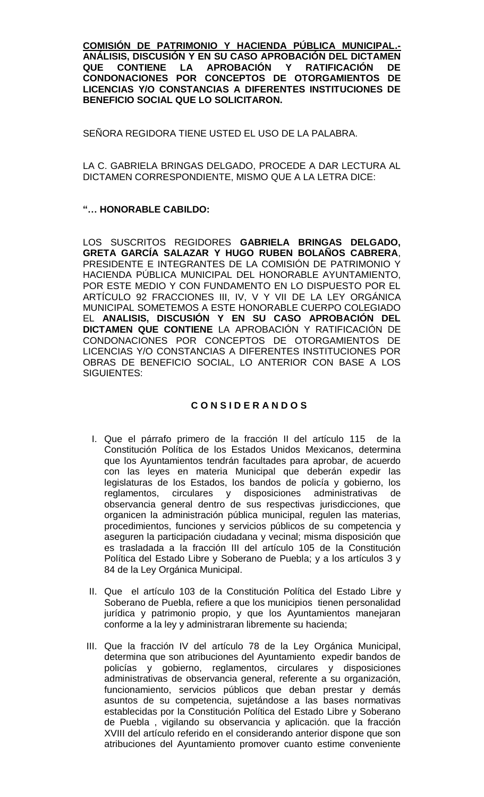**COMISIÓN DE PATRIMONIO Y HACIENDA PÚBLICA MUNICIPAL.- ANÁLISIS, DISCUSIÓN Y EN SU CASO APROBACIÓN DEL DICTAMEN QUE CONTIENE LA APROBACIÓN Y RATIFICACIÓN DE CONDONACIONES POR CONCEPTOS DE OTORGAMIENTOS DE LICENCIAS Y/O CONSTANCIAS A DIFERENTES INSTITUCIONES DE BENEFICIO SOCIAL QUE LO SOLICITARON.**

SEÑORA REGIDORA TIENE USTED EL USO DE LA PALABRA.

LA C. GABRIELA BRINGAS DELGADO, PROCEDE A DAR LECTURA AL DICTAMEN CORRESPONDIENTE, MISMO QUE A LA LETRA DICE:

**"… HONORABLE CABILDO:**

LOS SUSCRITOS REGIDORES **GABRIELA BRINGAS DELGADO, GRETA GARCÍA SALAZAR Y HUGO RUBEN BOLAÑOS CABRERA**, PRESIDENTE E INTEGRANTES DE LA COMISIÓN DE PATRIMONIO Y HACIENDA PÚBLICA MUNICIPAL DEL HONORABLE AYUNTAMIENTO, POR ESTE MEDIO Y CON FUNDAMENTO EN LO DISPUESTO POR EL ARTÍCULO 92 FRACCIONES III, IV, V Y VII DE LA LEY ORGÁNICA MUNICIPAL SOMETEMOS A ESTE HONORABLE CUERPO COLEGIADO EL **ANALISIS, DISCUSIÓN Y EN SU CASO APROBACIÓN DEL DICTAMEN QUE CONTIENE** LA APROBACIÓN Y RATIFICACIÓN DE CONDONACIONES POR CONCEPTOS DE OTORGAMIENTOS DE LICENCIAS Y/O CONSTANCIAS A DIFERENTES INSTITUCIONES POR OBRAS DE BENEFICIO SOCIAL, LO ANTERIOR CON BASE A LOS SIGUIENTES:

# **C O N S I D E R A N D O S**

- I. Que el párrafo primero de la fracción II del artículo 115 de la Constitución Política de los Estados Unidos Mexicanos, determina que los Ayuntamientos tendrán facultades para aprobar, de acuerdo con las leyes en materia Municipal que deberán expedir las legislaturas de los Estados, los bandos de policía y gobierno, los reglamentos, circulares y disposiciones administrativas de observancia general dentro de sus respectivas jurisdicciones, que organicen la administración pública municipal, regulen las materias, procedimientos, funciones y servicios públicos de su competencia y aseguren la participación ciudadana y vecinal; misma disposición que es trasladada a la fracción III del artículo 105 de la Constitución Política del Estado Libre y Soberano de Puebla; y a los artículos 3 y 84 de la Ley Orgánica Municipal.
- II. Que el artículo 103 de la Constitución Política del Estado Libre y Soberano de Puebla, refiere a que los municipios tienen personalidad jurídica y patrimonio propio, y que los Ayuntamientos manejaran conforme a la ley y administraran libremente su hacienda;
- III. Que la fracción IV del artículo 78 de la Ley Orgánica Municipal, determina que son atribuciones del Ayuntamiento expedir bandos de policías y gobierno, reglamentos, circulares y disposiciones administrativas de observancia general, referente a su organización, funcionamiento, servicios públicos que deban prestar y demás asuntos de su competencia, sujetándose a las bases normativas establecidas por la Constitución Política del Estado Libre y Soberano de Puebla , vigilando su observancia y aplicación. que la fracción XVIII del artículo referido en el considerando anterior dispone que son atribuciones del Ayuntamiento promover cuanto estime conveniente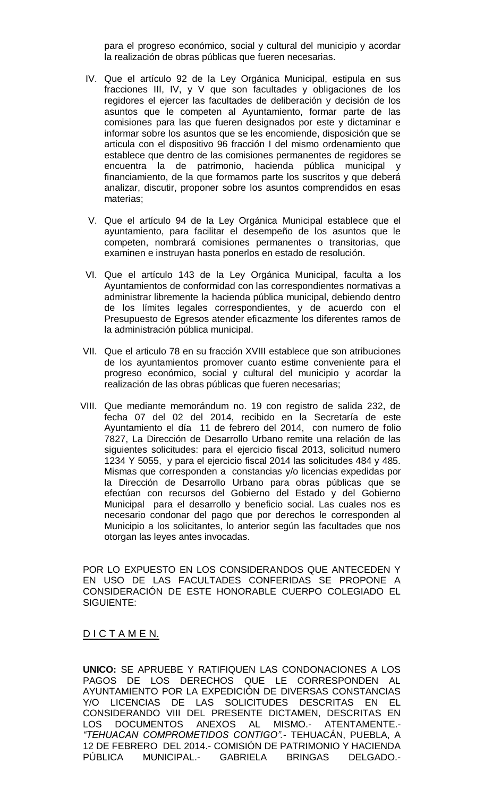para el progreso económico, social y cultural del municipio y acordar la realización de obras públicas que fueren necesarias.

- IV. Que el artículo 92 de la Ley Orgánica Municipal, estipula en sus fracciones III, IV, y V que son facultades y obligaciones de los regidores el ejercer las facultades de deliberación y decisión de los asuntos que le competen al Ayuntamiento, formar parte de las comisiones para las que fueren designados por este y dictaminar e informar sobre los asuntos que se les encomiende, disposición que se articula con el dispositivo 96 fracción I del mismo ordenamiento que establece que dentro de las comisiones permanentes de regidores se encuentra la de patrimonio, hacienda pública municipal y financiamiento, de la que formamos parte los suscritos y que deberá analizar, discutir, proponer sobre los asuntos comprendidos en esas materias;
- V. Que el artículo 94 de la Ley Orgánica Municipal establece que el ayuntamiento, para facilitar el desempeño de los asuntos que le competen, nombrará comisiones permanentes o transitorias, que examinen e instruyan hasta ponerlos en estado de resolución.
- VI. Que el artículo 143 de la Ley Orgánica Municipal, faculta a los Ayuntamientos de conformidad con las correspondientes normativas a administrar libremente la hacienda pública municipal, debiendo dentro de los límites legales correspondientes, y de acuerdo con el Presupuesto de Egresos atender eficazmente los diferentes ramos de la administración pública municipal.
- VII. Que el articulo 78 en su fracción XVIII establece que son atribuciones de los ayuntamientos promover cuanto estime conveniente para el progreso económico, social y cultural del municipio y acordar la realización de las obras públicas que fueren necesarias;
- VIII. Que mediante memorándum no. 19 con registro de salida 232, de fecha 07 del 02 del 2014, recibido en la Secretaría de este Ayuntamiento el día 11 de febrero del 2014, con numero de folio 7827, La Dirección de Desarrollo Urbano remite una relación de las siguientes solicitudes: para el ejercicio fiscal 2013, solicitud numero 1234 Y 5055, y para el ejercicio fiscal 2014 las solicitudes 484 y 485. Mismas que corresponden a constancias y/o licencias expedidas por la Dirección de Desarrollo Urbano para obras públicas que se efectúan con recursos del Gobierno del Estado y del Gobierno Municipal para el desarrollo y beneficio social. Las cuales nos es necesario condonar del pago que por derechos le corresponden al Municipio a los solicitantes, lo anterior según las facultades que nos otorgan las leyes antes invocadas.

POR LO EXPUESTO EN LOS CONSIDERANDOS QUE ANTECEDEN Y EN USO DE LAS FACULTADES CONFERIDAS SE PROPONE A CONSIDERACIÓN DE ESTE HONORABLE CUERPO COLEGIADO EL SIGUIENTE:

D I C T A M E N.

**UNICO:** SE APRUEBE Y RATIFIQUEN LAS CONDONACIONES A LOS PAGOS DE LOS DERECHOS QUE LE CORRESPONDEN AL AYUNTAMIENTO POR LA EXPEDICIÓN DE DIVERSAS CONSTANCIAS Y/O LICENCIAS DE LAS SOLICITUDES DESCRITAS EN EL CONSIDERANDO VIII DEL PRESENTE DICTAMEN, DESCRITAS EN LOS DOCUMENTOS ANEXOS AL MISMO.- ATENTAMENTE.- *"TEHUACAN COMPROMETIDOS CONTIGO".-* TEHUACÁN, PUEBLA, A 12 DE FEBRERO DEL 2014.- COMISIÓN DE PATRIMONIO Y HACIENDA PÚBLICA MUNICIPAL.- GABRIELA BRINGAS DELGADO.-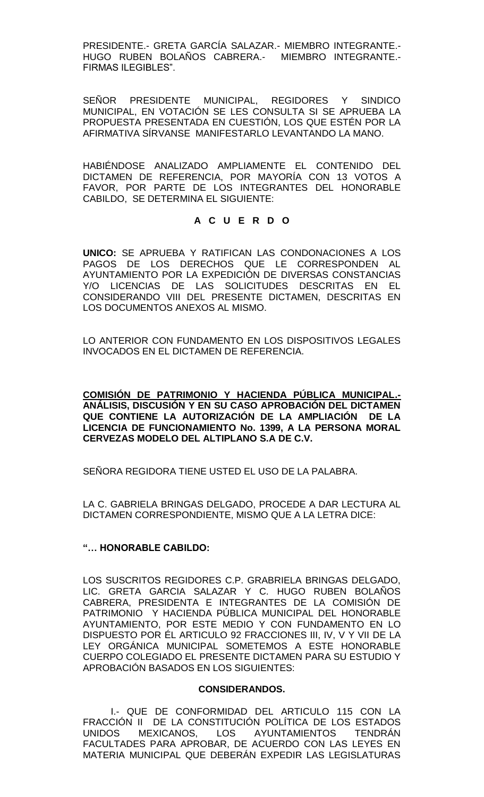PRESIDENTE.- GRETA GARCÍA SALAZAR.- MIEMBRO INTEGRANTE.- HUGO RUBEN BOLAÑOS CABRERA.- MIEMBRO INTEGRANTE.- FIRMAS ILEGIBLES".

SEÑOR PRESIDENTE MUNICIPAL, REGIDORES Y SINDICO MUNICIPAL, EN VOTACIÓN SE LES CONSULTA SI SE APRUEBA LA PROPUESTA PRESENTADA EN CUESTIÓN, LOS QUE ESTÉN POR LA AFIRMATIVA SÍRVANSE MANIFESTARLO LEVANTANDO LA MANO.

HABIÉNDOSE ANALIZADO AMPLIAMENTE EL CONTENIDO DEL DICTAMEN DE REFERENCIA, POR MAYORÍA CON 13 VOTOS A FAVOR, POR PARTE DE LOS INTEGRANTES DEL HONORABLE CABILDO, SE DETERMINA EL SIGUIENTE:

# **A C U E R D O**

**UNICO:** SE APRUEBA Y RATIFICAN LAS CONDONACIONES A LOS PAGOS DE LOS DERECHOS QUE LE CORRESPONDEN AL AYUNTAMIENTO POR LA EXPEDICIÓN DE DIVERSAS CONSTANCIAS Y/O LICENCIAS DE LAS SOLICITUDES DESCRITAS EN EL CONSIDERANDO VIII DEL PRESENTE DICTAMEN, DESCRITAS EN LOS DOCUMENTOS ANEXOS AL MISMO.

LO ANTERIOR CON FUNDAMENTO EN LOS DISPOSITIVOS LEGALES INVOCADOS EN EL DICTAMEN DE REFERENCIA.

**COMISIÓN DE PATRIMONIO Y HACIENDA PÚBLICA MUNICIPAL.- ANÁLISIS, DISCUSIÓN Y EN SU CASO APROBACIÓN DEL DICTAMEN QUE CONTIENE LA AUTORIZACIÓN DE LA AMPLIACIÓN DE LA LICENCIA DE FUNCIONAMIENTO No. 1399, A LA PERSONA MORAL CERVEZAS MODELO DEL ALTIPLANO S.A DE C.V.**

SEÑORA REGIDORA TIENE USTED EL USO DE LA PALABRA.

LA C. GABRIELA BRINGAS DELGADO, PROCEDE A DAR LECTURA AL DICTAMEN CORRESPONDIENTE, MISMO QUE A LA LETRA DICE:

## **"… HONORABLE CABILDO:**

LOS SUSCRITOS REGIDORES C.P. GRABRIELA BRINGAS DELGADO, LIC. GRETA GARCIA SALAZAR Y C. HUGO RUBEN BOLAÑOS CABRERA, PRESIDENTA E INTEGRANTES DE LA COMISIÓN DE PATRIMONIO Y HACIENDA PÚBLICA MUNICIPAL DEL HONORABLE AYUNTAMIENTO, POR ESTE MEDIO Y CON FUNDAMENTO EN LO DISPUESTO POR ÉL ARTICULO 92 FRACCIONES III, IV, V Y VII DE LA LEY ORGÁNICA MUNICIPAL SOMETEMOS A ESTE HONORABLE CUERPO COLEGIADO EL PRESENTE DICTAMEN PARA SU ESTUDIO Y APROBACIÓN BASADOS EN LOS SIGUIENTES:

# **CONSIDERANDOS.**

I.- QUE DE CONFORMIDAD DEL ARTICULO 115 CON LA FRACCIÓN II DE LA CONSTITUCIÓN POLÍTICA DE LOS ESTADOS UNIDOS MEXICANOS, LOS AYUNTAMIENTOS TENDRÁN FACULTADES PARA APROBAR, DE ACUERDO CON LAS LEYES EN MATERIA MUNICIPAL QUE DEBERÁN EXPEDIR LAS LEGISLATURAS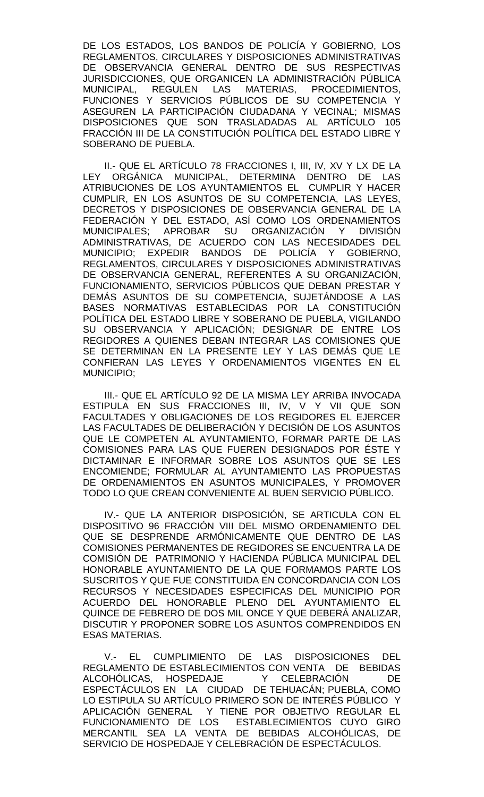DE LOS ESTADOS, LOS BANDOS DE POLICÍA Y GOBIERNO, LOS REGLAMENTOS, CIRCULARES Y DISPOSICIONES ADMINISTRATIVAS DE OBSERVANCIA GENERAL DENTRO DE SUS RESPECTIVAS JURISDICCIONES, QUE ORGANICEN LA ADMINISTRACIÓN PÚBLICA MUNICIPAL, REGULEN LAS MATERIAS, PROCEDIMIENTOS, FUNCIONES Y SERVICIOS PÚBLICOS DE SU COMPETENCIA Y ASEGUREN LA PARTICIPACIÓN CIUDADANA Y VECINAL; MISMAS DISPOSICIONES QUE SON TRASLADADAS AL ARTÍCULO 105 FRACCIÓN III DE LA CONSTITUCIÓN POLÍTICA DEL ESTADO LIBRE Y SOBERANO DE PUEBLA.

II.- QUE EL ARTÍCULO 78 FRACCIONES I, III, IV, XV Y LX DE LA LEY ORGÁNICA MUNICIPAL, DETERMINA DENTRO DE LAS ATRIBUCIONES DE LOS AYUNTAMIENTOS EL CUMPLIR Y HACER CUMPLIR, EN LOS ASUNTOS DE SU COMPETENCIA, LAS LEYES, DECRETOS Y DISPOSICIONES DE OBSERVANCIA GENERAL DE LA FEDERACIÓN Y DEL ESTADO, ASÍ COMO LOS ORDENAMIENTOS MUNICIPALES; APROBAR SU ORGANIZACIÓN Y DIVISIÓN ADMINISTRATIVAS, DE ACUERDO CON LAS NECESIDADES DEL MUNICIPIO; EXPEDIR BANDOS DE POLICÍA Y GOBIERNO, REGLAMENTOS, CIRCULARES Y DISPOSICIONES ADMINISTRATIVAS DE OBSERVANCIA GENERAL, REFERENTES A SU ORGANIZACIÓN, FUNCIONAMIENTO, SERVICIOS PÚBLICOS QUE DEBAN PRESTAR Y DEMÁS ASUNTOS DE SU COMPETENCIA, SUJETÁNDOSE A LAS BASES NORMATIVAS ESTABLECIDAS POR LA CONSTITUCIÓN POLÍTICA DEL ESTADO LIBRE Y SOBERANO DE PUEBLA, VIGILANDO SU OBSERVANCIA Y APLICACIÓN; DESIGNAR DE ENTRE LOS REGIDORES A QUIENES DEBAN INTEGRAR LAS COMISIONES QUE SE DETERMINAN EN LA PRESENTE LEY Y LAS DEMÁS QUE LE CONFIERAN LAS LEYES Y ORDENAMIENTOS VIGENTES EN EL MUNICIPIO;

III.- QUE EL ARTÍCULO 92 DE LA MISMA LEY ARRIBA INVOCADA ESTIPULA EN SUS FRACCIONES III, IV, V Y VII QUE SON FACULTADES Y OBLIGACIONES DE LOS REGIDORES EL EJERCER LAS FACULTADES DE DELIBERACIÓN Y DECISIÓN DE LOS ASUNTOS QUE LE COMPETEN AL AYUNTAMIENTO, FORMAR PARTE DE LAS COMISIONES PARA LAS QUE FUEREN DESIGNADOS POR ÉSTE Y DICTAMINAR E INFORMAR SOBRE LOS ASUNTOS QUE SE LES ENCOMIENDE; FORMULAR AL AYUNTAMIENTO LAS PROPUESTAS DE ORDENAMIENTOS EN ASUNTOS MUNICIPALES, Y PROMOVER TODO LO QUE CREAN CONVENIENTE AL BUEN SERVICIO PÚBLICO.

IV.- QUE LA ANTERIOR DISPOSICIÓN, SE ARTICULA CON EL DISPOSITIVO 96 FRACCIÓN VIII DEL MISMO ORDENAMIENTO DEL QUE SE DESPRENDE ARMÓNICAMENTE QUE DENTRO DE LAS COMISIONES PERMANENTES DE REGIDORES SE ENCUENTRA LA DE COMISIÓN DE PATRIMONIO Y HACIENDA PÚBLICA MUNICIPAL DEL HONORABLE AYUNTAMIENTO DE LA QUE FORMAMOS PARTE LOS SUSCRITOS Y QUE FUE CONSTITUIDA EN CONCORDANCIA CON LOS RECURSOS Y NECESIDADES ESPECIFICAS DEL MUNICIPIO POR ACUERDO DEL HONORABLE PLENO DEL AYUNTAMIENTO EL QUINCE DE FEBRERO DE DOS MIL ONCE Y QUE DEBERÁ ANALIZAR, DISCUTIR Y PROPONER SOBRE LOS ASUNTOS COMPRENDIDOS EN ESAS MATERIAS.

V.- EL CUMPLIMIENTO DE LAS DISPOSICIONES DEL REGLAMENTO DE ESTABLECIMIENTOS CON VENTA DE BEBIDAS ALCOHÓLICAS, HOSPEDAJE Y CELEBRACIÓN DE ESPECTÁCULOS EN LA CIUDAD DE TEHUACÁN; PUEBLA, COMO LO ESTIPULA SU ARTÍCULO PRIMERO SON DE INTERÉS PÚBLICO Y APLICACIÓN GENERAL Y TIENE POR OBJETIVO REGULAR EL FUNCIONAMIENTO DE LOS ESTABLECIMIENTOS CUYO GIRO MERCANTIL SEA LA VENTA DE BEBIDAS ALCOHÓLICAS, DE SERVICIO DE HOSPEDAJE Y CELEBRACIÓN DE ESPECTÁCULOS.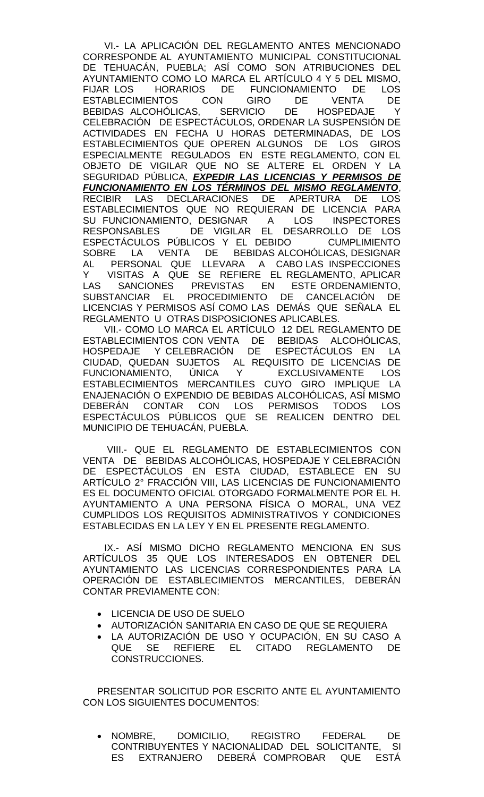VI.- LA APLICACIÓN DEL REGLAMENTO ANTES MENCIONADO CORRESPONDE AL AYUNTAMIENTO MUNICIPAL CONSTITUCIONAL DE TEHUACÁN, PUEBLA; ASÍ COMO SON ATRIBUCIONES DEL AYUNTAMIENTO COMO LO MARCA EL ARTÍCULO 4 Y 5 DEL MISMO, FIJAR LOS HORARIOS DE FUNCIONAMIENTO DE LOS ESTABLECIMIENTOS CON GIRO DE VENTA DE BEBIDAS ALCOHÓLICAS, SERVICIO DE HOSPEDAJE Y CELEBRACIÓN DE ESPECTÁCULOS, ORDENAR LA SUSPENSIÓN DE ACTIVIDADES EN FECHA U HORAS DETERMINADAS, DE LOS ESTABLECIMIENTOS QUE OPEREN ALGUNOS DE LOS GIROS ESPECIALMENTE REGULADOS EN ESTE REGLAMENTO, CON EL OBJETO DE VIGILAR QUE NO SE ALTERE EL ORDEN Y LA SEGURIDAD PÚBLICA, *EXPEDIR LAS LICENCIAS Y PERMISOS DE FUNCIONAMIENTO EN LOS TÉRMINOS DEL MISMO REGLAMENTO*, RECIBIR LAS DECLARACIONES DE APERTURA DE LOS ESTABLECIMIENTOS QUE NO REQUIERAN DE LICENCIA PARA SU FUNCIONAMIENTO, DESIGNAR A LOS INSPECTORES RESPONSABLES DE VIGILAR EL DESARROLLO DE LOS ESPECTÁCULOS PÚBLICOS Y EL DEBIDO CUMPLIMIENTO SOBRE LA VENTA DE BEBIDAS ALCOHÓLICAS, DESIGNAR AL PERSONAL QUE LLEVARA A CABO LAS INSPECCIONES Y VISITAS A QUE SE REFIERE EL REGLAMENTO, APLICAR LAS SANCIONES PREVISTAS EN ESTE ORDENAMIENTO, SUBSTANCIAR EL PROCEDIMIENTO DE CANCELACIÓN DE LICENCIAS Y PERMISOS ASÍ COMO LAS DEMÁS QUE SEÑALA EL REGLAMENTO U OTRAS DISPOSICIONES APLICABLES.

VII.- COMO LO MARCA EL ARTÍCULO 12 DEL REGLAMENTO DE ESTABLECIMIENTOS CON VENTA DE BEBIDAS ALCOHÓLICAS, HOSPEDAJE Y CELEBRACIÓN DE ESPECTÁCULOS EN LA CIUDAD, QUEDAN SUJETOS AL REQUISITO DE LICENCIAS DE FUNCIONAMIENTO, ÚNICA Y EXCLUSIVAMENTE LOS ESTABLECIMIENTOS MERCANTILES CUYO GIRO IMPLIQUE LA ENAJENACIÓN O EXPENDIO DE BEBIDAS ALCOHÓLICAS, ASÍ MISMO DEBERÁN CONTAR CON LOS PERMISOS TODOS LOS ESPECTÁCULOS PÚBLICOS QUE SE REALICEN DENTRO DEL MUNICIPIO DE TEHUACÁN, PUEBLA.

VIII.- QUE EL REGLAMENTO DE ESTABLECIMIENTOS CON VENTA DE BEBIDAS ALCOHÓLICAS, HOSPEDAJE Y CELEBRACIÓN DE ESPECTÁCULOS EN ESTA CIUDAD, ESTABLECE EN SU ARTÍCULO 2° FRACCIÓN VIII, LAS LICENCIAS DE FUNCIONAMIENTO ES EL DOCUMENTO OFICIAL OTORGADO FORMALMENTE POR EL H. AYUNTAMIENTO A UNA PERSONA FÍSICA O MORAL, UNA VEZ CUMPLIDOS LOS REQUISITOS ADMINISTRATIVOS Y CONDICIONES ESTABLECIDAS EN LA LEY Y EN EL PRESENTE REGLAMENTO.

IX.- ASÍ MISMO DICHO REGLAMENTO MENCIONA EN SUS ARTÍCULOS 35 QUE LOS INTERESADOS EN OBTENER DEL AYUNTAMIENTO LAS LICENCIAS CORRESPONDIENTES PARA LA OPERACIÓN DE ESTABLECIMIENTOS MERCANTILES, DEBERÁN CONTAR PREVIAMENTE CON:

- LICENCIA DE USO DE SUELO
- AUTORIZACIÓN SANITARIA EN CASO DE QUE SE REQUIERA
- LA AUTORIZACIÓN DE USO Y OCUPACIÓN, EN SU CASO A QUE SE REFIERE EL CITADO REGLAMENTO DE CONSTRUCCIONES.

PRESENTAR SOLICITUD POR ESCRITO ANTE EL AYUNTAMIENTO CON LOS SIGUIENTES DOCUMENTOS:

 NOMBRE, DOMICILIO, REGISTRO FEDERAL DE CONTRIBUYENTES Y NACIONALIDAD DEL SOLICITANTE, SI ES EXTRANJERO DEBERÁ COMPROBAR QUE ESTÁ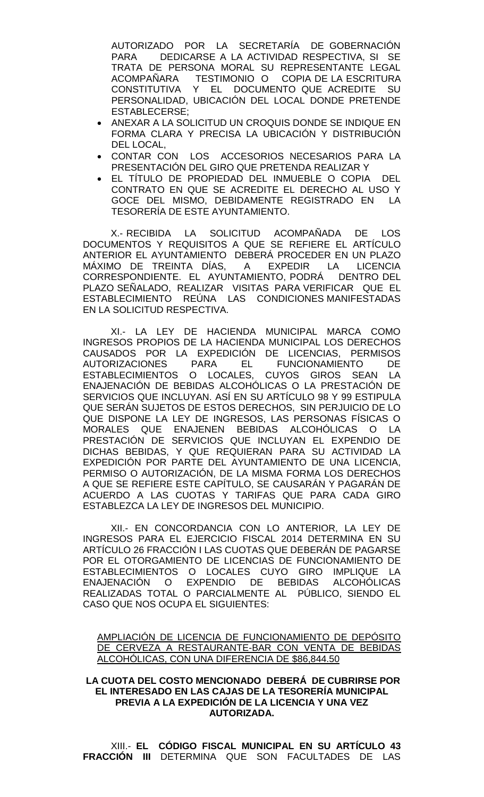AUTORIZADO POR LA SECRETARÍA DE GOBERNACIÓN PARA DEDICARSE A LA ACTIVIDAD RESPECTIVA, SI SE TRATA DE PERSONA MORAL SU REPRESENTANTE LEGAL ACOMPAÑARA TESTIMONIO O COPIA DE LA ESCRITURA CONSTITUTIVA Y EL DOCUMENTO QUE ACREDITE SU PERSONALIDAD, UBICACIÓN DEL LOCAL DONDE PRETENDE ESTABLECERSE;

- ANEXAR A LA SOLICITUD UN CROQUIS DONDE SE INDIQUE EN FORMA CLARA Y PRECISA LA UBICACIÓN Y DISTRIBUCIÓN DEL LOCAL,
- CONTAR CON LOS ACCESORIOS NECESARIOS PARA LA PRESENTACIÓN DEL GIRO QUE PRETENDA REALIZAR Y
- EL TÍTULO DE PROPIEDAD DEL INMUEBLE O COPIA DEL CONTRATO EN QUE SE ACREDITE EL DERECHO AL USO Y GOCE DEL MISMO, DEBIDAMENTE REGISTRADO EN LA TESORERÍA DE ESTE AYUNTAMIENTO.

X.- RECIBIDA LA SOLICITUD ACOMPAÑADA DE LOS DOCUMENTOS Y REQUISITOS A QUE SE REFIERE EL ARTÍCULO ANTERIOR EL AYUNTAMIENTO DEBERÁ PROCEDER EN UN PLAZO MÁXIMO DE TREINTA DÍAS, A EXPEDIR LA LICENCIA CORRESPONDIENTE. EL AYUNTAMIENTO, PODRÁ DENTRO DEL PLAZO SEÑALADO, REALIZAR VISITAS PARA VERIFICAR QUE EL ESTABLECIMIENTO REÚNA LAS CONDICIONES MANIFESTADAS EN LA SOLICITUD RESPECTIVA.

XI.- LA LEY DE HACIENDA MUNICIPAL MARCA COMO INGRESOS PROPIOS DE LA HACIENDA MUNICIPAL LOS DERECHOS CAUSADOS POR LA EXPEDICIÓN DE LICENCIAS, PERMISOS AUTORIZACIONES PARA EL FUNCIONAMIENTO DE ESTABLECIMIENTOS O LOCALES, CUYOS GIROS SEAN LA ENAJENACIÓN DE BEBIDAS ALCOHÓLICAS O LA PRESTACIÓN DE SERVICIOS QUE INCLUYAN. ASÍ EN SU ARTÍCULO 98 Y 99 ESTIPULA QUE SERÁN SUJETOS DE ESTOS DERECHOS, SIN PERJUICIO DE LO QUE DISPONE LA LEY DE INGRESOS, LAS PERSONAS FÍSICAS O MORALES QUE ENAJENEN BEBIDAS ALCOHÓLICAS O LA PRESTACIÓN DE SERVICIOS QUE INCLUYAN EL EXPENDIO DE DICHAS BEBIDAS, Y QUE REQUIERAN PARA SU ACTIVIDAD LA EXPEDICIÓN POR PARTE DEL AYUNTAMIENTO DE UNA LICENCIA, PERMISO O AUTORIZACIÓN, DE LA MISMA FORMA LOS DERECHOS A QUE SE REFIERE ESTE CAPÍTULO, SE CAUSARÁN Y PAGARÁN DE ACUERDO A LAS CUOTAS Y TARIFAS QUE PARA CADA GIRO ESTABLEZCA LA LEY DE INGRESOS DEL MUNICIPIO.

XII.- EN CONCORDANCIA CON LO ANTERIOR, LA LEY DE INGRESOS PARA EL EJERCICIO FISCAL 2014 DETERMINA EN SU ARTÍCULO 26 FRACCIÓN I LAS CUOTAS QUE DEBERÁN DE PAGARSE POR EL OTORGAMIENTO DE LICENCIAS DE FUNCIONAMIENTO DE ESTABLECIMIENTOS O LOCALES CUYO GIRO IMPLIQUE LA ENAJENACIÓN O EXPENDIO DE BEBIDAS ALCOHÓLICAS REALIZADAS TOTAL O PARCIALMENTE AL PÚBLICO, SIENDO EL CASO QUE NOS OCUPA EL SIGUIENTES:

AMPLIACIÓN DE LICENCIA DE FUNCIONAMIENTO DE DEPÓSITO DE CERVEZA A RESTAURANTE-BAR CON VENTA DE BEBIDAS ALCOHÓLICAS, CON UNA DIFERENCIA DE \$86,844.50

## **LA CUOTA DEL COSTO MENCIONADO DEBERÁ DE CUBRIRSE POR EL INTERESADO EN LAS CAJAS DE LA TESORERÍA MUNICIPAL PREVIA A LA EXPEDICIÓN DE LA LICENCIA Y UNA VEZ AUTORIZADA.**

XIII.- **EL CÓDIGO FISCAL MUNICIPAL EN SU ARTÍCULO 43 FRACCIÓN III** DETERMINA QUE SON FACULTADES DE LAS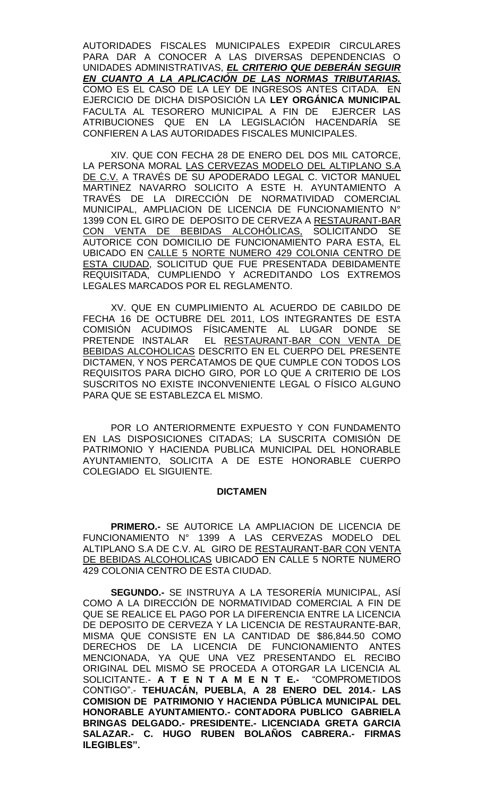AUTORIDADES FISCALES MUNICIPALES EXPEDIR CIRCULARES PARA DAR A CONOCER A LAS DIVERSAS DEPENDENCIAS O UNIDADES ADMINISTRATIVAS, *EL CRITERIO QUE DEBERÁN SEGUIR EN CUANTO A LA APLICACIÓN DE LAS NORMAS TRIBUTARIAS.*  COMO ES EL CASO DE LA LEY DE INGRESOS ANTES CITADA. EN EJERCICIO DE DICHA DISPOSICIÓN LA **LEY ORGÁNICA MUNICIPAL**  FACULTA AL TESORERO MUNICIPAL A FIN DE EJERCER LAS ATRIBUCIONES QUE EN LA LEGISLACIÓN HACENDARÍA SE CONFIEREN A LAS AUTORIDADES FISCALES MUNICIPALES.

XIV. QUE CON FECHA 28 DE ENERO DEL DOS MIL CATORCE, LA PERSONA MORAL LAS CERVEZAS MODELO DEL ALTIPLANO S.A DE C.V. A TRAVÉS DE SU APODERADO LEGAL C. VICTOR MANUEL MARTINEZ NAVARRO SOLICITO A ESTE H. AYUNTAMIENTO A TRAVÉS DE LA DIRECCIÓN DE NORMATIVIDAD COMERCIAL MUNICIPAL, AMPLIACION DE LICENCIA DE FUNCIONAMIENTO N° 1399 CON EL GIRO DE DEPOSITO DE CERVEZA A RESTAURANT-BAR CON VENTA DE BEBIDAS ALCOHÓLICAS, SOLICITANDO SE AUTORICE CON DOMICILIO DE FUNCIONAMIENTO PARA ESTA, EL UBICADO EN CALLE 5 NORTE NUMERO 429 COLONIA CENTRO DE ESTA CIUDAD, SOLICITUD QUE FUE PRESENTADA DEBIDAMENTE REQUISITADA, CUMPLIENDO Y ACREDITANDO LOS EXTREMOS LEGALES MARCADOS POR EL REGLAMENTO.

XV. QUE EN CUMPLIMIENTO AL ACUERDO DE CABILDO DE FECHA 16 DE OCTUBRE DEL 2011, LOS INTEGRANTES DE ESTA COMISIÓN ACUDIMOS FÍSICAMENTE AL LUGAR DONDE SE PRETENDE INSTALAR EL RESTAURANT-BAR CON VENTA DE BEBIDAS ALCOHOLICAS DESCRITO EN EL CUERPO DEL PRESENTE DICTAMEN, Y NOS PERCATAMOS DE QUE CUMPLE CON TODOS LOS REQUISITOS PARA DICHO GIRO, POR LO QUE A CRITERIO DE LOS SUSCRITOS NO EXISTE INCONVENIENTE LEGAL O FÍSICO ALGUNO PARA QUE SE ESTABLEZCA EL MISMO.

POR LO ANTERIORMENTE EXPUESTO Y CON FUNDAMENTO EN LAS DISPOSICIONES CITADAS; LA SUSCRITA COMISIÓN DE PATRIMONIO Y HACIENDA PUBLICA MUNICIPAL DEL HONORABLE AYUNTAMIENTO, SOLICITA A DE ESTE HONORABLE CUERPO COLEGIADO EL SIGUIENTE.

#### **DICTAMEN**

**PRIMERO.-** SE AUTORICE LA AMPLIACION DE LICENCIA DE FUNCIONAMIENTO N° 1399 A LAS CERVEZAS MODELO DEL ALTIPLANO S.A DE C.V. AL GIRO DE RESTAURANT-BAR CON VENTA DE BEBIDAS ALCOHOLICAS UBICADO EN CALLE 5 NORTE NUMERO 429 COLONIA CENTRO DE ESTA CIUDAD.

**SEGUNDO.-** SE INSTRUYA A LA TESORERÍA MUNICIPAL, ASÍ COMO A LA DIRECCIÓN DE NORMATIVIDAD COMERCIAL A FIN DE QUE SE REALICE EL PAGO POR LA DIFERENCIA ENTRE LA LICENCIA DE DEPOSITO DE CERVEZA Y LA LICENCIA DE RESTAURANTE-BAR, MISMA QUE CONSISTE EN LA CANTIDAD DE \$86,844.50 COMO DERECHOS DE LA LICENCIA DE FUNCIONAMIENTO ANTES MENCIONADA, YA QUE UNA VEZ PRESENTANDO EL RECIBO ORIGINAL DEL MISMO SE PROCEDA A OTORGAR LA LICENCIA AL SOLICITANTE.- **A T E N T A M E N T E.-** "COMPROMETIDOS CONTIGO".- **TEHUACÁN, PUEBLA, A 28 ENERO DEL 2014.- LAS COMISION DE PATRIMONIO Y HACIENDA PÚBLICA MUNICIPAL DEL HONORABLE AYUNTAMIENTO.- CONTADORA PUBLICO GABRIELA BRINGAS DELGADO.- PRESIDENTE.- LICENCIADA GRETA GARCIA SALAZAR.- C. HUGO RUBEN BOLAÑOS CABRERA.- FIRMAS ILEGIBLES".**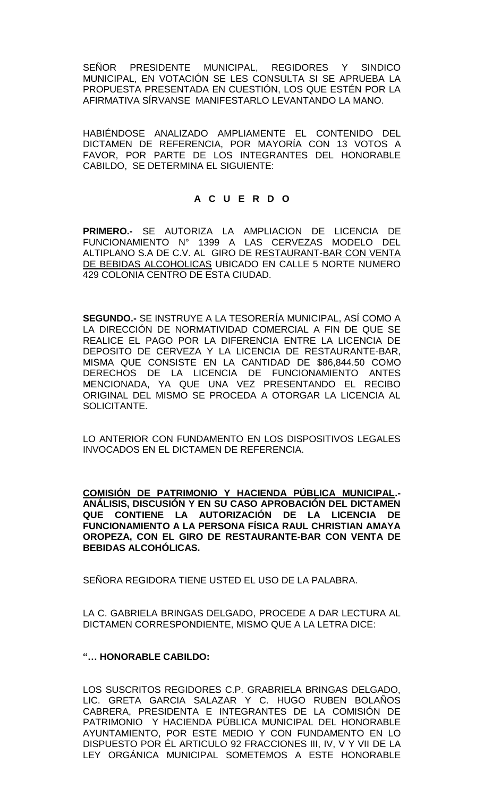SEÑOR PRESIDENTE MUNICIPAL, REGIDORES Y SINDICO MUNICIPAL, EN VOTACIÓN SE LES CONSULTA SI SE APRUEBA LA PROPUESTA PRESENTADA EN CUESTIÓN, LOS QUE ESTÉN POR LA AFIRMATIVA SÍRVANSE MANIFESTARLO LEVANTANDO LA MANO.

HABIÉNDOSE ANALIZADO AMPLIAMENTE EL CONTENIDO DEL DICTAMEN DE REFERENCIA, POR MAYORÍA CON 13 VOTOS A FAVOR, POR PARTE DE LOS INTEGRANTES DEL HONORABLE CABILDO, SE DETERMINA EL SIGUIENTE:

# **A C U E R D O**

**PRIMERO.-** SE AUTORIZA LA AMPLIACION DE LICENCIA DE FUNCIONAMIENTO N° 1399 A LAS CERVEZAS MODELO DEL ALTIPLANO S.A DE C.V. AL GIRO DE RESTAURANT-BAR CON VENTA DE BEBIDAS ALCOHOLICAS UBICADO EN CALLE 5 NORTE NUMERO 429 COLONIA CENTRO DE ESTA CIUDAD.

**SEGUNDO.-** SE INSTRUYE A LA TESORERÍA MUNICIPAL, ASÍ COMO A LA DIRECCIÓN DE NORMATIVIDAD COMERCIAL A FIN DE QUE SE REALICE EL PAGO POR LA DIFERENCIA ENTRE LA LICENCIA DE DEPOSITO DE CERVEZA Y LA LICENCIA DE RESTAURANTE-BAR, MISMA QUE CONSISTE EN LA CANTIDAD DE \$86,844.50 COMO DERECHOS DE LA LICENCIA DE FUNCIONAMIENTO ANTES MENCIONADA, YA QUE UNA VEZ PRESENTANDO EL RECIBO ORIGINAL DEL MISMO SE PROCEDA A OTORGAR LA LICENCIA AL SOLICITANTE.

LO ANTERIOR CON FUNDAMENTO EN LOS DISPOSITIVOS LEGALES INVOCADOS EN EL DICTAMEN DE REFERENCIA.

**COMISIÓN DE PATRIMONIO Y HACIENDA PÚBLICA MUNICIPAL.- ANÁLISIS, DISCUSIÓN Y EN SU CASO APROBACIÓN DEL DICTAMEN QUE CONTIENE LA AUTORIZACIÓN DE LA LICENCIA DE FUNCIONAMIENTO A LA PERSONA FÍSICA RAUL CHRISTIAN AMAYA OROPEZA, CON EL GIRO DE RESTAURANTE-BAR CON VENTA DE BEBIDAS ALCOHÓLICAS.**

SEÑORA REGIDORA TIENE USTED EL USO DE LA PALABRA.

LA C. GABRIELA BRINGAS DELGADO, PROCEDE A DAR LECTURA AL DICTAMEN CORRESPONDIENTE, MISMO QUE A LA LETRA DICE:

# **"… HONORABLE CABILDO:**

LOS SUSCRITOS REGIDORES C.P. GRABRIELA BRINGAS DELGADO, LIC. GRETA GARCIA SALAZAR Y C. HUGO RUBEN BOLAÑOS CABRERA, PRESIDENTA E INTEGRANTES DE LA COMISIÓN DE PATRIMONIO Y HACIENDA PÚBLICA MUNICIPAL DEL HONORABLE AYUNTAMIENTO, POR ESTE MEDIO Y CON FUNDAMENTO EN LO DISPUESTO POR ÉL ARTICULO 92 FRACCIONES III, IV, V Y VII DE LA LEY ORGÁNICA MUNICIPAL SOMETEMOS A ESTE HONORABLE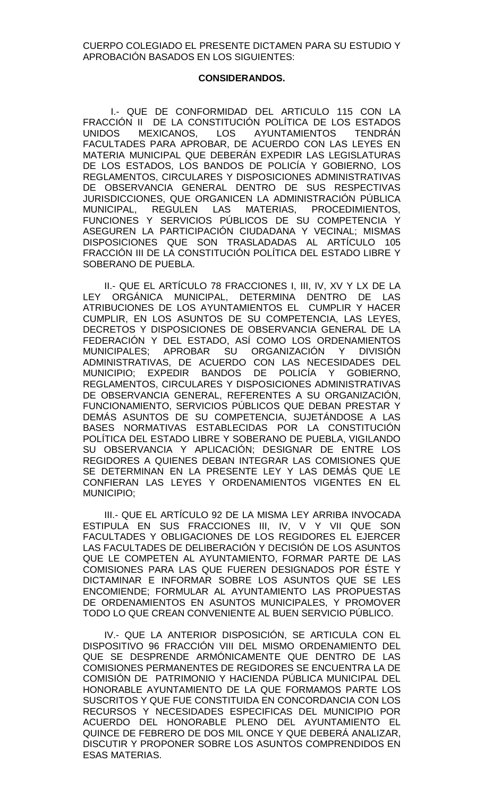CUERPO COLEGIADO EL PRESENTE DICTAMEN PARA SU ESTUDIO Y APROBACIÓN BASADOS EN LOS SIGUIENTES:

## **CONSIDERANDOS.**

I.- QUE DE CONFORMIDAD DEL ARTICULO 115 CON LA FRACCIÓN II DE LA CONSTITUCIÓN POLÍTICA DE LOS ESTADOS<br>UNIDOS MEXICANOS, LOS AYUNTAMIENTOS TENDRÁN UNIDOS MEXICANOS, LOS AYUNTAMIENTOS TENDRÁN FACULTADES PARA APROBAR, DE ACUERDO CON LAS LEYES EN MATERIA MUNICIPAL QUE DEBERÁN EXPEDIR LAS LEGISLATURAS DE LOS ESTADOS, LOS BANDOS DE POLICÍA Y GOBIERNO, LOS REGLAMENTOS, CIRCULARES Y DISPOSICIONES ADMINISTRATIVAS DE OBSERVANCIA GENERAL DENTRO DE SUS RESPECTIVAS JURISDICCIONES, QUE ORGANICEN LA ADMINISTRACIÓN PÚBLICA MUNICIPAL, REGULEN LAS MATERIAS, PROCEDIMIENTOS, FUNCIONES Y SERVICIOS PÚBLICOS DE SU COMPETENCIA Y ASEGUREN LA PARTICIPACIÓN CIUDADANA Y VECINAL; MISMAS DISPOSICIONES QUE SON TRASLADADAS AL ARTÍCULO 105 FRACCIÓN III DE LA CONSTITUCIÓN POLÍTICA DEL ESTADO LIBRE Y SOBERANO DE PUEBLA.

II.- QUE EL ARTÍCULO 78 FRACCIONES I, III, IV, XV Y LX DE LA LEY ORGÁNICA MUNICIPAL, DETERMINA DENTRO DE LAS ATRIBUCIONES DE LOS AYUNTAMIENTOS EL CUMPLIR Y HACER CUMPLIR, EN LOS ASUNTOS DE SU COMPETENCIA, LAS LEYES, DECRETOS Y DISPOSICIONES DE OBSERVANCIA GENERAL DE LA FEDERACIÓN Y DEL ESTADO, ASÍ COMO LOS ORDENAMIENTOS MUNICIPALES; APROBAR SU ORGANIZACIÓN Y DIVISIÓN ADMINISTRATIVAS, DE ACUERDO CON LAS NECESIDADES DEL MUNICIPIO; EXPEDIR BANDOS DE POLICÍA Y GOBIERNO, REGLAMENTOS, CIRCULARES Y DISPOSICIONES ADMINISTRATIVAS DE OBSERVANCIA GENERAL, REFERENTES A SU ORGANIZACIÓN, FUNCIONAMIENTO, SERVICIOS PÚBLICOS QUE DEBAN PRESTAR Y DEMÁS ASUNTOS DE SU COMPETENCIA, SUJETÁNDOSE A LAS BASES NORMATIVAS ESTABLECIDAS POR LA CONSTITUCIÓN POLÍTICA DEL ESTADO LIBRE Y SOBERANO DE PUEBLA, VIGILANDO SU OBSERVANCIA Y APLICACIÓN; DESIGNAR DE ENTRE LOS REGIDORES A QUIENES DEBAN INTEGRAR LAS COMISIONES QUE SE DETERMINAN EN LA PRESENTE LEY Y LAS DEMÁS QUE LE CONFIERAN LAS LEYES Y ORDENAMIENTOS VIGENTES EN EL MUNICIPIO;

III.- QUE EL ARTÍCULO 92 DE LA MISMA LEY ARRIBA INVOCADA ESTIPULA EN SUS FRACCIONES III, IV, V Y VII QUE SON FACULTADES Y OBLIGACIONES DE LOS REGIDORES EL EJERCER LAS FACULTADES DE DELIBERACIÓN Y DECISIÓN DE LOS ASUNTOS QUE LE COMPETEN AL AYUNTAMIENTO, FORMAR PARTE DE LAS COMISIONES PARA LAS QUE FUEREN DESIGNADOS POR ÉSTE Y DICTAMINAR E INFORMAR SOBRE LOS ASUNTOS QUE SE LES ENCOMIENDE; FORMULAR AL AYUNTAMIENTO LAS PROPUESTAS DE ORDENAMIENTOS EN ASUNTOS MUNICIPALES, Y PROMOVER TODO LO QUE CREAN CONVENIENTE AL BUEN SERVICIO PÚBLICO.

IV.- QUE LA ANTERIOR DISPOSICIÓN, SE ARTICULA CON EL DISPOSITIVO 96 FRACCIÓN VIII DEL MISMO ORDENAMIENTO DEL QUE SE DESPRENDE ARMÓNICAMENTE QUE DENTRO DE LAS COMISIONES PERMANENTES DE REGIDORES SE ENCUENTRA LA DE COMISIÓN DE PATRIMONIO Y HACIENDA PÚBLICA MUNICIPAL DEL HONORABLE AYUNTAMIENTO DE LA QUE FORMAMOS PARTE LOS SUSCRITOS Y QUE FUE CONSTITUIDA EN CONCORDANCIA CON LOS RECURSOS Y NECESIDADES ESPECIFICAS DEL MUNICIPIO POR ACUERDO DEL HONORABLE PLENO DEL AYUNTAMIENTO EL QUINCE DE FEBRERO DE DOS MIL ONCE Y QUE DEBERÁ ANALIZAR, DISCUTIR Y PROPONER SOBRE LOS ASUNTOS COMPRENDIDOS EN ESAS MATERIAS.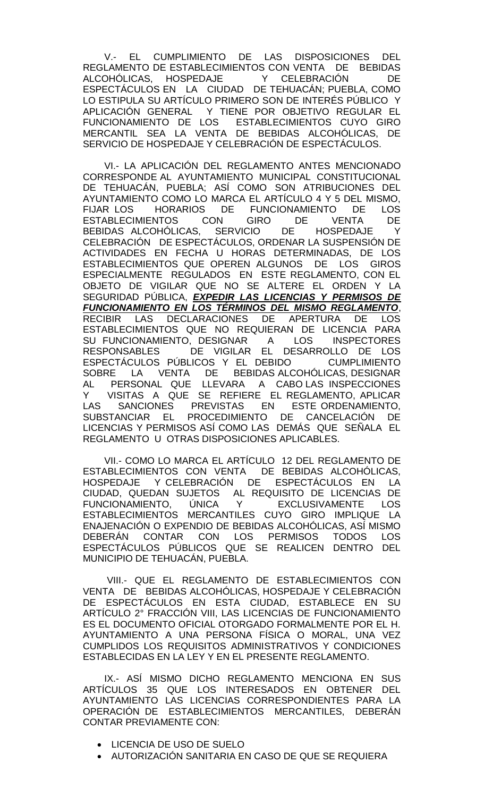V.- EL CUMPLIMIENTO DE LAS DISPOSICIONES DEL REGLAMENTO DE ESTABLECIMIENTOS CON VENTA DE BEBIDAS ALCOHÓLICAS, HOSPEDAJE Y CELEBRACIÓN DE ESPECTÁCULOS EN LA CIUDAD DE TEHUACÁN; PUEBLA, COMO LO ESTIPULA SU ARTÍCULO PRIMERO SON DE INTERÉS PÚBLICO Y APLICACIÓN GENERAL Y TIENE POR OBJETIVO REGULAR EL FUNCIONAMIENTO DE LOS ESTABLECIMIENTOS CUYO GIRO MERCANTIL SEA LA VENTA DE BEBIDAS ALCOHÓLICAS, DE SERVICIO DE HOSPEDAJE Y CELEBRACIÓN DE ESPECTÁCULOS.

VI.- LA APLICACIÓN DEL REGLAMENTO ANTES MENCIONADO CORRESPONDE AL AYUNTAMIENTO MUNICIPAL CONSTITUCIONAL DE TEHUACÁN, PUEBLA; ASÍ COMO SON ATRIBUCIONES DEL AYUNTAMIENTO COMO LO MARCA EL ARTÍCULO 4 Y 5 DEL MISMO, FIJAR LOS HORARIOS DE FUNCIONAMIENTO DE LOS ESTABLECIMIENTOS CON GIRO DE VENTA DE BEBIDAS ALCOHÓLICAS, SERVICIO DE HOSPEDAJE Y CELEBRACIÓN DE ESPECTÁCULOS, ORDENAR LA SUSPENSIÓN DE ACTIVIDADES EN FECHA U HORAS DETERMINADAS, DE LOS ESTABLECIMIENTOS QUE OPEREN ALGUNOS DE LOS GIROS ESPECIALMENTE REGULADOS EN ESTE REGLAMENTO, CON EL OBJETO DE VIGILAR QUE NO SE ALTERE EL ORDEN Y LA SEGURIDAD PÚBLICA, *EXPEDIR LAS LICENCIAS Y PERMISOS DE FUNCIONAMIENTO EN LOS TÉRMINOS DEL MISMO REGLAMENTO*, RECIBIR LAS DECLARACIONES DE APERTURA DE LOS ESTABLECIMIENTOS QUE NO REQUIERAN DE LICENCIA PARA SU FUNCIONAMIENTO, DESIGNAR A LOS INSPECTORES RESPONSABLES DE VIGILAR EL DESARROLLO DE LOS ESPECTÁCULOS PÚBLICOS Y EL DEBIDO CUMPLIMIENTO SOBRE LA VENTA DE BEBIDAS ALCOHÓLICAS, DESIGNAR AL PERSONAL QUE LLEVARA A CABO LAS INSPECCIONES Y VISITAS A QUE SE REFIERE EL REGLAMENTO, APLICAR LAS SANCIONES PREVISTAS EN ESTE ORDENAMIENTO, SUBSTANCIAR EL PROCEDIMIENTO DE CANCELACIÓN DE LICENCIAS Y PERMISOS ASÍ COMO LAS DEMÁS QUE SEÑALA EL REGLAMENTO U OTRAS DISPOSICIONES APLICABLES.

VII.- COMO LO MARCA EL ARTÍCULO 12 DEL REGLAMENTO DE ESTABLECIMIENTOS CON VENTA DE BEBIDAS ALCOHÓLICAS, HOSPEDAJE Y CELEBRACIÓN DE ESPECTÁCULOS EN LA CIUDAD, QUEDAN SUJETOS AL REQUISITO DE LICENCIAS DE FUNCIONAMIENTO, ÚNICA Y EXCLUSIVAMENTE LOS ESTABLECIMIENTOS MERCANTILES CUYO GIRO IMPLIQUE LA ENAJENACIÓN O EXPENDIO DE BEBIDAS ALCOHÓLICAS, ASÍ MISMO DEBERÁN CONTAR CON LOS PERMISOS TODOS LOS ESPECTÁCULOS PÚBLICOS QUE SE REALICEN DENTRO DEL MUNICIPIO DE TEHUACÁN, PUEBLA.

VIII.- QUE EL REGLAMENTO DE ESTABLECIMIENTOS CON VENTA DE BEBIDAS ALCOHÓLICAS, HOSPEDAJE Y CELEBRACIÓN DE ESPECTÁCULOS EN ESTA CIUDAD, ESTABLECE EN SU ARTÍCULO 2° FRACCIÓN VIII, LAS LICENCIAS DE FUNCIONAMIENTO ES EL DOCUMENTO OFICIAL OTORGADO FORMALMENTE POR EL H. AYUNTAMIENTO A UNA PERSONA FÍSICA O MORAL, UNA VEZ CUMPLIDOS LOS REQUISITOS ADMINISTRATIVOS Y CONDICIONES ESTABLECIDAS EN LA LEY Y EN EL PRESENTE REGLAMENTO.

IX.- ASÍ MISMO DICHO REGLAMENTO MENCIONA EN SUS ARTÍCULOS 35 QUE LOS INTERESADOS EN OBTENER DEL AYUNTAMIENTO LAS LICENCIAS CORRESPONDIENTES PARA LA OPERACIÓN DE ESTABLECIMIENTOS MERCANTILES, DEBERÁN CONTAR PREVIAMENTE CON:

- LICENCIA DE USO DE SUELO
- AUTORIZACIÓN SANITARIA EN CASO DE QUE SE REQUIERA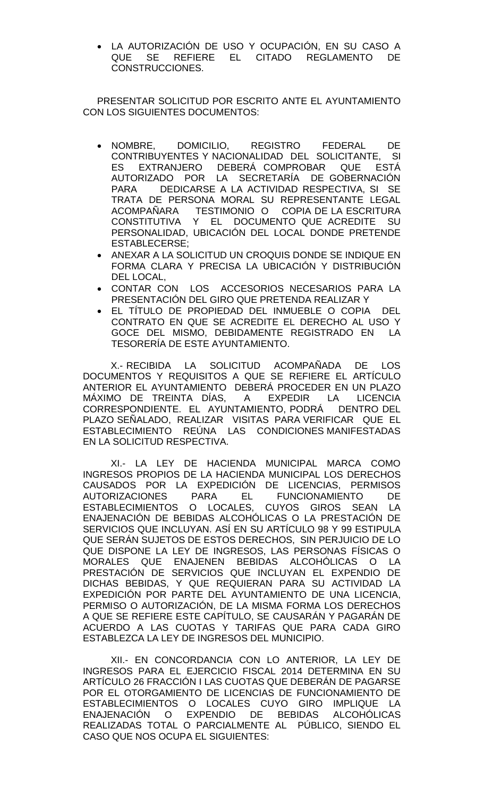LA AUTORIZACIÓN DE USO Y OCUPACIÓN, EN SU CASO A QUE SE REFIERE EL CITADO REGLAMENTO DE CONSTRUCCIONES.

PRESENTAR SOLICITUD POR ESCRITO ANTE EL AYUNTAMIENTO CON LOS SIGUIENTES DOCUMENTOS:

- NOMBRE, DOMICILIO, REGISTRO FEDERAL DE CONTRIBUYENTES Y NACIONALIDAD DEL SOLICITANTE, SI ES EXTRANJERO DEBERÁ COMPROBAR QUE ESTÁ AUTORIZADO POR LA SECRETARÍA DE GOBERNACIÓN PARA DEDICARSE A LA ACTIVIDAD RESPECTIVA, SI SE TRATA DE PERSONA MORAL SU REPRESENTANTE LEGAL ACOMPAÑARA TESTIMONIO O COPIA DE LA ESCRITURA CONSTITUTIVA Y EL DOCUMENTO QUE ACREDITE SU PERSONALIDAD, UBICACIÓN DEL LOCAL DONDE PRETENDE ESTABLECERSE;
- ANEXAR A LA SOLICITUD UN CROQUIS DONDE SE INDIQUE EN FORMA CLARA Y PRECISA LA UBICACIÓN Y DISTRIBUCIÓN DEL LOCAL,
- CONTAR CON LOS ACCESORIOS NECESARIOS PARA LA PRESENTACIÓN DEL GIRO QUE PRETENDA REALIZAR Y
- EL TÍTULO DE PROPIEDAD DEL INMUEBLE O COPIA DEL CONTRATO EN QUE SE ACREDITE EL DERECHO AL USO Y GOCE DEL MISMO, DEBIDAMENTE REGISTRADO EN LA TESORERÍA DE ESTE AYUNTAMIENTO.

X.- RECIBIDA LA SOLICITUD ACOMPAÑADA DE LOS DOCUMENTOS Y REQUISITOS A QUE SE REFIERE EL ARTÍCULO ANTERIOR EL AYUNTAMIENTO DEBERÁ PROCEDER EN UN PLAZO MÁXIMO DE TREINTA DÍAS, A EXPEDIR LA LICENCIA CORRESPONDIENTE. EL AYUNTAMIENTO, PODRÁ DENTRO DEL PLAZO SEÑALADO, REALIZAR VISITAS PARA VERIFICAR QUE EL ESTABLECIMIENTO REÚNA LAS CONDICIONES MANIFESTADAS EN LA SOLICITUD RESPECTIVA.

XI.- LA LEY DE HACIENDA MUNICIPAL MARCA COMO INGRESOS PROPIOS DE LA HACIENDA MUNICIPAL LOS DERECHOS CAUSADOS POR LA EXPEDICIÓN DE LICENCIAS, PERMISOS<br>AUTORIZACIONES PARA EL FUNCIONAMIENTO DE AUTORIZACIONES PARA EL FUNCIONAMIENTO DE ESTABLECIMIENTOS O LOCALES, CUYOS GIROS SEAN LA ENAJENACIÓN DE BEBIDAS ALCOHÓLICAS O LA PRESTACIÓN DE SERVICIOS QUE INCLUYAN. ASÍ EN SU ARTÍCULO 98 Y 99 ESTIPULA QUE SERÁN SUJETOS DE ESTOS DERECHOS, SIN PERJUICIO DE LO QUE DISPONE LA LEY DE INGRESOS, LAS PERSONAS FÍSICAS O MORALES QUE ENAJENEN BEBIDAS ALCOHÓLICAS O LA PRESTACIÓN DE SERVICIOS QUE INCLUYAN EL EXPENDIO DE DICHAS BEBIDAS, Y QUE REQUIERAN PARA SU ACTIVIDAD LA EXPEDICIÓN POR PARTE DEL AYUNTAMIENTO DE UNA LICENCIA, PERMISO O AUTORIZACIÓN, DE LA MISMA FORMA LOS DERECHOS A QUE SE REFIERE ESTE CAPÍTULO, SE CAUSARÁN Y PAGARÁN DE ACUERDO A LAS CUOTAS Y TARIFAS QUE PARA CADA GIRO ESTABLEZCA LA LEY DE INGRESOS DEL MUNICIPIO.

XII.- EN CONCORDANCIA CON LO ANTERIOR, LA LEY DE INGRESOS PARA EL EJERCICIO FISCAL 2014 DETERMINA EN SU ARTÍCULO 26 FRACCIÓN I LAS CUOTAS QUE DEBERÁN DE PAGARSE POR EL OTORGAMIENTO DE LICENCIAS DE FUNCIONAMIENTO DE ESTABLECIMIENTOS O LOCALES CUYO GIRO IMPLIQUE LA ENAJENACIÓN O EXPENDIO DE BEBIDAS ALCOHÓLICAS REALIZADAS TOTAL O PARCIALMENTE AL PÚBLICO, SIENDO EL CASO QUE NOS OCUPA EL SIGUIENTES: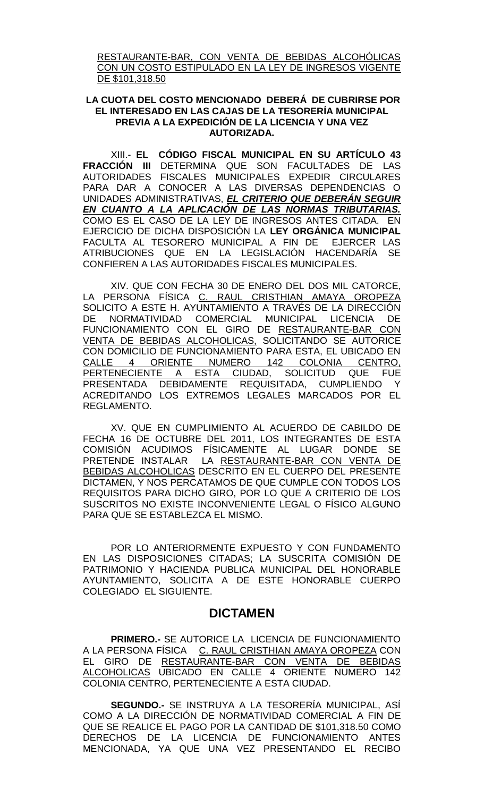RESTAURANTE-BAR, CON VENTA DE BEBIDAS ALCOHÓLICAS CON UN COSTO ESTIPULADO EN LA LEY DE INGRESOS VIGENTE DE \$101,318.50

### **LA CUOTA DEL COSTO MENCIONADO DEBERÁ DE CUBRIRSE POR EL INTERESADO EN LAS CAJAS DE LA TESORERÍA MUNICIPAL PREVIA A LA EXPEDICIÓN DE LA LICENCIA Y UNA VEZ AUTORIZADA.**

XIII.- **EL CÓDIGO FISCAL MUNICIPAL EN SU ARTÍCULO 43 FRACCIÓN III** DETERMINA QUE SON FACULTADES DE LAS AUTORIDADES FISCALES MUNICIPALES EXPEDIR CIRCULARES PARA DAR A CONOCER A LAS DIVERSAS DEPENDENCIAS O UNIDADES ADMINISTRATIVAS, *EL CRITERIO QUE DEBERÁN SEGUIR EN CUANTO A LA APLICACIÓN DE LAS NORMAS TRIBUTARIAS.*  COMO ES EL CASO DE LA LEY DE INGRESOS ANTES CITADA. EN EJERCICIO DE DICHA DISPOSICIÓN LA **LEY ORGÁNICA MUNICIPAL**  FACULTA AL TESORERO MUNICIPAL A FIN DE EJERCER LAS ATRIBUCIONES QUE EN LA LEGISLACIÓN HACENDARÍA SE CONFIEREN A LAS AUTORIDADES FISCALES MUNICIPALES.

XIV. QUE CON FECHA 30 DE ENERO DEL DOS MIL CATORCE, LA PERSONA FÍSICA C. RAUL CRISTHIAN AMAYA OROPEZA SOLICITO A ESTE H. AYUNTAMIENTO A TRAVÉS DE LA DIRECCIÓN DE NORMATIVIDAD COMERCIAL MUNICIPAL LICENCIA DE FUNCIONAMIENTO CON EL GIRO DE RESTAURANTE-BAR CON VENTA DE BEBIDAS ALCOHOLICAS, SOLICITANDO SE AUTORICE CON DOMICILIO DE FUNCIONAMIENTO PARA ESTA, EL UBICADO EN CALLE 4 ORIENTE NUMERO 142 COLONIA CENTRO, PERTENECIENTE A ESTA CIUDAD, SOLICITUD QUE FUE PRESENTADA DEBIDAMENTE REQUISITADA, CUMPLIENDO Y ACREDITANDO LOS EXTREMOS LEGALES MARCADOS POR EL REGLAMENTO.

XV. QUE EN CUMPLIMIENTO AL ACUERDO DE CABILDO DE FECHA 16 DE OCTUBRE DEL 2011, LOS INTEGRANTES DE ESTA COMISIÓN ACUDIMOS FÍSICAMENTE AL LUGAR DONDE SE PRETENDE INSTALAR LA RESTAURANTE-BAR CON VENTA DE BEBIDAS ALCOHOLICAS DESCRITO EN EL CUERPO DEL PRESENTE DICTAMEN, Y NOS PERCATAMOS DE QUE CUMPLE CON TODOS LOS REQUISITOS PARA DICHO GIRO, POR LO QUE A CRITERIO DE LOS SUSCRITOS NO EXISTE INCONVENIENTE LEGAL O FÍSICO ALGUNO PARA QUE SE ESTABLEZCA EL MISMO.

POR LO ANTERIORMENTE EXPUESTO Y CON FUNDAMENTO EN LAS DISPOSICIONES CITADAS; LA SUSCRITA COMISIÓN DE PATRIMONIO Y HACIENDA PUBLICA MUNICIPAL DEL HONORABLE AYUNTAMIENTO, SOLICITA A DE ESTE HONORABLE CUERPO COLEGIADO EL SIGUIENTE.

# **DICTAMEN**

**PRIMERO.-** SE AUTORICE LA LICENCIA DE FUNCIONAMIENTO A LA PERSONA FÍSICA C. RAUL CRISTHIAN AMAYA OROPEZA CON EL GIRO DE RESTAURANTE-BAR CON VENTA DE BEBIDAS ALCOHOLICAS UBICADO EN CALLE 4 ORIENTE NUMERO 142 COLONIA CENTRO, PERTENECIENTE A ESTA CIUDAD.

**SEGUNDO.-** SE INSTRUYA A LA TESORERÍA MUNICIPAL, ASÍ COMO A LA DIRECCIÓN DE NORMATIVIDAD COMERCIAL A FIN DE QUE SE REALICE EL PAGO POR LA CANTIDAD DE \$101,318.50 COMO DERECHOS DE LA LICENCIA DE FUNCIONAMIENTO ANTES MENCIONADA, YA QUE UNA VEZ PRESENTANDO EL RECIBO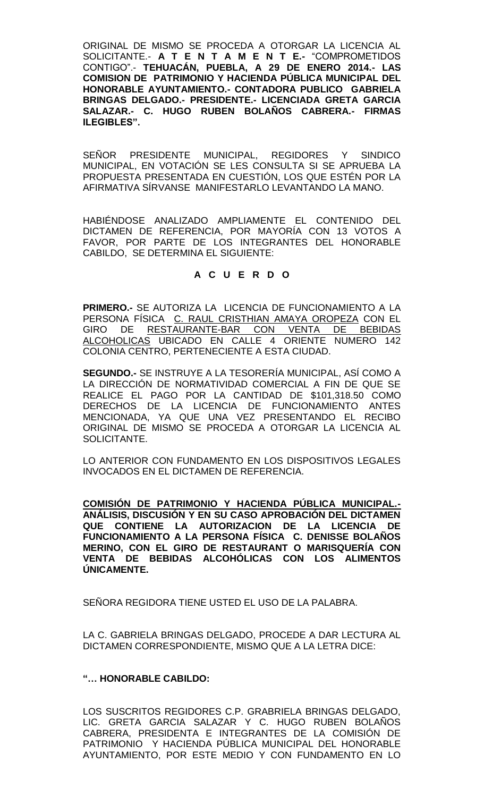ORIGINAL DE MISMO SE PROCEDA A OTORGAR LA LICENCIA AL SOLICITANTE.- **A T E N T A M E N T E.-** "COMPROMETIDOS CONTIGO".- **TEHUACÁN, PUEBLA, A 29 DE ENERO 2014.- LAS COMISION DE PATRIMONIO Y HACIENDA PÚBLICA MUNICIPAL DEL HONORABLE AYUNTAMIENTO.- CONTADORA PUBLICO GABRIELA BRINGAS DELGADO.- PRESIDENTE.- LICENCIADA GRETA GARCIA SALAZAR.- C. HUGO RUBEN BOLAÑOS CABRERA.- FIRMAS ILEGIBLES".**

SEÑOR PRESIDENTE MUNICIPAL, REGIDORES Y SINDICO MUNICIPAL, EN VOTACIÓN SE LES CONSULTA SI SE APRUEBA LA PROPUESTA PRESENTADA EN CUESTIÓN, LOS QUE ESTÉN POR LA AFIRMATIVA SÍRVANSE MANIFESTARLO LEVANTANDO LA MANO.

HABIÉNDOSE ANALIZADO AMPLIAMENTE EL CONTENIDO DEL DICTAMEN DE REFERENCIA, POR MAYORÍA CON 13 VOTOS A FAVOR, POR PARTE DE LOS INTEGRANTES DEL HONORABLE CABILDO, SE DETERMINA EL SIGUIENTE:

# **A C U E R D O**

**PRIMERO.-** SE AUTORIZA LA LICENCIA DE FUNCIONAMIENTO A LA PERSONA FÍSICA C. RAUL CRISTHIAN AMAYA OROPEZA CON EL GIRO DE RESTAURANTE-BAR CON VENTA DE BEBIDAS ALCOHOLICAS UBICADO EN CALLE 4 ORIENTE NUMERO 142 COLONIA CENTRO, PERTENECIENTE A ESTA CIUDAD.

**SEGUNDO.-** SE INSTRUYE A LA TESORERÍA MUNICIPAL, ASÍ COMO A LA DIRECCIÓN DE NORMATIVIDAD COMERCIAL A FIN DE QUE SE REALICE EL PAGO POR LA CANTIDAD DE \$101,318.50 COMO DERECHOS DE LA LICENCIA DE FUNCIONAMIENTO ANTES MENCIONADA, YA QUE UNA VEZ PRESENTANDO EL RECIBO ORIGINAL DE MISMO SE PROCEDA A OTORGAR LA LICENCIA AL SOLICITANTE.

LO ANTERIOR CON FUNDAMENTO EN LOS DISPOSITIVOS LEGALES INVOCADOS EN EL DICTAMEN DE REFERENCIA.

**COMISIÓN DE PATRIMONIO Y HACIENDA PÚBLICA MUNICIPAL.- ANÁLISIS, DISCUSIÓN Y EN SU CASO APROBACIÓN DEL DICTAMEN QUE CONTIENE LA AUTORIZACION DE LA LICENCIA DE FUNCIONAMIENTO A LA PERSONA FÍSICA C. DENISSE BOLAÑOS MERINO, CON EL GIRO DE RESTAURANT O MARISQUERÍA CON VENTA DE BEBIDAS ALCOHÓLICAS CON LOS ALIMENTOS ÚNICAMENTE.**

SEÑORA REGIDORA TIENE USTED EL USO DE LA PALABRA.

LA C. GABRIELA BRINGAS DELGADO, PROCEDE A DAR LECTURA AL DICTAMEN CORRESPONDIENTE, MISMO QUE A LA LETRA DICE:

## **"… HONORABLE CABILDO:**

LOS SUSCRITOS REGIDORES C.P. GRABRIELA BRINGAS DELGADO, LIC. GRETA GARCIA SALAZAR Y C. HUGO RUBEN BOLAÑOS CABRERA, PRESIDENTA E INTEGRANTES DE LA COMISIÓN DE PATRIMONIO Y HACIENDA PÚBLICA MUNICIPAL DEL HONORABLE AYUNTAMIENTO, POR ESTE MEDIO Y CON FUNDAMENTO EN LO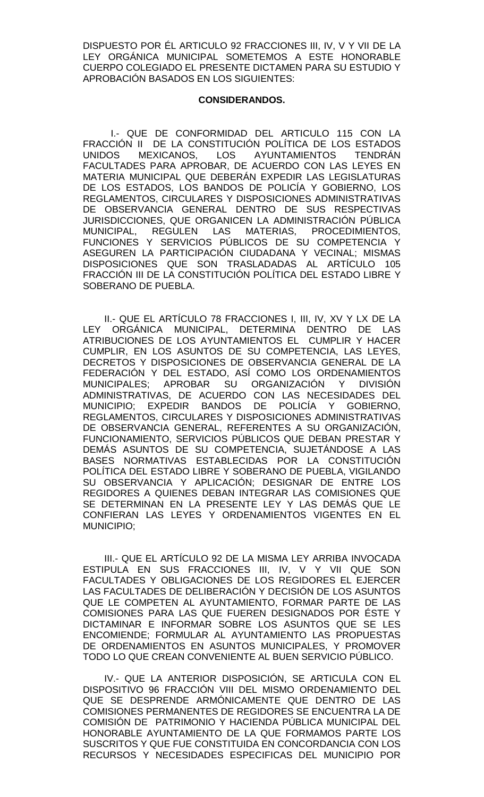DISPUESTO POR ÉL ARTICULO 92 FRACCIONES III, IV, V Y VII DE LA LEY ORGÁNICA MUNICIPAL SOMETEMOS A ESTE HONORABLE CUERPO COLEGIADO EL PRESENTE DICTAMEN PARA SU ESTUDIO Y APROBACIÓN BASADOS EN LOS SIGUIENTES:

#### **CONSIDERANDOS.**

I.- QUE DE CONFORMIDAD DEL ARTICULO 115 CON LA FRACCIÓN II DE LA CONSTITUCIÓN POLÍTICA DE LOS ESTADOS<br>UNIDOS MEXICANOS. LOS AYUNTAMIENTOS TENDRÁN UNIDOS MEXICANOS, LOS AYUNTAMIENTOS TENDRÁN FACULTADES PARA APROBAR, DE ACUERDO CON LAS LEYES EN MATERIA MUNICIPAL QUE DEBERÁN EXPEDIR LAS LEGISLATURAS DE LOS ESTADOS, LOS BANDOS DE POLICÍA Y GOBIERNO, LOS REGLAMENTOS, CIRCULARES Y DISPOSICIONES ADMINISTRATIVAS DE OBSERVANCIA GENERAL DENTRO DE SUS RESPECTIVAS JURISDICCIONES, QUE ORGANICEN LA ADMINISTRACIÓN PÚBLICA MUNICIPAL, REGULEN LAS MATERIAS, PROCEDIMIENTOS, FUNCIONES Y SERVICIOS PÚBLICOS DE SU COMPETENCIA Y ASEGUREN LA PARTICIPACIÓN CIUDADANA Y VECINAL; MISMAS DISPOSICIONES QUE SON TRASLADADAS AL ARTÍCULO 105 FRACCIÓN III DE LA CONSTITUCIÓN POLÍTICA DEL ESTADO LIBRE Y SOBERANO DE PUEBLA.

II.- QUE EL ARTÍCULO 78 FRACCIONES I, III, IV, XV Y LX DE LA LEY ORGÁNICA MUNICIPAL, DETERMINA DENTRO DE LAS ATRIBUCIONES DE LOS AYUNTAMIENTOS EL CUMPLIR Y HACER CUMPLIR, EN LOS ASUNTOS DE SU COMPETENCIA, LAS LEYES, DECRETOS Y DISPOSICIONES DE OBSERVANCIA GENERAL DE LA FEDERACIÓN Y DEL ESTADO, ASÍ COMO LOS ORDENAMIENTOS MUNICIPALES; APROBAR SU ORGANIZACIÓN Y DIVISIÓN ADMINISTRATIVAS, DE ACUERDO CON LAS NECESIDADES DEL MUNICIPIO; EXPEDIR BANDOS DE POLICÍA Y GOBIERNO, REGLAMENTOS, CIRCULARES Y DISPOSICIONES ADMINISTRATIVAS DE OBSERVANCIA GENERAL, REFERENTES A SU ORGANIZACIÓN, FUNCIONAMIENTO, SERVICIOS PÚBLICOS QUE DEBAN PRESTAR Y DEMÁS ASUNTOS DE SU COMPETENCIA, SUJETÁNDOSE A LAS BASES NORMATIVAS ESTABLECIDAS POR LA CONSTITUCIÓN POLÍTICA DEL ESTADO LIBRE Y SOBERANO DE PUEBLA, VIGILANDO SU OBSERVANCIA Y APLICACIÓN; DESIGNAR DE ENTRE LOS REGIDORES A QUIENES DEBAN INTEGRAR LAS COMISIONES QUE SE DETERMINAN EN LA PRESENTE LEY Y LAS DEMÁS QUE LE CONFIERAN LAS LEYES Y ORDENAMIENTOS VIGENTES EN EL MUNICIPIO;

III.- QUE EL ARTÍCULO 92 DE LA MISMA LEY ARRIBA INVOCADA ESTIPULA EN SUS FRACCIONES III, IV, V Y VII QUE SON FACULTADES Y OBLIGACIONES DE LOS REGIDORES EL EJERCER LAS FACULTADES DE DELIBERACIÓN Y DECISIÓN DE LOS ASUNTOS QUE LE COMPETEN AL AYUNTAMIENTO, FORMAR PARTE DE LAS COMISIONES PARA LAS QUE FUEREN DESIGNADOS POR ÉSTE Y DICTAMINAR E INFORMAR SOBRE LOS ASUNTOS QUE SE LES ENCOMIENDE; FORMULAR AL AYUNTAMIENTO LAS PROPUESTAS DE ORDENAMIENTOS EN ASUNTOS MUNICIPALES, Y PROMOVER TODO LO QUE CREAN CONVENIENTE AL BUEN SERVICIO PÚBLICO.

IV.- QUE LA ANTERIOR DISPOSICIÓN, SE ARTICULA CON EL DISPOSITIVO 96 FRACCIÓN VIII DEL MISMO ORDENAMIENTO DEL QUE SE DESPRENDE ARMÓNICAMENTE QUE DENTRO DE LAS COMISIONES PERMANENTES DE REGIDORES SE ENCUENTRA LA DE COMISIÓN DE PATRIMONIO Y HACIENDA PÚBLICA MUNICIPAL DEL HONORABLE AYUNTAMIENTO DE LA QUE FORMAMOS PARTE LOS SUSCRITOS Y QUE FUE CONSTITUIDA EN CONCORDANCIA CON LOS RECURSOS Y NECESIDADES ESPECIFICAS DEL MUNICIPIO POR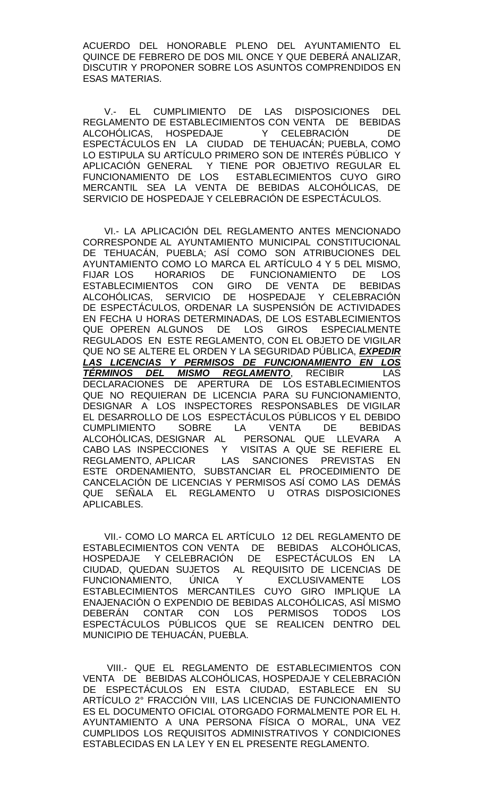ACUERDO DEL HONORABLE PLENO DEL AYUNTAMIENTO EL QUINCE DE FEBRERO DE DOS MIL ONCE Y QUE DEBERÁ ANALIZAR, DISCUTIR Y PROPONER SOBRE LOS ASUNTOS COMPRENDIDOS EN ESAS MATERIAS.

V.- EL CUMPLIMIENTO DE LAS DISPOSICIONES DEL REGLAMENTO DE ESTABLECIMIENTOS CON VENTA DE BEBIDAS ALCOHÓLICAS, HOSPEDAJE Y CELEBRACIÓN DE ESPECTÁCULOS EN LA CIUDAD DE TEHUACÁN; PUEBLA, COMO LO ESTIPULA SU ARTÍCULO PRIMERO SON DE INTERÉS PÚBLICO Y APLICACIÓN GENERAL Y TIENE POR OBJETIVO REGULAR EL FUNCIONAMIENTO DE LOS ESTABLECIMIENTOS CUYO GIRO MERCANTIL SEA LA VENTA DE BEBIDAS ALCOHÓLICAS, DE SERVICIO DE HOSPEDAJE Y CELEBRACIÓN DE ESPECTÁCULOS.

VI.- LA APLICACIÓN DEL REGLAMENTO ANTES MENCIONADO CORRESPONDE AL AYUNTAMIENTO MUNICIPAL CONSTITUCIONAL DE TEHUACÁN, PUEBLA; ASÍ COMO SON ATRIBUCIONES DEL AYUNTAMIENTO COMO LO MARCA EL ARTÍCULO 4 Y 5 DEL MISMO, FIJAR LOS HORARIOS DE FUNCIONAMIENTO DE LOS ESTABLECIMIENTOS CON GIRO DE VENTA DE BEBIDAS ALCOHÓLICAS, SERVICIO DE HOSPEDAJE Y CELEBRACIÓN DE ESPECTÁCULOS, ORDENAR LA SUSPENSIÓN DE ACTIVIDADES EN FECHA U HORAS DETERMINADAS, DE LOS ESTABLECIMIENTOS QUE OPEREN ALGUNOS DE LOS GIROS ESPECIALMENTE REGULADOS EN ESTE REGLAMENTO, CON EL OBJETO DE VIGILAR QUE NO SE ALTERE EL ORDEN Y LA SEGURIDAD PÚBLICA, *EXPEDIR LAS LICENCIAS Y PERMISOS DE FUNCIONAMIENTO EN LOS TÉRMINOS DEL MISMO REGLAMENTO*, RECIBIR LAS DECLARACIONES DE APERTURA DE LOS ESTABLECIMIENTOS QUE NO REQUIERAN DE LICENCIA PARA SU FUNCIONAMIENTO, DESIGNAR A LOS INSPECTORES RESPONSABLES DE VIGILAR EL DESARROLLO DE LOS ESPECTÁCULOS PÚBLICOS Y EL DEBIDO CUMPLIMIENTO SOBRE LA VENTA DE BEBIDAS ALCOHÓLICAS, DESIGNAR AL PERSONAL QUE LLEVARA A CABO LAS INSPECCIONES Y VISITAS A QUE SE REFIERE EL REGLAMENTO, APLICAR LAS SANCIONES PREVISTAS EN ESTE ORDENAMIENTO, SUBSTANCIAR EL PROCEDIMIENTO DE CANCELACIÓN DE LICENCIAS Y PERMISOS ASÍ COMO LAS DEMÁS QUE SEÑALA EL REGLAMENTO U OTRAS DISPOSICIONES APLICABLES.

VII.- COMO LO MARCA EL ARTÍCULO 12 DEL REGLAMENTO DE ESTABLECIMIENTOS CON VENTA DE BEBIDAS ALCOHÓLICAS, HOSPEDAJE Y CELEBRACIÓN DE ESPECTÁCULOS EN LA CIUDAD, QUEDAN SUJETOS AL REQUISITO DE LICENCIAS DE<br>FUNCIONAMIENTO. ÚNICA Y EXCLUSIVAMENTE LOS FUNCIONAMIENTO, ÚNICA Y EXCLUSIVAMENTE LOS ESTABLECIMIENTOS MERCANTILES CUYO GIRO IMPLIQUE LA ENAJENACIÓN O EXPENDIO DE BEBIDAS ALCOHÓLICAS, ASÍ MISMO DEBERÁN CONTAR CON LOS PERMISOS TODOS LOS ESPECTÁCULOS PÚBLICOS QUE SE REALICEN DENTRO DEL MUNICIPIO DE TEHUACÁN, PUEBLA.

VIII.- QUE EL REGLAMENTO DE ESTABLECIMIENTOS CON VENTA DE BEBIDAS ALCOHÓLICAS, HOSPEDAJE Y CELEBRACIÓN DE ESPECTÁCULOS EN ESTA CIUDAD, ESTABLECE EN SU ARTÍCULO 2° FRACCIÓN VIII, LAS LICENCIAS DE FUNCIONAMIENTO ES EL DOCUMENTO OFICIAL OTORGADO FORMALMENTE POR EL H. AYUNTAMIENTO A UNA PERSONA FÍSICA O MORAL, UNA VEZ CUMPLIDOS LOS REQUISITOS ADMINISTRATIVOS Y CONDICIONES ESTABLECIDAS EN LA LEY Y EN EL PRESENTE REGLAMENTO.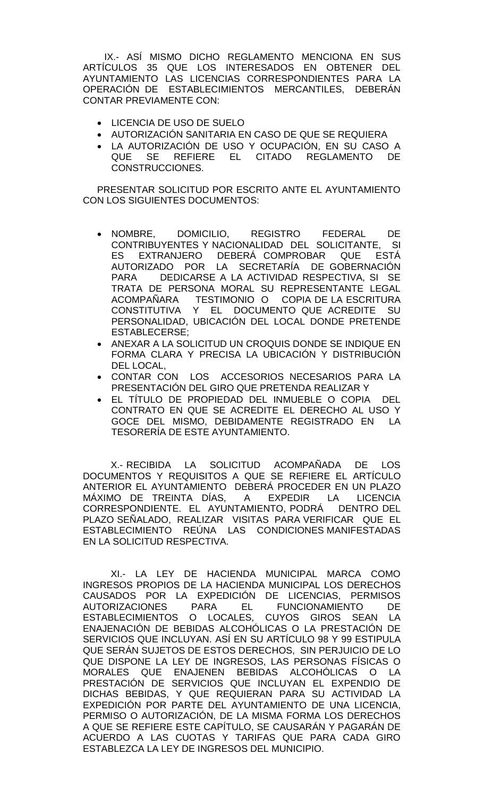IX.- ASÍ MISMO DICHO REGLAMENTO MENCIONA EN SUS ARTÍCULOS 35 QUE LOS INTERESADOS EN OBTENER DEL AYUNTAMIENTO LAS LICENCIAS CORRESPONDIENTES PARA LA OPERACIÓN DE ESTABLECIMIENTOS MERCANTILES, DEBERÁN CONTAR PREVIAMENTE CON:

- LICENCIA DE USO DE SUELO
- AUTORIZACIÓN SANITARIA EN CASO DE QUE SE REQUIERA
- LA AUTORIZACIÓN DE USO Y OCUPACIÓN, EN SU CASO A QUE SE REFIERE EL CITADO REGLAMENTO DE CONSTRUCCIONES.

PRESENTAR SOLICITUD POR ESCRITO ANTE EL AYUNTAMIENTO CON LOS SIGUIENTES DOCUMENTOS:

- NOMBRE, DOMICILIO, REGISTRO FEDERAL DE CONTRIBUYENTES Y NACIONALIDAD DEL SOLICITANTE, SI ES EXTRANJERO DEBERÁ COMPROBAR QUE ESTÁ AUTORIZADO POR LA SECRETARÍA DE GOBERNACIÓN PARA DEDICARSE A LA ACTIVIDAD RESPECTIVA, SI SE TRATA DE PERSONA MORAL SU REPRESENTANTE LEGAL ACOMPAÑARA TESTIMONIO O COPIA DE LA ESCRITURA CONSTITUTIVA Y EL DOCUMENTO QUE ACREDITE SU PERSONALIDAD, UBICACIÓN DEL LOCAL DONDE PRETENDE ESTABLECERSE;
- ANEXAR A LA SOLICITUD UN CROQUIS DONDE SE INDIQUE EN FORMA CLARA Y PRECISA LA UBICACIÓN Y DISTRIBUCIÓN DEL LOCAL,
- CONTAR CON LOS ACCESORIOS NECESARIOS PARA LA PRESENTACIÓN DEL GIRO QUE PRETENDA REALIZAR Y
- EL TÍTULO DE PROPIEDAD DEL INMUEBLE O COPIA DEL CONTRATO EN QUE SE ACREDITE EL DERECHO AL USO Y GOCE DEL MISMO, DEBIDAMENTE REGISTRADO EN LA TESORERÍA DE ESTE AYUNTAMIENTO.

X.- RECIBIDA LA SOLICITUD ACOMPAÑADA DE LOS DOCUMENTOS Y REQUISITOS A QUE SE REFIERE EL ARTÍCULO ANTERIOR EL AYUNTAMIENTO DEBERÁ PROCEDER EN UN PLAZO MÁXIMO DE TREINTA DÍAS, A EXPEDIR LA LICENCIA CORRESPONDIENTE. EL AYUNTAMIENTO, PODRÁ DENTRO DEL PLAZO SEÑALADO, REALIZAR VISITAS PARA VERIFICAR QUE EL ESTABLECIMIENTO REÚNA LAS CONDICIONES MANIFESTADAS EN LA SOLICITUD RESPECTIVA.

XI.- LA LEY DE HACIENDA MUNICIPAL MARCA COMO INGRESOS PROPIOS DE LA HACIENDA MUNICIPAL LOS DERECHOS CAUSADOS POR LA EXPEDICIÓN DE LICENCIAS, PERMISOS AUTORIZACIONES PARA EL FUNCIONAMIENTO DE<br>ESTABLECIMIENTOS O LOCALES, CUYOS GIROS SEAN LA ESTABLECIMIENTOS O LOCALES, ENAJENACIÓN DE BEBIDAS ALCOHÓLICAS O LA PRESTACIÓN DE SERVICIOS QUE INCLUYAN. ASÍ EN SU ARTÍCULO 98 Y 99 ESTIPULA QUE SERÁN SUJETOS DE ESTOS DERECHOS, SIN PERJUICIO DE LO QUE DISPONE LA LEY DE INGRESOS, LAS PERSONAS FÍSICAS O MORALES QUE ENAJENEN BEBIDAS ALCOHÓLICAS O LA PRESTACIÓN DE SERVICIOS QUE INCLUYAN EL EXPENDIO DE DICHAS BEBIDAS, Y QUE REQUIERAN PARA SU ACTIVIDAD LA EXPEDICIÓN POR PARTE DEL AYUNTAMIENTO DE UNA LICENCIA, PERMISO O AUTORIZACIÓN, DE LA MISMA FORMA LOS DERECHOS A QUE SE REFIERE ESTE CAPÍTULO, SE CAUSARÁN Y PAGARÁN DE ACUERDO A LAS CUOTAS Y TARIFAS QUE PARA CADA GIRO ESTABLEZCA LA LEY DE INGRESOS DEL MUNICIPIO.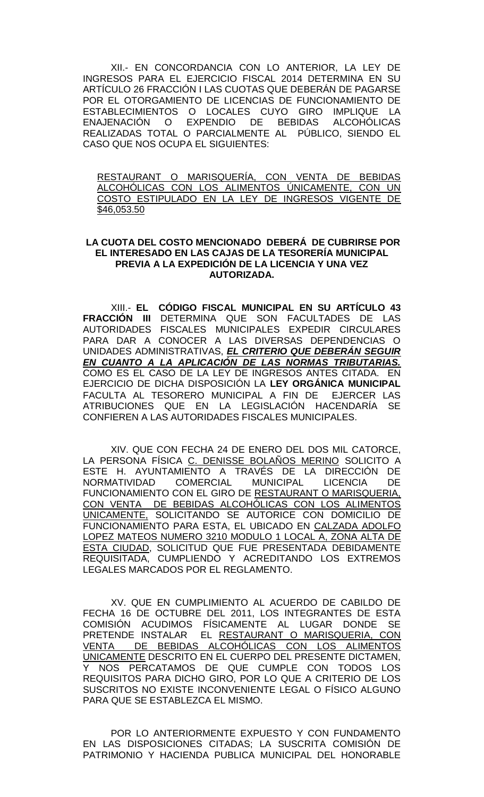XII.- EN CONCORDANCIA CON LO ANTERIOR, LA LEY DE INGRESOS PARA EL EJERCICIO FISCAL 2014 DETERMINA EN SU ARTÍCULO 26 FRACCIÓN I LAS CUOTAS QUE DEBERÁN DE PAGARSE POR EL OTORGAMIENTO DE LICENCIAS DE FUNCIONAMIENTO DE ESTABLECIMIENTOS O LOCALES CUYO GIRO IMPLIQUE LA ENAJENACIÓN O EXPENDIO DE BEBIDAS ALCOHÓLICAS REALIZADAS TOTAL O PARCIALMENTE AL PÚBLICO, SIENDO EL CASO QUE NOS OCUPA EL SIGUIENTES:

RESTAURANT O MARISQUERÍA, CON VENTA DE BEBIDAS ALCOHÓLICAS CON LOS ALIMENTOS ÚNICAMENTE, CON UN COSTO ESTIPULADO EN LA LEY DE INGRESOS VIGENTE DE \$46,053.50

## **LA CUOTA DEL COSTO MENCIONADO DEBERÁ DE CUBRIRSE POR EL INTERESADO EN LAS CAJAS DE LA TESORERÍA MUNICIPAL PREVIA A LA EXPEDICIÓN DE LA LICENCIA Y UNA VEZ AUTORIZADA.**

XIII.- **EL CÓDIGO FISCAL MUNICIPAL EN SU ARTÍCULO 43 FRACCIÓN III** DETERMINA QUE SON FACULTADES DE LAS AUTORIDADES FISCALES MUNICIPALES EXPEDIR CIRCULARES PARA DAR A CONOCER A LAS DIVERSAS DEPENDENCIAS O UNIDADES ADMINISTRATIVAS, *EL CRITERIO QUE DEBERÁN SEGUIR EN CUANTO A LA APLICACIÓN DE LAS NORMAS TRIBUTARIAS.*  COMO ES EL CASO DE LA LEY DE INGRESOS ANTES CITADA. EN EJERCICIO DE DICHA DISPOSICIÓN LA **LEY ORGÁNICA MUNICIPAL**  FACULTA AL TESORERO MUNICIPAL A FIN DE EJERCER LAS ATRIBUCIONES QUE EN LA LEGISLACIÓN HACENDARÍA SE CONFIEREN A LAS AUTORIDADES FISCALES MUNICIPALES.

XIV. QUE CON FECHA 24 DE ENERO DEL DOS MIL CATORCE, LA PERSONA FÍSICA C. DENISSE BOLAÑOS MERINO SOLICITO A ESTE H. AYUNTAMIENTO A TRAVÉS DE LA DIRECCIÓN DE NORMATIVIDAD COMERCIAL MUNICIPAL LICENCIA DE FUNCIONAMIENTO CON EL GIRO DE RESTAURANT O MARISQUERIA, CON VENTA DE BEBIDAS ALCOHÓLICAS CON LOS ALIMENTOS UNICAMENTE, SOLICITANDO SE AUTORICE CON DOMICILIO DE FUNCIONAMIENTO PARA ESTA, EL UBICADO EN CALZADA ADOLFO LOPEZ MATEOS NUMERO 3210 MODULO 1 LOCAL A, ZONA ALTA DE ESTA CIUDAD, SOLICITUD QUE FUE PRESENTADA DEBIDAMENTE REQUISITADA, CUMPLIENDO Y ACREDITANDO LOS EXTREMOS LEGALES MARCADOS POR EL REGLAMENTO.

XV. QUE EN CUMPLIMIENTO AL ACUERDO DE CABILDO DE FECHA 16 DE OCTUBRE DEL 2011, LOS INTEGRANTES DE ESTA COMISIÓN ACUDIMOS FÍSICAMENTE AL LUGAR DONDE SE PRETENDE INSTALAR EL RESTAURANT O MARISQUERIA, CON VENTA DE BEBIDAS ALCOHÓLICAS CON LOS ALIMENTOS UNICAMENTE DESCRITO EN EL CUERPO DEL PRESENTE DICTAMEN, Y NOS PERCATAMOS DE QUE CUMPLE CON TODOS LOS REQUISITOS PARA DICHO GIRO, POR LO QUE A CRITERIO DE LOS SUSCRITOS NO EXISTE INCONVENIENTE LEGAL O FÍSICO ALGUNO PARA QUE SE ESTABLEZCA EL MISMO.

POR LO ANTERIORMENTE EXPUESTO Y CON FUNDAMENTO EN LAS DISPOSICIONES CITADAS; LA SUSCRITA COMISIÓN DE PATRIMONIO Y HACIENDA PUBLICA MUNICIPAL DEL HONORABLE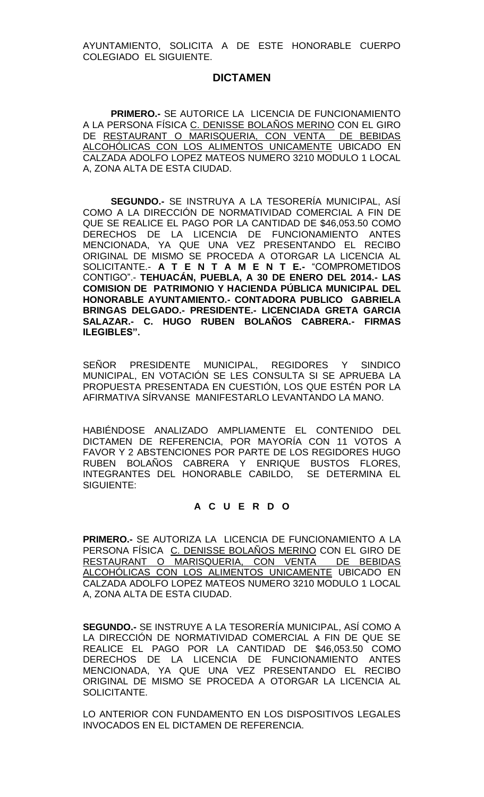AYUNTAMIENTO, SOLICITA A DE ESTE HONORABLE CUERPO COLEGIADO EL SIGUIENTE.

# **DICTAMEN**

**PRIMERO.-** SE AUTORICE LA LICENCIA DE FUNCIONAMIENTO A LA PERSONA FÍSICA C. DENISSE BOLAÑOS MERINO CON EL GIRO DE RESTAURANT O MARISQUERIA, CON VENTA DE BEBIDAS ALCOHÓLICAS CON LOS ALIMENTOS UNICAMENTE UBICADO EN CALZADA ADOLFO LOPEZ MATEOS NUMERO 3210 MODULO 1 LOCAL A, ZONA ALTA DE ESTA CIUDAD.

**SEGUNDO.-** SE INSTRUYA A LA TESORERÍA MUNICIPAL, ASÍ COMO A LA DIRECCIÓN DE NORMATIVIDAD COMERCIAL A FIN DE QUE SE REALICE EL PAGO POR LA CANTIDAD DE \$46,053.50 COMO DERECHOS DE LA LICENCIA DE FUNCIONAMIENTO ANTES MENCIONADA, YA QUE UNA VEZ PRESENTANDO EL RECIBO ORIGINAL DE MISMO SE PROCEDA A OTORGAR LA LICENCIA AL SOLICITANTE.- **A T E N T A M E N T E.-** "COMPROMETIDOS CONTIGO".- **TEHUACÁN, PUEBLA, A 30 DE ENERO DEL 2014.- LAS COMISION DE PATRIMONIO Y HACIENDA PÚBLICA MUNICIPAL DEL HONORABLE AYUNTAMIENTO.- CONTADORA PUBLICO GABRIELA BRINGAS DELGADO.- PRESIDENTE.- LICENCIADA GRETA GARCIA SALAZAR.- C. HUGO RUBEN BOLAÑOS CABRERA.- FIRMAS ILEGIBLES".**

SEÑOR PRESIDENTE MUNICIPAL, REGIDORES Y SINDICO MUNICIPAL, EN VOTACIÓN SE LES CONSULTA SI SE APRUEBA LA PROPUESTA PRESENTADA EN CUESTIÓN, LOS QUE ESTÉN POR LA AFIRMATIVA SÍRVANSE MANIFESTARLO LEVANTANDO LA MANO.

HABIÉNDOSE ANALIZADO AMPLIAMENTE EL CONTENIDO DEL DICTAMEN DE REFERENCIA, POR MAYORÍA CON 11 VOTOS A FAVOR Y 2 ABSTENCIONES POR PARTE DE LOS REGIDORES HUGO RUBEN BOLAÑOS CABRERA Y ENRIQUE BUSTOS FLORES, INTEGRANTES DEL HONORABLE CABILDO, SE DETERMINA EL SIGUIENTE:

# **A C U E R D O**

**PRIMERO.-** SE AUTORIZA LA LICENCIA DE FUNCIONAMIENTO A LA PERSONA FÍSICA C. DENISSE BOLAÑOS MERINO CON EL GIRO DE RESTAURANT O MARISQUERIA, CON VENTA DE BEBIDAS ALCOHÓLICAS CON LOS ALIMENTOS UNICAMENTE UBICADO EN CALZADA ADOLFO LOPEZ MATEOS NUMERO 3210 MODULO 1 LOCAL A, ZONA ALTA DE ESTA CIUDAD.

**SEGUNDO.-** SE INSTRUYE A LA TESORERÍA MUNICIPAL, ASÍ COMO A LA DIRECCIÓN DE NORMATIVIDAD COMERCIAL A FIN DE QUE SE REALICE EL PAGO POR LA CANTIDAD DE \$46,053.50 COMO DERECHOS DE LA LICENCIA DE FUNCIONAMIENTO ANTES MENCIONADA, YA QUE UNA VEZ PRESENTANDO EL RECIBO ORIGINAL DE MISMO SE PROCEDA A OTORGAR LA LICENCIA AL SOLICITANTE.

LO ANTERIOR CON FUNDAMENTO EN LOS DISPOSITIVOS LEGALES INVOCADOS EN EL DICTAMEN DE REFERENCIA.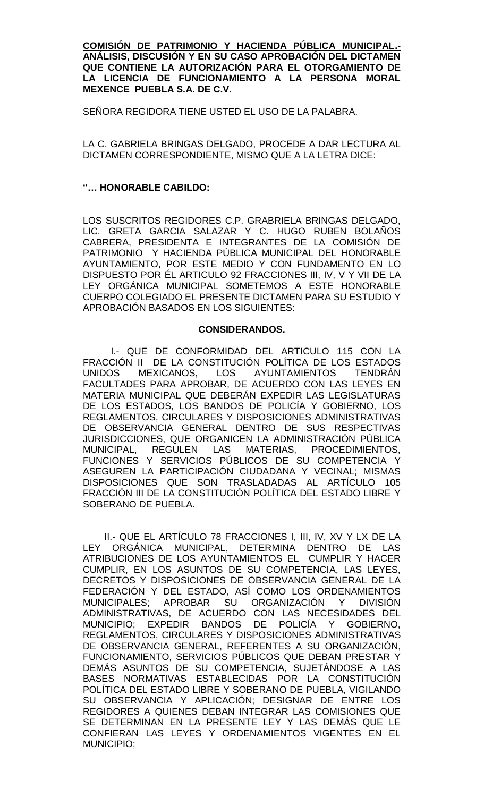**COMISIÓN DE PATRIMONIO Y HACIENDA PÚBLICA MUNICIPAL.- ANÁLISIS, DISCUSIÓN Y EN SU CASO APROBACIÓN DEL DICTAMEN QUE CONTIENE LA AUTORIZACIÓN PARA EL OTORGAMIENTO DE LA LICENCIA DE FUNCIONAMIENTO A LA PERSONA MORAL MEXENCE PUEBLA S.A. DE C.V.**

SEÑORA REGIDORA TIENE USTED EL USO DE LA PALABRA.

LA C. GABRIELA BRINGAS DELGADO, PROCEDE A DAR LECTURA AL DICTAMEN CORRESPONDIENTE, MISMO QUE A LA LETRA DICE:

# **"… HONORABLE CABILDO:**

LOS SUSCRITOS REGIDORES C.P. GRABRIELA BRINGAS DELGADO, LIC. GRETA GARCIA SALAZAR Y C. HUGO RUBEN BOLAÑOS CABRERA, PRESIDENTA E INTEGRANTES DE LA COMISIÓN DE PATRIMONIO Y HACIENDA PÚBLICA MUNICIPAL DEL HONORABLE AYUNTAMIENTO, POR ESTE MEDIO Y CON FUNDAMENTO EN LO DISPUESTO POR ÉL ARTICULO 92 FRACCIONES III, IV, V Y VII DE LA LEY ORGÁNICA MUNICIPAL SOMETEMOS A ESTE HONORABLE CUERPO COLEGIADO EL PRESENTE DICTAMEN PARA SU ESTUDIO Y APROBACIÓN BASADOS EN LOS SIGUIENTES:

# **CONSIDERANDOS.**

I.- QUE DE CONFORMIDAD DEL ARTICULO 115 CON LA FRACCIÓN II DE LA CONSTITUCIÓN POLÍTICA DE LOS ESTADOS UNIDOS MEXICANOS, LOS AYUNTAMIENTOS TENDRÁN FACULTADES PARA APROBAR, DE ACUERDO CON LAS LEYES EN MATERIA MUNICIPAL QUE DEBERÁN EXPEDIR LAS LEGISLATURAS DE LOS ESTADOS, LOS BANDOS DE POLICÍA Y GOBIERNO, LOS REGLAMENTOS, CIRCULARES Y DISPOSICIONES ADMINISTRATIVAS DE OBSERVANCIA GENERAL DENTRO DE SUS RESPECTIVAS JURISDICCIONES, QUE ORGANICEN LA ADMINISTRACIÓN PÚBLICA MUNICIPAL, REGULEN LAS MATERIAS, PROCEDIMIENTOS, FUNCIONES Y SERVICIOS PÚBLICOS DE SU COMPETENCIA Y ASEGUREN LA PARTICIPACIÓN CIUDADANA Y VECINAL; MISMAS DISPOSICIONES QUE SON TRASLADADAS AL ARTÍCULO 105 FRACCIÓN III DE LA CONSTITUCIÓN POLÍTICA DEL ESTADO LIBRE Y SOBERANO DE PUEBLA.

II.- QUE EL ARTÍCULO 78 FRACCIONES I, III, IV, XV Y LX DE LA LEY ORGÁNICA MUNICIPAL, DETERMINA DENTRO DE LAS ATRIBUCIONES DE LOS AYUNTAMIENTOS EL CUMPLIR Y HACER CUMPLIR, EN LOS ASUNTOS DE SU COMPETENCIA, LAS LEYES, DECRETOS Y DISPOSICIONES DE OBSERVANCIA GENERAL DE LA FEDERACIÓN Y DEL ESTADO, ASÍ COMO LOS ORDENAMIENTOS MUNICIPALES; APROBAR SU ORGANIZACIÓN Y DIVISIÓN ADMINISTRATIVAS, DE ACUERDO CON LAS NECESIDADES DEL MUNICIPIO; EXPEDIR BANDOS DE POLICÍA Y GOBIERNO, REGLAMENTOS, CIRCULARES Y DISPOSICIONES ADMINISTRATIVAS DE OBSERVANCIA GENERAL, REFERENTES A SU ORGANIZACIÓN, FUNCIONAMIENTO, SERVICIOS PÚBLICOS QUE DEBAN PRESTAR Y DEMÁS ASUNTOS DE SU COMPETENCIA, SUJETÁNDOSE A LAS BASES NORMATIVAS ESTABLECIDAS POR LA CONSTITUCIÓN POLÍTICA DEL ESTADO LIBRE Y SOBERANO DE PUEBLA, VIGILANDO SU OBSERVANCIA Y APLICACIÓN; DESIGNAR DE ENTRE LOS REGIDORES A QUIENES DEBAN INTEGRAR LAS COMISIONES QUE SE DETERMINAN EN LA PRESENTE LEY Y LAS DEMÁS QUE LE CONFIERAN LAS LEYES Y ORDENAMIENTOS VIGENTES EN EL MUNICIPIO;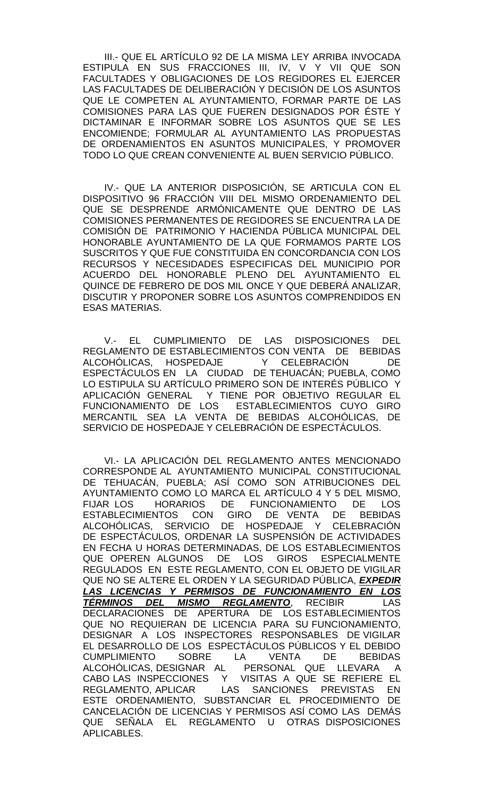III.- QUE EL ARTÍCULO 92 DE LA MISMA LEY ARRIBA INVOCADA ESTIPULA EN SUS FRACCIONES III, IV, V Y VII QUE SON FACULTADES Y OBLIGACIONES DE LOS REGIDORES EL EJERCER LAS FACULTADES DE DELIBERACIÓN Y DECISIÓN DE LOS ASUNTOS QUE LE COMPETEN AL AYUNTAMIENTO, FORMAR PARTE DE LAS COMISIONES PARA LAS QUE FUEREN DESIGNADOS POR ÉSTE Y DICTAMINAR E INFORMAR SOBRE LOS ASUNTOS QUE SE LES ENCOMIENDE; FORMULAR AL AYUNTAMIENTO LAS PROPUESTAS DE ORDENAMIENTOS EN ASUNTOS MUNICIPALES, Y PROMOVER TODO LO QUE CREAN CONVENIENTE AL BUEN SERVICIO PÚBLICO.

IV.- QUE LA ANTERIOR DISPOSICIÓN, SE ARTICULA CON EL DISPOSITIVO 96 FRACCIÓN VIII DEL MISMO ORDENAMIENTO DEL QUE SE DESPRENDE ARMÓNICAMENTE QUE DENTRO DE LAS COMISIONES PERMANENTES DE REGIDORES SE ENCUENTRA LA DE COMISIÓN DE PATRIMONIO Y HACIENDA PÚBLICA MUNICIPAL DEL HONORABLE AYUNTAMIENTO DE LA QUE FORMAMOS PARTE LOS SUSCRITOS Y QUE FUE CONSTITUIDA EN CONCORDANCIA CON LOS RECURSOS Y NECESIDADES ESPECIFICAS DEL MUNICIPIO POR ACUERDO DEL HONORABLE PLENO DEL AYUNTAMIENTO EL QUINCE DE FEBRERO DE DOS MIL ONCE Y QUE DEBERÁ ANALIZAR, DISCUTIR Y PROPONER SOBRE LOS ASUNTOS COMPRENDIDOS EN ESAS MATERIAS.

V.- EL CUMPLIMIENTO DE LAS DISPOSICIONES DEL REGLAMENTO DE ESTABLECIMIENTOS CON VENTA DE BEBIDAS ALCOHÓLICAS, HOSPEDAJE Y CELEBRACIÓN DE ESPECTÁCULOS EN LA CIUDAD DE TEHUACÁN; PUEBLA, COMO LO ESTIPULA SU ARTÍCULO PRIMERO SON DE INTERÉS PÚBLICO Y APLICACIÓN GENERAL Y TIENE POR OBJETIVO REGULAR EL FUNCIONAMIENTO DE LOS ESTABLECIMIENTOS CUYO GIRO MERCANTIL SEA LA VENTA DE BEBIDAS ALCOHÓLICAS, DE SERVICIO DE HOSPEDAJE Y CELEBRACIÓN DE ESPECTÁCULOS.

VI.- LA APLICACIÓN DEL REGLAMENTO ANTES MENCIONADO CORRESPONDE AL AYUNTAMIENTO MUNICIPAL CONSTITUCIONAL DE TEHUACÁN, PUEBLA; ASÍ COMO SON ATRIBUCIONES DEL AYUNTAMIENTO COMO LO MARCA EL ARTÍCULO 4 Y 5 DEL MISMO, FIJAR LOS HORARIOS DE FUNCIONAMIENTO DE LOS ESTABLECIMIENTOS CON GIRO DE VENTA DE BEBIDAS ALCOHÓLICAS, SERVICIO DE HOSPEDAJE Y CELEBRACIÓN DE ESPECTÁCULOS, ORDENAR LA SUSPENSIÓN DE ACTIVIDADES EN FECHA U HORAS DETERMINADAS, DE LOS ESTABLECIMIENTOS QUE OPEREN ALGUNOS DE LOS GIROS ESPECIALMENTE REGULADOS EN ESTE REGLAMENTO, CON EL OBJETO DE VIGILAR QUE NO SE ALTERE EL ORDEN Y LA SEGURIDAD PÚBLICA, *EXPEDIR LAS LICENCIAS Y PERMISOS DE FUNCIONAMIENTO EN LOS TÉRMINOS DEL MISMO REGLAMENTO*, RECIBIR LAS DECLARACIONES DE APERTURA DE LOS ESTABLECIMIENTOS QUE NO REQUIERAN DE LICENCIA PARA SU FUNCIONAMIENTO, DESIGNAR A LOS INSPECTORES RESPONSABLES DE VIGILAR EL DESARROLLO DE LOS ESPECTÁCULOS PÚBLICOS Y EL DEBIDO CUMPLIMIENTO SOBRE LA VENTA DE BEBIDAS ALCOHÓLICAS, DESIGNAR AL PERSONAL QUE LLEVARA A CABO LAS INSPECCIONES Y VISITAS A QUE SE REFIERE EL REGLAMENTO, APLICAR LAS SANCIONES PREVISTAS EN ESTE ORDENAMIENTO, SUBSTANCIAR EL PROCEDIMIENTO DE CANCELACIÓN DE LICENCIAS Y PERMISOS ASÍ COMO LAS DEMÁS QUE SEÑALA EL REGLAMENTO U OTRAS DISPOSICIONES APLICABLES.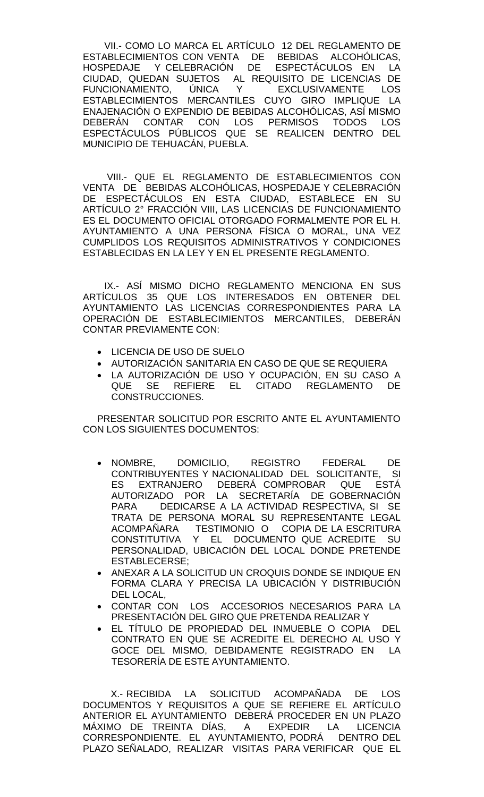VII.- COMO LO MARCA EL ARTÍCULO 12 DEL REGLAMENTO DE ESTABLECIMIENTOS CON VENTA DE BEBIDAS ALCOHÓLICAS, HOSPEDAJE Y CELEBRACIÓN DE ESPECTÁCULOS EN LA CIUDAD, QUEDAN SUJETOS AL REQUISITO DE LICENCIAS DE FUNCIONAMIENTO, ÚNICA Y EXCLUSIVAMENTE LOS ESTABLECIMIENTOS MERCANTILES CUYO GIRO IMPLIQUE LA ENAJENACIÓN O EXPENDIO DE BEBIDAS ALCOHÓLICAS, ASÍ MISMO DEBERÁN CONTAR CON LOS PERMISOS TODOS LOS ESPECTÁCULOS PÚBLICOS QUE SE REALICEN DENTRO DEL MUNICIPIO DE TEHUACÁN, PUEBLA.

VIII.- QUE EL REGLAMENTO DE ESTABLECIMIENTOS CON VENTA DE BEBIDAS ALCOHÓLICAS, HOSPEDAJE Y CELEBRACIÓN DE ESPECTÁCULOS EN ESTA CIUDAD, ESTABLECE EN SU ARTÍCULO 2° FRACCIÓN VIII, LAS LICENCIAS DE FUNCIONAMIENTO ES EL DOCUMENTO OFICIAL OTORGADO FORMALMENTE POR EL H. AYUNTAMIENTO A UNA PERSONA FÍSICA O MORAL, UNA VEZ CUMPLIDOS LOS REQUISITOS ADMINISTRATIVOS Y CONDICIONES ESTABLECIDAS EN LA LEY Y EN EL PRESENTE REGLAMENTO.

IX.- ASÍ MISMO DICHO REGLAMENTO MENCIONA EN SUS ARTÍCULOS 35 QUE LOS INTERESADOS EN OBTENER DEL AYUNTAMIENTO LAS LICENCIAS CORRESPONDIENTES PARA LA OPERACIÓN DE ESTABLECIMIENTOS MERCANTILES, DEBERÁN CONTAR PREVIAMENTE CON:

- LICENCIA DE USO DE SUELO
- AUTORIZACIÓN SANITARIA EN CASO DE QUE SE REQUIERA
- LA AUTORIZACIÓN DE USO Y OCUPACIÓN, EN SU CASO A QUE SE REFIERE EL CITADO REGLAMENTO DE CONSTRUCCIONES.

PRESENTAR SOLICITUD POR ESCRITO ANTE EL AYUNTAMIENTO CON LOS SIGUIENTES DOCUMENTOS:

- NOMBRE, DOMICILIO, REGISTRO FEDERAL DE CONTRIBUYENTES Y NACIONALIDAD DEL SOLICITANTE, SI ES EXTRANJERO DEBERÁ COMPROBAR QUE ESTÁ AUTORIZADO POR LA SECRETARÍA DE GOBERNACIÓN PARA DEDICARSE A LA ACTIVIDAD RESPECTIVA, SI SE TRATA DE PERSONA MORAL SU REPRESENTANTE LEGAL ACOMPAÑARA TESTIMONIO O COPIA DE LA ESCRITURA CONSTITUTIVA Y EL DOCUMENTO QUE ACREDITE SU PERSONALIDAD, UBICACIÓN DEL LOCAL DONDE PRETENDE ESTABLECERSE;
- ANEXAR A LA SOLICITUD UN CROQUIS DONDE SE INDIQUE EN FORMA CLARA Y PRECISA LA UBICACIÓN Y DISTRIBUCIÓN DEL LOCAL,
- CONTAR CON LOS ACCESORIOS NECESARIOS PARA LA PRESENTACIÓN DEL GIRO QUE PRETENDA REALIZAR Y
- EL TÍTULO DE PROPIEDAD DEL INMUEBLE O COPIA DEL CONTRATO EN QUE SE ACREDITE EL DERECHO AL USO Y GOCE DEL MISMO, DEBIDAMENTE REGISTRADO EN LA TESORERÍA DE ESTE AYUNTAMIENTO.

X.- RECIBIDA LA SOLICITUD ACOMPAÑADA DE LOS DOCUMENTOS Y REQUISITOS A QUE SE REFIERE EL ARTÍCULO ANTERIOR EL AYUNTAMIENTO DEBERÁ PROCEDER EN UN PLAZO MÁXIMO DE TREINTA DÍAS, A EXPEDIR LA LICENCIA CORRESPONDIENTE. EL AYUNTAMIENTO, PODRÁ DENTRO DEL PLAZO SEÑALADO, REALIZAR VISITAS PARA VERIFICAR QUE EL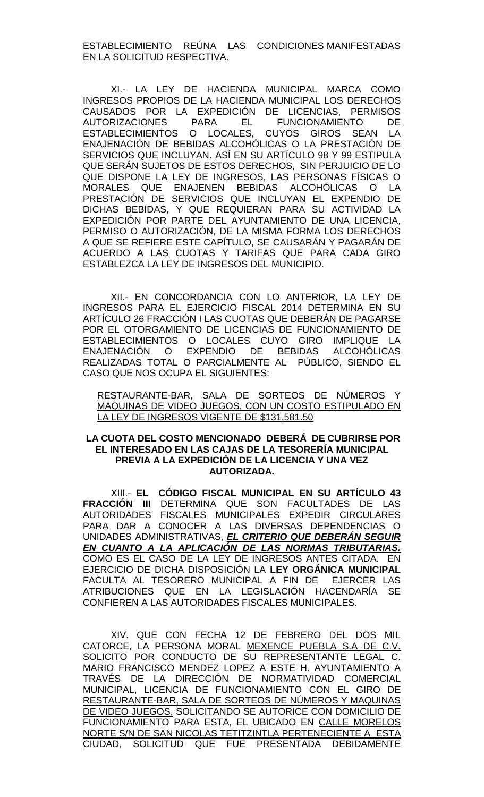XI.- LA LEY DE HACIENDA MUNICIPAL MARCA COMO INGRESOS PROPIOS DE LA HACIENDA MUNICIPAL LOS DERECHOS CAUSADOS POR LA EXPEDICIÓN DE LICENCIAS, PERMISOS AUTORIZACIONES PARA EL FUNCIONAMIENTO DE AUTORIZACIONES PARA EL FUNCIONAMIENTO DE<br>ESTABLECIMIENTOS O LOCALES, CUYOS GIROS SEAN LA ENAJENACIÓN DE BEBIDAS ALCOHÓLICAS O LA PRESTACIÓN DE SERVICIOS QUE INCLUYAN. ASÍ EN SU ARTÍCULO 98 Y 99 ESTIPULA QUE SERÁN SUJETOS DE ESTOS DERECHOS, SIN PERJUICIO DE LO QUE DISPONE LA LEY DE INGRESOS, LAS PERSONAS FÍSICAS O MORALES QUE ENAJENEN BEBIDAS ALCOHÓLICAS O LA PRESTACIÓN DE SERVICIOS QUE INCLUYAN EL EXPENDIO DE DICHAS BEBIDAS, Y QUE REQUIERAN PARA SU ACTIVIDAD LA EXPEDICIÓN POR PARTE DEL AYUNTAMIENTO DE UNA LICENCIA, PERMISO O AUTORIZACIÓN, DE LA MISMA FORMA LOS DERECHOS A QUE SE REFIERE ESTE CAPÍTULO, SE CAUSARÁN Y PAGARÁN DE ACUERDO A LAS CUOTAS Y TARIFAS QUE PARA CADA GIRO ESTABLEZCA LA LEY DE INGRESOS DEL MUNICIPIO.

XII.- EN CONCORDANCIA CON LO ANTERIOR, LA LEY DE INGRESOS PARA EL EJERCICIO FISCAL 2014 DETERMINA EN SU ARTÍCULO 26 FRACCIÓN I LAS CUOTAS QUE DEBERÁN DE PAGARSE POR EL OTORGAMIENTO DE LICENCIAS DE FUNCIONAMIENTO DE ESTABLECIMIENTOS O LOCALES CUYO GIRO IMPLIQUE LA ENAJENACIÓN O EXPENDIO DE BEBIDAS ALCOHÓLICAS REALIZADAS TOTAL O PARCIALMENTE AL PÚBLICO, SIENDO EL CASO QUE NOS OCUPA EL SIGUIENTES:

RESTAURANTE-BAR, SALA DE SORTEOS DE NÚMEROS Y MAQUINAS DE VIDEO JUEGOS, CON UN COSTO ESTIPULADO EN LA LEY DE INGRESOS VIGENTE DE \$131,581.50

### **LA CUOTA DEL COSTO MENCIONADO DEBERÁ DE CUBRIRSE POR EL INTERESADO EN LAS CAJAS DE LA TESORERÍA MUNICIPAL PREVIA A LA EXPEDICIÓN DE LA LICENCIA Y UNA VEZ AUTORIZADA.**

XIII.- **EL CÓDIGO FISCAL MUNICIPAL EN SU ARTÍCULO 43 FRACCIÓN III** DETERMINA QUE SON FACULTADES DE LAS AUTORIDADES FISCALES MUNICIPALES EXPEDIR CIRCULARES PARA DAR A CONOCER A LAS DIVERSAS DEPENDENCIAS O UNIDADES ADMINISTRATIVAS, *EL CRITERIO QUE DEBERÁN SEGUIR EN CUANTO A LA APLICACIÓN DE LAS NORMAS TRIBUTARIAS.*  COMO ES EL CASO DE LA LEY DE INGRESOS ANTES CITADA. EN EJERCICIO DE DICHA DISPOSICIÓN LA **LEY ORGÁNICA MUNICIPAL**  FACULTA AL TESORERO MUNICIPAL A FIN DE EJERCER LAS ATRIBUCIONES QUE EN LA LEGISLACIÓN HACENDARÍA SE CONFIEREN A LAS AUTORIDADES FISCALES MUNICIPALES.

XIV. QUE CON FECHA 12 DE FEBRERO DEL DOS MIL CATORCE, LA PERSONA MORAL MEXENCE PUEBLA S.A DE C.V. SOLICITO POR CONDUCTO DE SU REPRESENTANTE LEGAL C. MARIO FRANCISCO MENDEZ LOPEZ A ESTE H. AYUNTAMIENTO A TRAVÉS DE LA DIRECCIÓN DE NORMATIVIDAD COMERCIAL MUNICIPAL, LICENCIA DE FUNCIONAMIENTO CON EL GIRO DE RESTAURANTE-BAR, SALA DE SORTEOS DE NÚMEROS Y MAQUINAS DE VIDEO JUEGOS, SOLICITANDO SE AUTORICE CON DOMICILIO DE FUNCIONAMIENTO PARA ESTA, EL UBICADO EN CALLE MORELOS NORTE S/N DE SAN NICOLAS TETITZINTLA PERTENECIENTE A ESTA CIUDAD, SOLICITUD QUE FUE PRESENTADA DEBIDAMENTE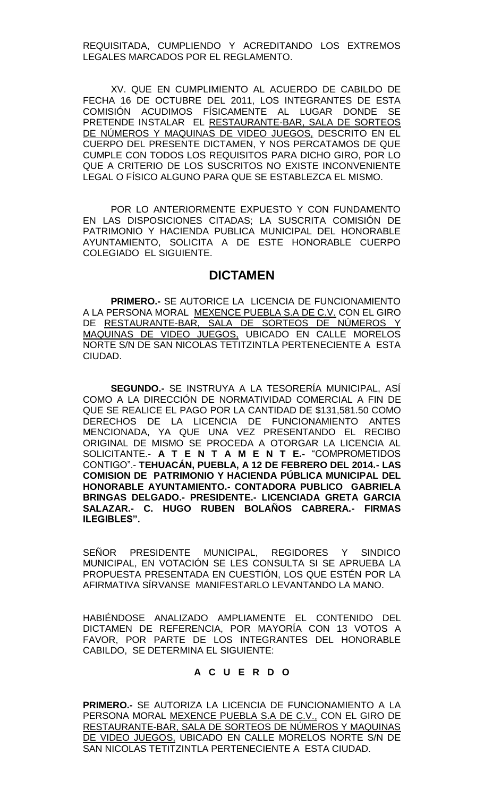REQUISITADA, CUMPLIENDO Y ACREDITANDO LOS EXTREMOS LEGALES MARCADOS POR EL REGLAMENTO.

XV. QUE EN CUMPLIMIENTO AL ACUERDO DE CABILDO DE FECHA 16 DE OCTUBRE DEL 2011, LOS INTEGRANTES DE ESTA COMISIÓN ACUDIMOS FÍSICAMENTE AL LUGAR DONDE SE PRETENDE INSTALAR EL RESTAURANTE-BAR, SALA DE SORTEOS DE NÚMEROS Y MAQUINAS DE VIDEO JUEGOS, DESCRITO EN EL CUERPO DEL PRESENTE DICTAMEN, Y NOS PERCATAMOS DE QUE CUMPLE CON TODOS LOS REQUISITOS PARA DICHO GIRO, POR LO QUE A CRITERIO DE LOS SUSCRITOS NO EXISTE INCONVENIENTE LEGAL O FÍSICO ALGUNO PARA QUE SE ESTABLEZCA EL MISMO.

POR LO ANTERIORMENTE EXPUESTO Y CON FUNDAMENTO EN LAS DISPOSICIONES CITADAS; LA SUSCRITA COMISIÓN DE PATRIMONIO Y HACIENDA PUBLICA MUNICIPAL DEL HONORABLE AYUNTAMIENTO, SOLICITA A DE ESTE HONORABLE CUERPO COLEGIADO EL SIGUIENTE.

# **DICTAMEN**

**PRIMERO.-** SE AUTORICE LA LICENCIA DE FUNCIONAMIENTO A LA PERSONA MORAL MEXENCE PUEBLA S.A DE C.V. CON EL GIRO DE RESTAURANTE-BAR, SALA DE SORTEOS DE NÚMEROS Y MAQUINAS DE VIDEO JUEGOS, UBICADO EN CALLE MORELOS NORTE S/N DE SAN NICOLAS TETITZINTLA PERTENECIENTE A ESTA CIUDAD.

**SEGUNDO.-** SE INSTRUYA A LA TESORERÍA MUNICIPAL, ASÍ COMO A LA DIRECCIÓN DE NORMATIVIDAD COMERCIAL A FIN DE QUE SE REALICE EL PAGO POR LA CANTIDAD DE \$131,581.50 COMO DERECHOS DE LA LICENCIA DE FUNCIONAMIENTO ANTES MENCIONADA, YA QUE UNA VEZ PRESENTANDO EL RECIBO ORIGINAL DE MISMO SE PROCEDA A OTORGAR LA LICENCIA AL SOLICITANTE.- **A T E N T A M E N T E.-** "COMPROMETIDOS CONTIGO".- **TEHUACÁN, PUEBLA, A 12 DE FEBRERO DEL 2014.- LAS COMISION DE PATRIMONIO Y HACIENDA PÚBLICA MUNICIPAL DEL HONORABLE AYUNTAMIENTO.- CONTADORA PUBLICO GABRIELA BRINGAS DELGADO.- PRESIDENTE.- LICENCIADA GRETA GARCIA SALAZAR.- C. HUGO RUBEN BOLAÑOS CABRERA.- FIRMAS ILEGIBLES".**

SEÑOR PRESIDENTE MUNICIPAL, REGIDORES Y SINDICO MUNICIPAL, EN VOTACIÓN SE LES CONSULTA SI SE APRUEBA LA PROPUESTA PRESENTADA EN CUESTIÓN, LOS QUE ESTÉN POR LA AFIRMATIVA SÍRVANSE MANIFESTARLO LEVANTANDO LA MANO.

HABIÉNDOSE ANALIZADO AMPLIAMENTE EL CONTENIDO DEL DICTAMEN DE REFERENCIA, POR MAYORÍA CON 13 VOTOS A FAVOR, POR PARTE DE LOS INTEGRANTES DEL HONORABLE CABILDO, SE DETERMINA EL SIGUIENTE:

# **A C U E R D O**

**PRIMERO.-** SE AUTORIZA LA LICENCIA DE FUNCIONAMIENTO A LA PERSONA MORAL MEXENCE PUEBLA S.A DE C.V., CON EL GIRO DE RESTAURANTE-BAR, SALA DE SORTEOS DE NÚMEROS Y MAQUINAS DE VIDEO JUEGOS, UBICADO EN CALLE MORELOS NORTE S/N DE SAN NICOLAS TETITZINTLA PERTENECIENTE A ESTA CIUDAD.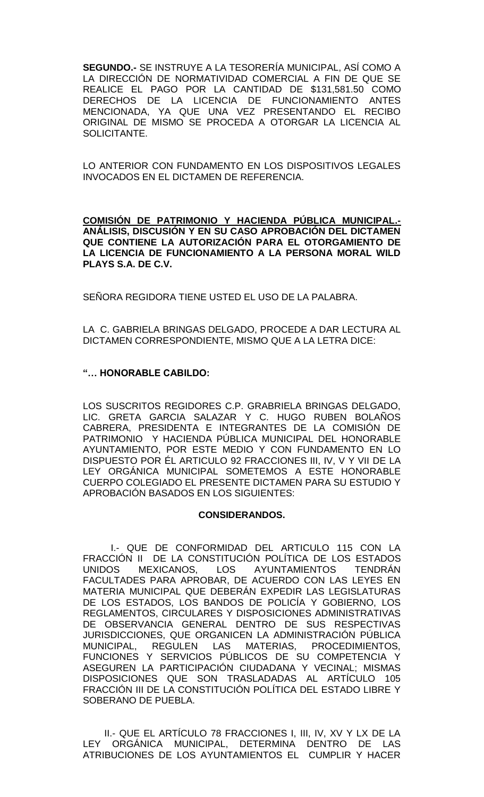**SEGUNDO.-** SE INSTRUYE A LA TESORERÍA MUNICIPAL, ASÍ COMO A LA DIRECCIÓN DE NORMATIVIDAD COMERCIAL A FIN DE QUE SE REALICE EL PAGO POR LA CANTIDAD DE \$131,581.50 COMO DERECHOS DE LA LICENCIA DE FUNCIONAMIENTO ANTES MENCIONADA, YA QUE UNA VEZ PRESENTANDO EL RECIBO ORIGINAL DE MISMO SE PROCEDA A OTORGAR LA LICENCIA AL SOLICITANTE.

LO ANTERIOR CON FUNDAMENTO EN LOS DISPOSITIVOS LEGALES INVOCADOS EN EL DICTAMEN DE REFERENCIA.

**COMISIÓN DE PATRIMONIO Y HACIENDA PÚBLICA MUNICIPAL.- ANÁLISIS, DISCUSIÓN Y EN SU CASO APROBACIÓN DEL DICTAMEN QUE CONTIENE LA AUTORIZACIÓN PARA EL OTORGAMIENTO DE LA LICENCIA DE FUNCIONAMIENTO A LA PERSONA MORAL WILD PLAYS S.A. DE C.V.**

SEÑORA REGIDORA TIENE USTED EL USO DE LA PALABRA.

LA C. GABRIELA BRINGAS DELGADO, PROCEDE A DAR LECTURA AL DICTAMEN CORRESPONDIENTE, MISMO QUE A LA LETRA DICE:

# **"… HONORABLE CABILDO:**

LOS SUSCRITOS REGIDORES C.P. GRABRIELA BRINGAS DELGADO, LIC. GRETA GARCIA SALAZAR Y C. HUGO RUBEN BOLAÑOS CABRERA, PRESIDENTA E INTEGRANTES DE LA COMISIÓN DE PATRIMONIO Y HACIENDA PÚBLICA MUNICIPAL DEL HONORABLE AYUNTAMIENTO, POR ESTE MEDIO Y CON FUNDAMENTO EN LO DISPUESTO POR ÉL ARTICULO 92 FRACCIONES III, IV, V Y VII DE LA LEY ORGÁNICA MUNICIPAL SOMETEMOS A ESTE HONORABLE CUERPO COLEGIADO EL PRESENTE DICTAMEN PARA SU ESTUDIO Y APROBACIÓN BASADOS EN LOS SIGUIENTES:

## **CONSIDERANDOS.**

I.- QUE DE CONFORMIDAD DEL ARTICULO 115 CON LA FRACCIÓN II DE LA CONSTITUCIÓN POLÍTICA DE LOS ESTADOS<br>UNIDOS MEXICANOS, LOS AYUNTAMIENTOS TENDRÁN UNIDOS MEXICANOS, LOS AYUNTAMIENTOS TENDRÁN FACULTADES PARA APROBAR, DE ACUERDO CON LAS LEYES EN MATERIA MUNICIPAL QUE DEBERÁN EXPEDIR LAS LEGISLATURAS DE LOS ESTADOS, LOS BANDOS DE POLICÍA Y GOBIERNO, LOS REGLAMENTOS, CIRCULARES Y DISPOSICIONES ADMINISTRATIVAS DE OBSERVANCIA GENERAL DENTRO DE SUS RESPECTIVAS JURISDICCIONES, QUE ORGANICEN LA ADMINISTRACIÓN PÚBLICA MUNICIPAL, REGULEN LAS MATERIAS, PROCEDIMIENTOS, FUNCIONES Y SERVICIOS PÚBLICOS DE SU COMPETENCIA Y ASEGUREN LA PARTICIPACIÓN CIUDADANA Y VECINAL; MISMAS DISPOSICIONES QUE SON TRASLADADAS AL ARTÍCULO 105 FRACCIÓN III DE LA CONSTITUCIÓN POLÍTICA DEL ESTADO LIBRE Y SOBERANO DE PUEBLA.

II.- QUE EL ARTÍCULO 78 FRACCIONES I, III, IV, XV Y LX DE LA LEY ORGÁNICA MUNICIPAL, DETERMINA DENTRO DE LAS ATRIBUCIONES DE LOS AYUNTAMIENTOS EL CUMPLIR Y HACER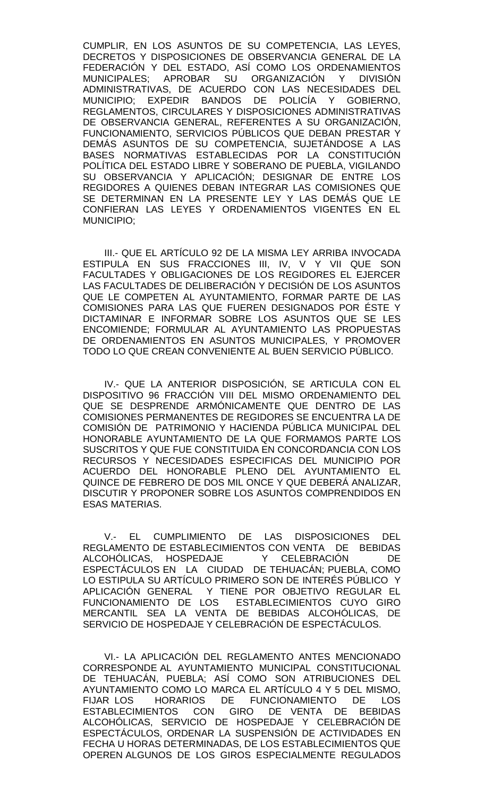CUMPLIR, EN LOS ASUNTOS DE SU COMPETENCIA, LAS LEYES, DECRETOS Y DISPOSICIONES DE OBSERVANCIA GENERAL DE LA FEDERACIÓN Y DEL ESTADO, ASÍ COMO LOS ORDENAMIENTOS<br>MUNICIPALES: APROBAR SU ORGANIZACIÓN Y DIVISIÓN APROBAR SU ORGANIZACIÓN Y DIVISIÓN ADMINISTRATIVAS, DE ACUERDO CON LAS NECESIDADES DEL MUNICIPIO; EXPEDIR BANDOS DE POLICÍA Y GOBIERNO, REGLAMENTOS, CIRCULARES Y DISPOSICIONES ADMINISTRATIVAS DE OBSERVANCIA GENERAL, REFERENTES A SU ORGANIZACIÓN, FUNCIONAMIENTO, SERVICIOS PÚBLICOS QUE DEBAN PRESTAR Y DEMÁS ASUNTOS DE SU COMPETENCIA, SUJETÁNDOSE A LAS BASES NORMATIVAS ESTABLECIDAS POR LA CONSTITUCIÓN POLÍTICA DEL ESTADO LIBRE Y SOBERANO DE PUEBLA, VIGILANDO SU OBSERVANCIA Y APLICACIÓN; DESIGNAR DE ENTRE LOS REGIDORES A QUIENES DEBAN INTEGRAR LAS COMISIONES QUE SE DETERMINAN EN LA PRESENTE LEY Y LAS DEMÁS QUE LE CONFIERAN LAS LEYES Y ORDENAMIENTOS VIGENTES EN EL MUNICIPIO;

III.- QUE EL ARTÍCULO 92 DE LA MISMA LEY ARRIBA INVOCADA ESTIPULA EN SUS FRACCIONES III, IV, V Y VII QUE SON FACULTADES Y OBLIGACIONES DE LOS REGIDORES EL EJERCER LAS FACULTADES DE DELIBERACIÓN Y DECISIÓN DE LOS ASUNTOS QUE LE COMPETEN AL AYUNTAMIENTO, FORMAR PARTE DE LAS COMISIONES PARA LAS QUE FUEREN DESIGNADOS POR ÉSTE Y DICTAMINAR E INFORMAR SOBRE LOS ASUNTOS QUE SE LES ENCOMIENDE; FORMULAR AL AYUNTAMIENTO LAS PROPUESTAS DE ORDENAMIENTOS EN ASUNTOS MUNICIPALES, Y PROMOVER TODO LO QUE CREAN CONVENIENTE AL BUEN SERVICIO PÚBLICO.

IV.- QUE LA ANTERIOR DISPOSICIÓN, SE ARTICULA CON EL DISPOSITIVO 96 FRACCIÓN VIII DEL MISMO ORDENAMIENTO DEL QUE SE DESPRENDE ARMÓNICAMENTE QUE DENTRO DE LAS COMISIONES PERMANENTES DE REGIDORES SE ENCUENTRA LA DE COMISIÓN DE PATRIMONIO Y HACIENDA PÚBLICA MUNICIPAL DEL HONORABLE AYUNTAMIENTO DE LA QUE FORMAMOS PARTE LOS SUSCRITOS Y QUE FUE CONSTITUIDA EN CONCORDANCIA CON LOS RECURSOS Y NECESIDADES ESPECIFICAS DEL MUNICIPIO POR ACUERDO DEL HONORABLE PLENO DEL AYUNTAMIENTO EL QUINCE DE FEBRERO DE DOS MIL ONCE Y QUE DEBERÁ ANALIZAR, DISCUTIR Y PROPONER SOBRE LOS ASUNTOS COMPRENDIDOS EN ESAS MATERIAS.

V.- EL CUMPLIMIENTO DE LAS DISPOSICIONES DEL REGLAMENTO DE ESTABLECIMIENTOS CON VENTA DE BEBIDAS ALCOHÓLICAS, HOSPEDAJE Y CELEBRACIÓN DE ESPECTÁCULOS EN LA CIUDAD DE TEHUACÁN; PUEBLA, COMO LO ESTIPULA SU ARTÍCULO PRIMERO SON DE INTERÉS PÚBLICO Y APLICACIÓN GENERAL Y TIENE POR OBJETIVO REGULAR EL FUNCIONAMIENTO DE LOS ESTABLECIMIENTOS CUYO GIRO MERCANTIL SEA LA VENTA DE BEBIDAS ALCOHÓLICAS, DE SERVICIO DE HOSPEDAJE Y CELEBRACIÓN DE ESPECTÁCULOS.

VI.- LA APLICACIÓN DEL REGLAMENTO ANTES MENCIONADO CORRESPONDE AL AYUNTAMIENTO MUNICIPAL CONSTITUCIONAL DE TEHUACÁN, PUEBLA; ASÍ COMO SON ATRIBUCIONES DEL AYUNTAMIENTO COMO LO MARCA EL ARTÍCULO 4 Y 5 DEL MISMO, FIJAR LOS HORARIOS DE FUNCIONAMIENTO DE LOS ESTABLECIMIENTOS CON GIRO DE VENTA DE BEBIDAS ALCOHÓLICAS, SERVICIO DE HOSPEDAJE Y CELEBRACIÓN DE ESPECTÁCULOS, ORDENAR LA SUSPENSIÓN DE ACTIVIDADES EN FECHA U HORAS DETERMINADAS, DE LOS ESTABLECIMIENTOS QUE OPEREN ALGUNOS DE LOS GIROS ESPECIALMENTE REGULADOS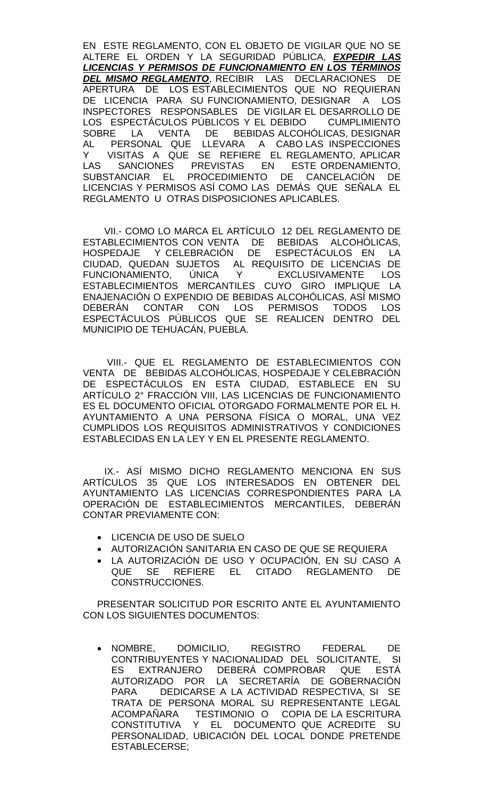EN ESTE REGLAMENTO, CON EL OBJETO DE VIGILAR QUE NO SE ALTERE EL ORDEN Y LA SEGURIDAD PÚBLICA, *EXPEDIR LAS LICENCIAS Y PERMISOS DE FUNCIONAMIENTO EN LOS TÉRMINOS DEL MISMO REGLAMENTO*, RECIBIR LAS DECLARACIONES DE APERTURA DE LOS ESTABLECIMIENTOS QUE NO REQUIERAN DE LICENCIA PARA SU FUNCIONAMIENTO, DESIGNAR A LOS INSPECTORES RESPONSABLES DE VIGILAR EL DESARROLLO DE LOS ESPECTÁCULOS PÚBLICOS Y EL DEBIDO CUMPLIMIENTO SOBRE LA VENTA DE BEBIDAS ALCOHÓLICAS, DESIGNAR AL PERSONAL QUE LLEVARA A CABO LAS INSPECCIONES Y VISITAS A QUE SE REFIERE EL REGLAMENTO, APLICAR LAS SANCIONES PREVISTAS EN ESTE ORDENAMIENTO, SUBSTANCIAR EL PROCEDIMIENTO DE CANCELACIÓN DE LICENCIAS Y PERMISOS ASÍ COMO LAS DEMÁS QUE SEÑALA EL REGLAMENTO U OTRAS DISPOSICIONES APLICABLES.

VII.- COMO LO MARCA EL ARTÍCULO 12 DEL REGLAMENTO DE ESTABLECIMIENTOS CON VENTA DE BEBIDAS ALCOHÓLICAS, HOSPEDAJE Y CELEBRACIÓN DE ESPECTÁCULOS EN LA CIUDAD, QUEDAN SUJETOS AL REQUISITO DE LICENCIAS DE FUNCIONAMIENTO, ÚNICA Y EXCLUSIVAMENTE LOS ESTABLECIMIENTOS MERCANTILES CUYO GIRO IMPLIQUE LA ENAJENACIÓN O EXPENDIO DE BEBIDAS ALCOHÓLICAS, ASÍ MISMO DEBERÁN CONTAR CON LOS PERMISOS TODOS LOS ESPECTÁCULOS PÚBLICOS QUE SE REALICEN DENTRO DEL MUNICIPIO DE TEHUACÁN, PUEBLA.

VIII.- QUE EL REGLAMENTO DE ESTABLECIMIENTOS CON VENTA DE BEBIDAS ALCOHÓLICAS, HOSPEDAJE Y CELEBRACIÓN DE ESPECTÁCULOS EN ESTA CIUDAD, ESTABLECE EN SU ARTÍCULO 2° FRACCIÓN VIII, LAS LICENCIAS DE FUNCIONAMIENTO ES EL DOCUMENTO OFICIAL OTORGADO FORMALMENTE POR EL H. AYUNTAMIENTO A UNA PERSONA FÍSICA O MORAL, UNA VEZ CUMPLIDOS LOS REQUISITOS ADMINISTRATIVOS Y CONDICIONES ESTABLECIDAS EN LA LEY Y EN EL PRESENTE REGLAMENTO.

IX.- ASÍ MISMO DICHO REGLAMENTO MENCIONA EN SUS ARTÍCULOS 35 QUE LOS INTERESADOS EN OBTENER DEL AYUNTAMIENTO LAS LICENCIAS CORRESPONDIENTES PARA LA OPERACIÓN DE ESTABLECIMIENTOS MERCANTILES, DEBERÁN CONTAR PREVIAMENTE CON:

- LICENCIA DE USO DE SUELO
- AUTORIZACIÓN SANITARIA EN CASO DE QUE SE REQUIERA
- LA AUTORIZACIÓN DE USO Y OCUPACIÓN, EN SU CASO A QUE SE REFIERE EL CITADO REGLAMENTO DE CONSTRUCCIONES.

PRESENTAR SOLICITUD POR ESCRITO ANTE EL AYUNTAMIENTO CON LOS SIGUIENTES DOCUMENTOS:

 NOMBRE, DOMICILIO, REGISTRO FEDERAL DE CONTRIBUYENTES Y NACIONALIDAD DEL SOLICITANTE, SI ES EXTRANJERO DEBERÁ COMPROBAR QUE ESTÁ AUTORIZADO POR LA SECRETARÍA DE GOBERNACIÓN PARA DEDICARSE A LA ACTIVIDAD RESPECTIVA, SI SE TRATA DE PERSONA MORAL SU REPRESENTANTE LEGAL ACOMPAÑARA TESTIMONIO O COPIA DE LA ESCRITURA CONSTITUTIVA Y EL DOCUMENTO QUE ACREDITE SU PERSONALIDAD, UBICACIÓN DEL LOCAL DONDE PRETENDE ESTABLECERSE;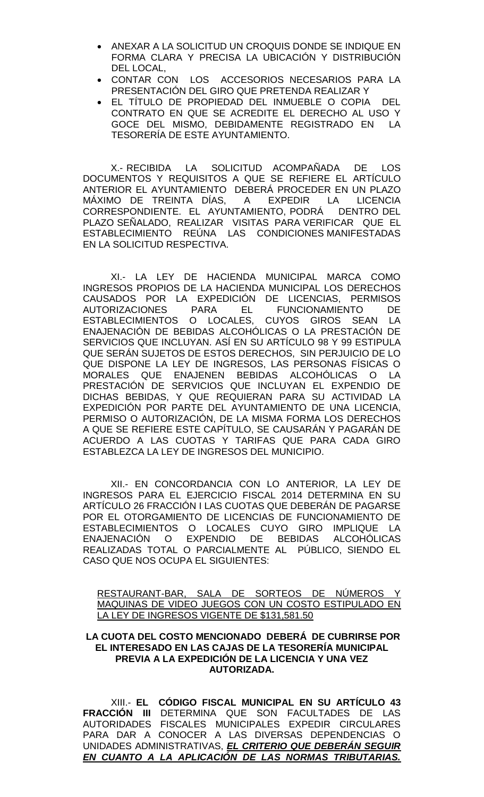- ANEXAR A LA SOLICITUD UN CROQUIS DONDE SE INDIQUE EN FORMA CLARA Y PRECISA LA UBICACIÓN Y DISTRIBUCIÓN DEL LOCAL,
- CONTAR CON LOS ACCESORIOS NECESARIOS PARA LA PRESENTACIÓN DEL GIRO QUE PRETENDA REALIZAR Y
- EL TÍTULO DE PROPIEDAD DEL INMUEBLE O COPIA DEL CONTRATO EN QUE SE ACREDITE EL DERECHO AL USO Y GOCE DEL MISMO, DEBIDAMENTE REGISTRADO EN LA TESORERÍA DE ESTE AYUNTAMIENTO.

X.- RECIBIDA LA SOLICITUD ACOMPAÑADA DE LOS DOCUMENTOS Y REQUISITOS A QUE SE REFIERE EL ARTÍCULO ANTERIOR EL AYUNTAMIENTO DEBERÁ PROCEDER EN UN PLAZO MÁXIMO DE TREINTA DÍAS, A EXPEDIR LA LICENCIA CORRESPONDIENTE. EL AYUNTAMIENTO, PODRÁ DENTRO DEL PLAZO SEÑALADO, REALIZAR VISITAS PARA VERIFICAR QUE EL ESTABLECIMIENTO REÚNA LAS CONDICIONES MANIFESTADAS EN LA SOLICITUD RESPECTIVA.

XI.- LA LEY DE HACIENDA MUNICIPAL MARCA COMO INGRESOS PROPIOS DE LA HACIENDA MUNICIPAL LOS DERECHOS CAUSADOS POR LA EXPEDICIÓN DE LICENCIAS, PERMISOS<br>AUTORIZACIONES PARA EL FUNCIONAMIENTO DE AUTORIZACIONES PARA EL FUNCIONAMIENTO DE ESTABLECIMIENTOS O LOCALES, CUYOS GIROS SEAN LA ENAJENACIÓN DE BEBIDAS ALCOHÓLICAS O LA PRESTACIÓN DE SERVICIOS QUE INCLUYAN. ASÍ EN SU ARTÍCULO 98 Y 99 ESTIPULA QUE SERÁN SUJETOS DE ESTOS DERECHOS, SIN PERJUICIO DE LO QUE DISPONE LA LEY DE INGRESOS, LAS PERSONAS FÍSICAS O MORALES QUE ENAJENEN BEBIDAS ALCOHÓLICAS O LA PRESTACIÓN DE SERVICIOS QUE INCLUYAN EL EXPENDIO DE DICHAS BEBIDAS, Y QUE REQUIERAN PARA SU ACTIVIDAD LA EXPEDICIÓN POR PARTE DEL AYUNTAMIENTO DE UNA LICENCIA, PERMISO O AUTORIZACIÓN, DE LA MISMA FORMA LOS DERECHOS A QUE SE REFIERE ESTE CAPÍTULO, SE CAUSARÁN Y PAGARÁN DE ACUERDO A LAS CUOTAS Y TARIFAS QUE PARA CADA GIRO ESTABLEZCA LA LEY DE INGRESOS DEL MUNICIPIO.

XII.- EN CONCORDANCIA CON LO ANTERIOR, LA LEY DE INGRESOS PARA EL EJERCICIO FISCAL 2014 DETERMINA EN SU ARTÍCULO 26 FRACCIÓN I LAS CUOTAS QUE DEBERÁN DE PAGARSE POR EL OTORGAMIENTO DE LICENCIAS DE FUNCIONAMIENTO DE ESTABLECIMIENTOS O LOCALES CUYO GIRO IMPLIQUE LA ENAJENACIÓN O EXPENDIO DE BEBIDAS ALCOHÓLICAS REALIZADAS TOTAL O PARCIALMENTE AL PÚBLICO, SIENDO EL CASO QUE NOS OCUPA EL SIGUIENTES:

RESTAURANT-BAR, SALA DE SORTEOS DE NÚMEROS Y MAQUINAS DE VIDEO JUEGOS CON UN COSTO ESTIPULADO EN LA LEY DE INGRESOS VIGENTE DE \$131,581.50

**LA CUOTA DEL COSTO MENCIONADO DEBERÁ DE CUBRIRSE POR EL INTERESADO EN LAS CAJAS DE LA TESORERÍA MUNICIPAL PREVIA A LA EXPEDICIÓN DE LA LICENCIA Y UNA VEZ AUTORIZADA.**

XIII.- **EL CÓDIGO FISCAL MUNICIPAL EN SU ARTÍCULO 43 FRACCIÓN III** DETERMINA QUE SON FACULTADES DE LAS AUTORIDADES FISCALES MUNICIPALES EXPEDIR CIRCULARES PARA DAR A CONOCER A LAS DIVERSAS DEPENDENCIAS O UNIDADES ADMINISTRATIVAS, *EL CRITERIO QUE DEBERÁN SEGUIR EN CUANTO A LA APLICACIÓN DE LAS NORMAS TRIBUTARIAS.*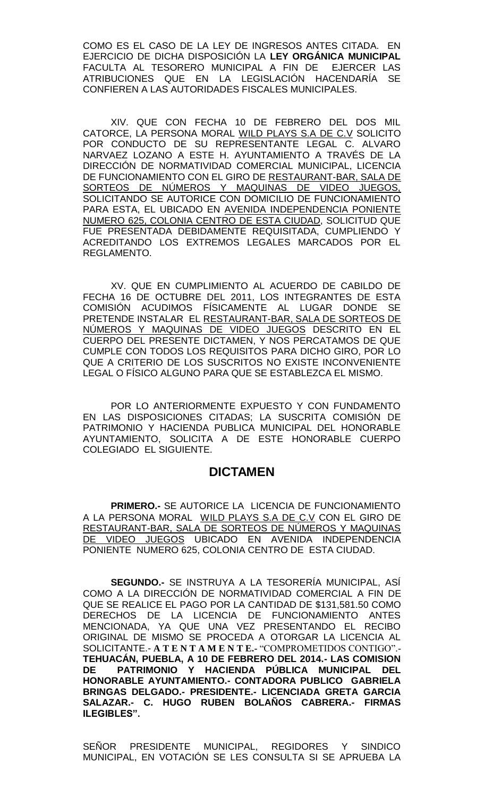COMO ES EL CASO DE LA LEY DE INGRESOS ANTES CITADA. EN EJERCICIO DE DICHA DISPOSICIÓN LA **LEY ORGÁNICA MUNICIPAL**  FACULTA AL TESORERO MUNICIPAL A FIN DE EJERCER LAS ATRIBUCIONES QUE EN LA LEGISLACIÓN HACENDARÍA SE CONFIEREN A LAS AUTORIDADES FISCALES MUNICIPALES.

XIV. QUE CON FECHA 10 DE FEBRERO DEL DOS MIL CATORCE, LA PERSONA MORAL WILD PLAYS S.A DE C.V SOLICITO POR CONDUCTO DE SU REPRESENTANTE LEGAL C. ALVARO NARVAEZ LOZANO A ESTE H. AYUNTAMIENTO A TRAVÉS DE LA DIRECCIÓN DE NORMATIVIDAD COMERCIAL MUNICIPAL, LICENCIA DE FUNCIONAMIENTO CON EL GIRO DE RESTAURANT-BAR, SALA DE SORTEOS DE NÚMEROS Y MAQUINAS DE VIDEO JUEGOS, SOLICITANDO SE AUTORICE CON DOMICILIO DE FUNCIONAMIENTO PARA ESTA, EL UBICADO EN AVENIDA INDEPENDENCIA PONIENTE NUMERO 625, COLONIA CENTRO DE ESTA CIUDAD, SOLICITUD QUE FUE PRESENTADA DEBIDAMENTE REQUISITADA, CUMPLIENDO Y ACREDITANDO LOS EXTREMOS LEGALES MARCADOS POR EL REGLAMENTO.

XV. QUE EN CUMPLIMIENTO AL ACUERDO DE CABILDO DE FECHA 16 DE OCTUBRE DEL 2011, LOS INTEGRANTES DE ESTA COMISIÓN ACUDIMOS FÍSICAMENTE AL LUGAR DONDE SE PRETENDE INSTALAR EL RESTAURANT-BAR, SALA DE SORTEOS DE NÚMEROS Y MAQUINAS DE VIDEO JUEGOS DESCRITO EN EL CUERPO DEL PRESENTE DICTAMEN, Y NOS PERCATAMOS DE QUE CUMPLE CON TODOS LOS REQUISITOS PARA DICHO GIRO, POR LO QUE A CRITERIO DE LOS SUSCRITOS NO EXISTE INCONVENIENTE LEGAL O FÍSICO ALGUNO PARA QUE SE ESTABLEZCA EL MISMO.

POR LO ANTERIORMENTE EXPUESTO Y CON FUNDAMENTO EN LAS DISPOSICIONES CITADAS; LA SUSCRITA COMISIÓN DE PATRIMONIO Y HACIENDA PUBLICA MUNICIPAL DEL HONORABLE AYUNTAMIENTO, SOLICITA A DE ESTE HONORABLE CUERPO COLEGIADO EL SIGUIENTE.

# **DICTAMEN**

**PRIMERO.-** SE AUTORICE LA LICENCIA DE FUNCIONAMIENTO A LA PERSONA MORAL WILD PLAYS S.A DE C.V CON EL GIRO DE RESTAURANT-BAR, SALA DE SORTEOS DE NÚMEROS Y MAQUINAS DE VIDEO JUEGOS UBICADO EN AVENIDA INDEPENDENCIA PONIENTE NUMERO 625, COLONIA CENTRO DE ESTA CIUDAD.

**SEGUNDO.-** SE INSTRUYA A LA TESORERÍA MUNICIPAL, ASÍ COMO A LA DIRECCIÓN DE NORMATIVIDAD COMERCIAL A FIN DE QUE SE REALICE EL PAGO POR LA CANTIDAD DE \$131,581.50 COMO DERECHOS DE LA LICENCIA DE FUNCIONAMIENTO ANTES MENCIONADA, YA QUE UNA VEZ PRESENTANDO EL RECIBO ORIGINAL DE MISMO SE PROCEDA A OTORGAR LA LICENCIA AL SOLICITANTE.- **A T E N T A M E N T E.-** "COMPROMETIDOS CONTIGO".- **TEHUACÁN, PUEBLA, A 10 DE FEBRERO DEL 2014.- LAS COMISION DE PATRIMONIO Y HACIENDA PÚBLICA MUNICIPAL DEL HONORABLE AYUNTAMIENTO.- CONTADORA PUBLICO GABRIELA BRINGAS DELGADO.- PRESIDENTE.- LICENCIADA GRETA GARCIA SALAZAR.- C. HUGO RUBEN BOLAÑOS CABRERA.- FIRMAS ILEGIBLES".**

SEÑOR PRESIDENTE MUNICIPAL, REGIDORES Y SINDICO MUNICIPAL, EN VOTACIÓN SE LES CONSULTA SI SE APRUEBA LA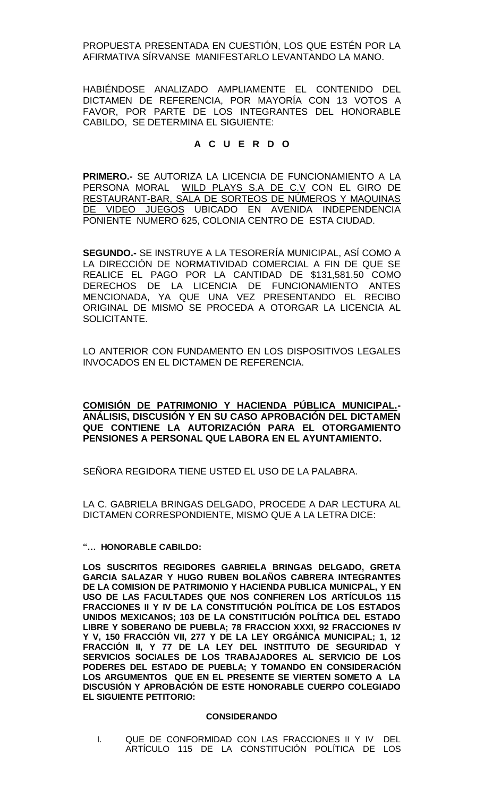PROPUESTA PRESENTADA EN CUESTIÓN, LOS QUE ESTÉN POR LA AFIRMATIVA SÍRVANSE MANIFESTARLO LEVANTANDO LA MANO.

HABIÉNDOSE ANALIZADO AMPLIAMENTE EL CONTENIDO DEL DICTAMEN DE REFERENCIA, POR MAYORÍA CON 13 VOTOS A FAVOR, POR PARTE DE LOS INTEGRANTES DEL HONORABLE CABILDO, SE DETERMINA EL SIGUIENTE:

# **A C U E R D O**

**PRIMERO.-** SE AUTORIZA LA LICENCIA DE FUNCIONAMIENTO A LA PERSONA MORAL WILD PLAYS S.A DE C.V CON EL GIRO DE RESTAURANT-BAR, SALA DE SORTEOS DE NÚMEROS Y MAQUINAS DE VIDEO JUEGOS UBICADO EN AVENIDA INDEPENDENCIA PONIENTE NUMERO 625, COLONIA CENTRO DE ESTA CIUDAD.

**SEGUNDO.-** SE INSTRUYE A LA TESORERÍA MUNICIPAL, ASÍ COMO A LA DIRECCIÓN DE NORMATIVIDAD COMERCIAL A FIN DE QUE SE REALICE EL PAGO POR LA CANTIDAD DE \$131,581.50 COMO DERECHOS DE LA LICENCIA DE FUNCIONAMIENTO ANTES MENCIONADA, YA QUE UNA VEZ PRESENTANDO EL RECIBO ORIGINAL DE MISMO SE PROCEDA A OTORGAR LA LICENCIA AL SOLICITANTE.

LO ANTERIOR CON FUNDAMENTO EN LOS DISPOSITIVOS LEGALES INVOCADOS EN EL DICTAMEN DE REFERENCIA.

**COMISIÓN DE PATRIMONIO Y HACIENDA PÚBLICA MUNICIPAL.- ANÁLISIS, DISCUSIÓN Y EN SU CASO APROBACIÓN DEL DICTAMEN QUE CONTIENE LA AUTORIZACIÓN PARA EL OTORGAMIENTO PENSIONES A PERSONAL QUE LABORA EN EL AYUNTAMIENTO.**

SEÑORA REGIDORA TIENE USTED EL USO DE LA PALABRA.

LA C. GABRIELA BRINGAS DELGADO, PROCEDE A DAR LECTURA AL DICTAMEN CORRESPONDIENTE, MISMO QUE A LA LETRA DICE:

## **"… HONORABLE CABILDO:**

**LOS SUSCRITOS REGIDORES GABRIELA BRINGAS DELGADO, GRETA GARCIA SALAZAR Y HUGO RUBEN BOLAÑOS CABRERA INTEGRANTES DE LA COMISION DE PATRIMONIO Y HACIENDA PUBLICA MUNICPAL, Y EN USO DE LAS FACULTADES QUE NOS CONFIEREN LOS ARTÍCULOS 115 FRACCIONES II Y IV DE LA CONSTITUCIÓN POLÍTICA DE LOS ESTADOS UNIDOS MEXICANOS; 103 DE LA CONSTITUCIÓN POLÍTICA DEL ESTADO LIBRE Y SOBERANO DE PUEBLA; 78 FRACCION XXXI, 92 FRACCIONES IV Y V, 150 FRACCIÓN VII, 277 Y DE LA LEY ORGÁNICA MUNICIPAL; 1, 12 FRACCIÓN II, Y 77 DE LA LEY DEL INSTITUTO DE SEGURIDAD Y SERVICIOS SOCIALES DE LOS TRABAJADORES AL SERVICIO DE LOS PODERES DEL ESTADO DE PUEBLA; Y TOMANDO EN CONSIDERACIÓN LOS ARGUMENTOS QUE EN EL PRESENTE SE VIERTEN SOMETO A LA DISCUSIÓN Y APROBACIÓN DE ESTE HONORABLE CUERPO COLEGIADO EL SIGUIENTE PETITORIO:**

#### **CONSIDERANDO**

I. QUE DE CONFORMIDAD CON LAS FRACCIONES II Y IV DEL ARTÍCULO 115 DE LA CONSTITUCIÓN POLÍTICA DE LOS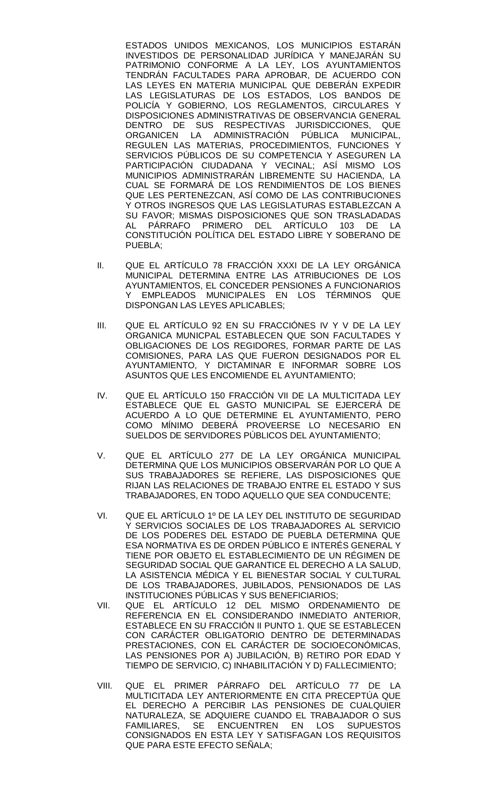ESTADOS UNIDOS MEXICANOS, LOS MUNICIPIOS ESTARÁN INVESTIDOS DE PERSONALIDAD JURÍDICA Y MANEJARÁN SU PATRIMONIO CONFORME A LA LEY, LOS AYUNTAMIENTOS TENDRÁN FACULTADES PARA APROBAR, DE ACUERDO CON LAS LEYES EN MATERIA MUNICIPAL QUE DEBERÁN EXPEDIR LAS LEGISLATURAS DE LOS ESTADOS, LOS BANDOS DE POLICÍA Y GOBIERNO, LOS REGLAMENTOS, CIRCULARES Y DISPOSICIONES ADMINISTRATIVAS DE OBSERVANCIA GENERAL DENTRO DE SUS RESPECTIVAS JURISDICCIONES, QUE ORGANICEN LA ADMINISTRACIÓN PÚBLICA MUNICIPAL, REGULEN LAS MATERIAS, PROCEDIMIENTOS, FUNCIONES Y SERVICIOS PÚBLICOS DE SU COMPETENCIA Y ASEGUREN LA PARTICIPACIÓN CIUDADANA Y VECINAL; ASÍ MISMO LOS MUNICIPIOS ADMINISTRARÁN LIBREMENTE SU HACIENDA, LA CUAL SE FORMARÁ DE LOS RENDIMIENTOS DE LOS BIENES QUE LES PERTENEZCAN, ASÍ COMO DE LAS CONTRIBUCIONES Y OTROS INGRESOS QUE LAS LEGISLATURAS ESTABLEZCAN A SU FAVOR; MISMAS DISPOSICIONES QUE SON TRASLADADAS AL PÁRRAFO PRIMERO DEL ARTÍCULO 103 DE LA CONSTITUCIÓN POLÍTICA DEL ESTADO LIBRE Y SOBERANO DE PUEBLA;

- II. QUE EL ARTÍCULO 78 FRACCIÓN XXXI DE LA LEY ORGÁNICA MUNICIPAL DETERMINA ENTRE LAS ATRIBUCIONES DE LOS AYUNTAMIENTOS, EL CONCEDER PENSIONES A FUNCIONARIOS Y EMPLEADOS MUNICIPALES EN LOS TÉRMINOS QUE DISPONGAN LAS LEYES APLICABLES;
- III. QUE EL ARTÍCULO 92 EN SU FRACCIÓNES IV Y V DE LA LEY ORGANICA MUNICPAL ESTABLECEN QUE SON FACULTADES Y OBLIGACIONES DE LOS REGIDORES, FORMAR PARTE DE LAS COMISIONES, PARA LAS QUE FUERON DESIGNADOS POR EL AYUNTAMIENTO, Y DICTAMINAR E INFORMAR SOBRE LOS ASUNTOS QUE LES ENCOMIENDE EL AYUNTAMIENTO;
- IV. QUE EL ARTÍCULO 150 FRACCIÓN VII DE LA MULTICITADA LEY ESTABLECE QUE EL GASTO MUNICIPAL SE EJERCERÁ DE ACUERDO A LO QUE DETERMINE EL AYUNTAMIENTO, PERO COMO MÍNIMO DEBERÁ PROVEERSE LO NECESARIO EN SUELDOS DE SERVIDORES PÚBLICOS DEL AYUNTAMIENTO;
- V. QUE EL ARTÍCULO 277 DE LA LEY ORGÁNICA MUNICIPAL DETERMINA QUE LOS MUNICIPIOS OBSERVARÁN POR LO QUE A SUS TRABAJADORES SE REFIERE, LAS DISPOSICIONES QUE RIJAN LAS RELACIONES DE TRABAJO ENTRE EL ESTADO Y SUS TRABAJADORES, EN TODO AQUELLO QUE SEA CONDUCENTE;
- VI. QUE EL ARTÍCULO 1º DE LA LEY DEL INSTITUTO DE SEGURIDAD Y SERVICIOS SOCIALES DE LOS TRABAJADORES AL SERVICIO DE LOS PODERES DEL ESTADO DE PUEBLA DETERMINA QUE ESA NORMATIVA ES DE ORDEN PÚBLICO E INTERÉS GENERAL Y TIENE POR OBJETO EL ESTABLECIMIENTO DE UN RÉGIMEN DE SEGURIDAD SOCIAL QUE GARANTICE EL DERECHO A LA SALUD, LA ASISTENCIA MÉDICA Y EL BIENESTAR SOCIAL Y CULTURAL DE LOS TRABAJADORES, JUBILADOS, PENSIONADOS DE LAS INSTITUCIONES PÚBLICAS Y SUS BENEFICIARIOS;
- VII. QUE EL ARTÍCULO 12 DEL MISMO ORDENAMIENTO DE REFERENCIA EN EL CONSIDERANDO INMEDIATO ANTERIOR, ESTABLECE EN SU FRACCIÓN II PUNTO 1. QUE SE ESTABLECEN CON CARÁCTER OBLIGATORIO DENTRO DE DETERMINADAS PRESTACIONES, CON EL CARÁCTER DE SOCIOECONÓMICAS, LAS PENSIONES POR A) JUBILACIÓN, B) RETIRO POR EDAD Y TIEMPO DE SERVICIO, C) INHABILITACIÓN Y D) FALLECIMIENTO;
- VIII. QUE EL PRIMER PÁRRAFO DEL ARTÍCULO 77 DE LA MULTICITADA LEY ANTERIORMENTE EN CITA PRECEPTÚA QUE EL DERECHO A PERCIBIR LAS PENSIONES DE CUALQUIER NATURALEZA, SE ADQUIERE CUANDO EL TRABAJADOR O SUS FAMILIARES, SE ENCUENTREN EN LOS SUPUESTOS CONSIGNADOS EN ESTA LEY Y SATISFAGAN LOS REQUISITOS QUE PARA ESTE EFECTO SEÑALA;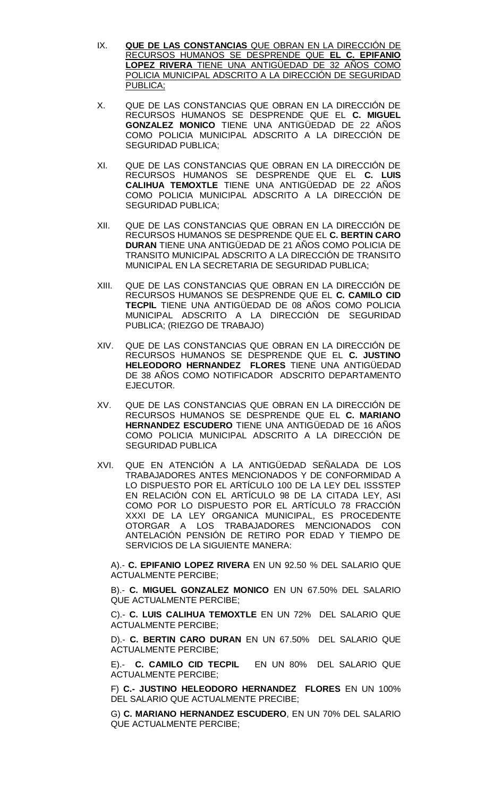- IX. **QUE DE LAS CONSTANCIAS** QUE OBRAN EN LA DIRECCIÓN DE RECURSOS HUMANOS SE DESPRENDE QUE **EL C. EPIFANIO LOPEZ RIVERA** TIENE UNA ANTIGÜEDAD DE 32 AÑOS COMO POLICIA MUNICIPAL ADSCRITO A LA DIRECCIÓN DE SEGURIDAD PUBLICA;
- X. QUE DE LAS CONSTANCIAS QUE OBRAN EN LA DIRECCIÓN DE RECURSOS HUMANOS SE DESPRENDE QUE EL **C. MIGUEL GONZALEZ MONICO** TIENE UNA ANTIGÜEDAD DE 22 AÑOS COMO POLICIA MUNICIPAL ADSCRITO A LA DIRECCIÓN DE SEGURIDAD PUBLICA;
- XI. QUE DE LAS CONSTANCIAS QUE OBRAN EN LA DIRECCIÓN DE RECURSOS HUMANOS SE DESPRENDE QUE EL **C. LUIS CALIHUA TEMOXTLE** TIENE UNA ANTIGÜEDAD DE 22 AÑOS COMO POLICIA MUNICIPAL ADSCRITO A LA DIRECCIÓN DE SEGURIDAD PUBLICA;
- XII. QUE DE LAS CONSTANCIAS QUE OBRAN EN LA DIRECCIÓN DE RECURSOS HUMANOS SE DESPRENDE QUE EL **C. BERTIN CARO DURAN** TIENE UNA ANTIGÜEDAD DE 21 AÑOS COMO POLICIA DE TRANSITO MUNICIPAL ADSCRITO A LA DIRECCIÓN DE TRANSITO MUNICIPAL EN LA SECRETARIA DE SEGURIDAD PUBLICA;
- XIII. QUE DE LAS CONSTANCIAS QUE OBRAN EN LA DIRECCIÓN DE RECURSOS HUMANOS SE DESPRENDE QUE EL **C. CAMILO CID TECPIL** TIENE UNA ANTIGÜEDAD DE 08 AÑOS COMO POLICIA MUNICIPAL ADSCRITO A LA DIRECCIÓN DE SEGURIDAD PUBLICA; (RIEZGO DE TRABAJO)
- XIV. QUE DE LAS CONSTANCIAS QUE OBRAN EN LA DIRECCIÓN DE RECURSOS HUMANOS SE DESPRENDE QUE EL **C. JUSTINO HELEODORO HERNANDEZ FLORES** TIENE UNA ANTIGÜEDAD DE 38 AÑOS COMO NOTIFICADOR ADSCRITO DEPARTAMENTO EJECUTOR.
- XV. QUE DE LAS CONSTANCIAS QUE OBRAN EN LA DIRECCIÓN DE RECURSOS HUMANOS SE DESPRENDE QUE EL **C. MARIANO HERNANDEZ ESCUDERO** TIENE UNA ANTIGÜEDAD DE 16 AÑOS COMO POLICIA MUNICIPAL ADSCRITO A LA DIRECCIÓN DE SEGURIDAD PUBLICA
- XVI. QUE EN ATENCIÓN A LA ANTIGÜEDAD SEÑALADA DE LOS TRABAJADORES ANTES MENCIONADOS Y DE CONFORMIDAD A LO DISPUESTO POR EL ARTÍCULO 100 DE LA LEY DEL ISSSTEP EN RELACIÓN CON EL ARTÍCULO 98 DE LA CITADA LEY, ASI COMO POR LO DISPUESTO POR EL ARTÍCULO 78 FRACCIÓN XXXI DE LA LEY ORGANICA MUNICIPAL, ES PROCEDENTE OTORGAR A LOS TRABAJADORES MENCIONADOS CON ANTELACIÓN PENSIÓN DE RETIRO POR EDAD Y TIEMPO DE SERVICIOS DE LA SIGUIENTE MANERA:

A).- **C. EPIFANIO LOPEZ RIVERA** EN UN 92.50 % DEL SALARIO QUE ACTUALMENTE PERCIBE;

B).- **C. MIGUEL GONZALEZ MONICO** EN UN 67.50% DEL SALARIO QUE ACTUALMENTE PERCIBE;

C).- **C. LUIS CALIHUA TEMOXTLE** EN UN 72% DEL SALARIO QUE ACTUALMENTE PERCIBE;

D).- **C. BERTIN CARO DURAN** EN UN 67.50% DEL SALARIO QUE ACTUALMENTE PERCIBE;

E).- **C. CAMILO CID TECPIL** EN UN 80% DEL SALARIO QUE ACTUALMENTE PERCIBE;

F) **C.- JUSTINO HELEODORO HERNANDEZ FLORES** EN UN 100% DEL SALARIO QUE ACTUALMENTE PRECIBE;

G) **C. MARIANO HERNANDEZ ESCUDERO**, EN UN 70% DEL SALARIO QUE ACTUALMENTE PERCIBE;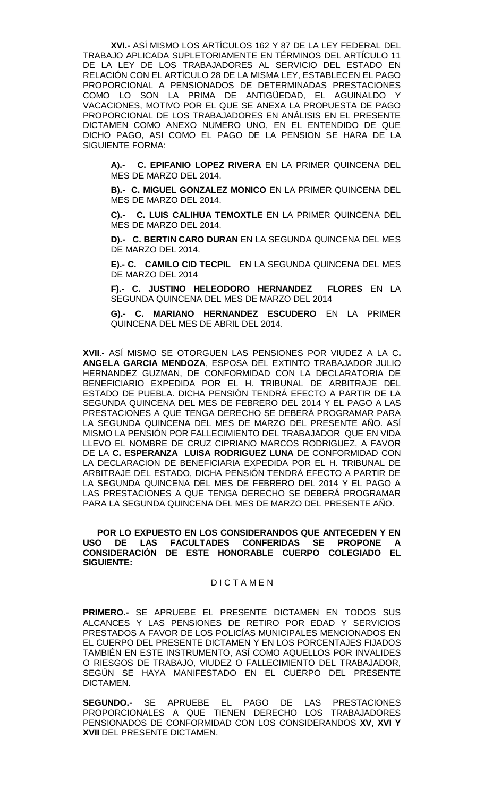**XVI.-** ASÍ MISMO LOS ARTÍCULOS 162 Y 87 DE LA LEY FEDERAL DEL TRABAJO APLICADA SUPLETORIAMENTE EN TÉRMINOS DEL ARTÍCULO 11 DE LA LEY DE LOS TRABAJADORES AL SERVICIO DEL ESTADO EN RELACIÓN CON EL ARTÍCULO 28 DE LA MISMA LEY, ESTABLECEN EL PAGO PROPORCIONAL A PENSIONADOS DE DETERMINADAS PRESTACIONES COMO LO SON LA PRIMA DE ANTIGÜEDAD, EL AGUINALDO Y VACACIONES, MOTIVO POR EL QUE SE ANEXA LA PROPUESTA DE PAGO PROPORCIONAL DE LOS TRABAJADORES EN ANÁLISIS EN EL PRESENTE DICTAMEN COMO ANEXO NUMERO UNO, EN EL ENTENDIDO DE QUE DICHO PAGO, ASI COMO EL PAGO DE LA PENSION SE HARA DE LA SIGUIENTE FORMA:

**A).- C. EPIFANIO LOPEZ RIVERA** EN LA PRIMER QUINCENA DEL MES DE MARZO DEL 2014.

**B).- C. MIGUEL GONZALEZ MONICO** EN LA PRIMER QUINCENA DEL MES DE MARZO DEL 2014.

**C).- C. LUIS CALIHUA TEMOXTLE** EN LA PRIMER QUINCENA DEL MES DE MARZO DEL 2014.

**D).- C. BERTIN CARO DURAN** EN LA SEGUNDA QUINCENA DEL MES DE MARZO DEL 2014.

**E).- C. CAMILO CID TECPIL** EN LA SEGUNDA QUINCENA DEL MES DE MARZO DEL 2014

**F).- C. JUSTINO HELEODORO HERNANDEZ FLORES** EN LA SEGUNDA QUINCENA DEL MES DE MARZO DEL 2014

**G).- C. MARIANO HERNANDEZ ESCUDERO** EN LA PRIMER QUINCENA DEL MES DE ABRIL DEL 2014.

**XVII**.- ASÍ MISMO SE OTORGUEN LAS PENSIONES POR VIUDEZ A LA C**. ANGELA GARCIA MENDOZA**, ESPOSA DEL EXTINTO TRABAJADOR JULIO HERNANDEZ GUZMAN, DE CONFORMIDAD CON LA DECLARATORIA DE BENEFICIARIO EXPEDIDA POR EL H. TRIBUNAL DE ARBITRAJE DEL ESTADO DE PUEBLA. DICHA PENSIÓN TENDRÁ EFECTO A PARTIR DE LA SEGUNDA QUINCENA DEL MES DE FEBRERO DEL 2014 Y EL PAGO A LAS PRESTACIONES A QUE TENGA DERECHO SE DEBERÁ PROGRAMAR PARA LA SEGUNDA QUINCENA DEL MES DE MARZO DEL PRESENTE AÑO. ASÍ MISMO LA PENSIÓN POR FALLECIMIENTO DEL TRABAJADOR QUE EN VIDA LLEVO EL NOMBRE DE CRUZ CIPRIANO MARCOS RODRIGUEZ, A FAVOR DE LA **C. ESPERANZA LUISA RODRIGUEZ LUNA** DE CONFORMIDAD CON LA DECLARACION DE BENEFICIARIA EXPEDIDA POR EL H. TRIBUNAL DE ARBITRAJE DEL ESTADO, DICHA PENSIÓN TENDRÁ EFECTO A PARTIR DE LA SEGUNDA QUINCENA DEL MES DE FEBRERO DEL 2014 Y EL PAGO A LAS PRESTACIONES A QUE TENGA DERECHO SE DEBERÁ PROGRAMAR PARA LA SEGUNDA QUINCENA DEL MES DE MARZO DEL PRESENTE AÑO.

**POR LO EXPUESTO EN LOS CONSIDERANDOS QUE ANTECEDEN Y EN<br>USO DE LAS FACULTADES CONFERIDAS SE PROPONE A** FACULTADES CONFERIDAS SE PROPONE A **CONSIDERACIÓN DE ESTE HONORABLE CUERPO COLEGIADO EL SIGUIENTE:**

#### D I C T A M E N

**PRIMERO.-** SE APRUEBE EL PRESENTE DICTAMEN EN TODOS SUS ALCANCES Y LAS PENSIONES DE RETIRO POR EDAD Y SERVICIOS PRESTADOS A FAVOR DE LOS POLICÍAS MUNICIPALES MENCIONADOS EN EL CUERPO DEL PRESENTE DICTAMEN Y EN LOS PORCENTAJES FIJADOS TAMBIÉN EN ESTE INSTRUMENTO, ASÍ COMO AQUELLOS POR INVALIDES O RIESGOS DE TRABAJO, VIUDEZ O FALLECIMIENTO DEL TRABAJADOR, SEGÚN SE HAYA MANIFESTADO EN EL CUERPO DEL PRESENTE DICTAMEN.

**SEGUNDO.-** SE APRUEBE EL PAGO DE LAS PRESTACIONES PROPORCIONALES A QUE TIENEN DERECHO LOS TRABAJADORES PENSIONADOS DE CONFORMIDAD CON LOS CONSIDERANDOS **XV**, **XVI Y XVII** DEL PRESENTE DICTAMEN.